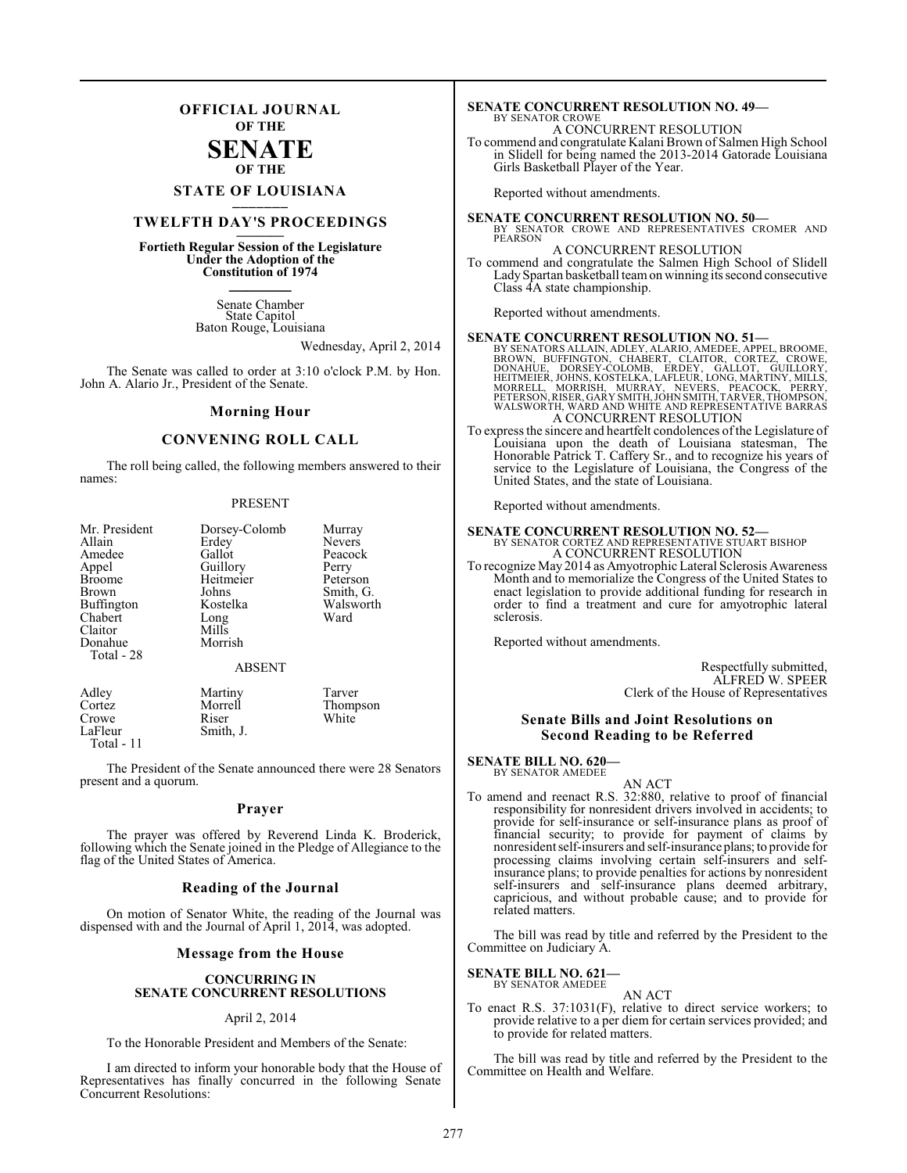## **OFFICIAL JOURNAL OF THE**

## **SENATE OF THE**

# **STATE OF LOUISIANA \_\_\_\_\_\_\_**

# **TWELFTH DAY'S PROCEEDINGS \_\_\_\_\_\_\_**

**Fortieth Regular Session of the Legislature Under the Adoption of the Constitution of 1974 \_\_\_\_\_\_\_**

> Senate Chamber State Capitol Baton Rouge, Louisiana

> > Wednesday, April 2, 2014

The Senate was called to order at 3:10 o'clock P.M. by Hon. John A. Alario Jr., President of the Senate.

#### **Morning Hour**

## **CONVENING ROLL CALL**

The roll being called, the following members answered to their names:

#### PRESENT

| Mr. President<br>Allain<br>Amedee<br>Appel<br><b>Broome</b><br>Brown<br><b>Buffington</b><br>Chabert<br>Claitor<br>Donahue<br>Total - 28 | Dorsey-Colomb<br>Erdey<br>Gallot<br>Guillory<br>Heitmeier<br>Johns<br>Kostelka<br>Long<br>Mills<br>Morrish<br><b>ABSENT</b> | Murray<br><b>Nevers</b><br>Peacock<br>Perry<br>Peterson<br>Smith, G.<br>Walsworth<br>Ward |
|------------------------------------------------------------------------------------------------------------------------------------------|-----------------------------------------------------------------------------------------------------------------------------|-------------------------------------------------------------------------------------------|
| Adley<br>Cortez<br>Crowe<br>LaFleur                                                                                                      | Martiny<br>Morrell<br>Riser<br>Smith I                                                                                      | Tarver<br>Thompson<br>White                                                               |

Smith, J.

Total - 11

The President of the Senate announced there were 28 Senators present and a quorum.

#### **Prayer**

The prayer was offered by Reverend Linda K. Broderick, following which the Senate joined in the Pledge of Allegiance to the flag of the United States of America.

#### **Reading of the Journal**

On motion of Senator White, the reading of the Journal was dispensed with and the Journal of April 1, 2014, was adopted.

#### **Message from the House**

#### **CONCURRING IN SENATE CONCURRENT RESOLUTIONS**

#### April 2, 2014

To the Honorable President and Members of the Senate:

I am directed to inform your honorable body that the House of Representatives has finally concurred in the following Senate Concurrent Resolutions:

#### **SENATE CONCURRENT RESOLUTION NO. 49—** BY SENATOR CROWE

A CONCURRENT RESOLUTION

To commend and congratulate Kalani Brown of Salmen High School in Slidell for being named the 2013-2014 Gatorade Louisiana Girls Basketball Player of the Year.

Reported without amendments.

**SENATE CONCURRENT RESOLUTION NO. 50—** BY SENATOR CROWE AND REPRESENTATIVES CROMER AND PEARSON

#### A CONCURRENT RESOLUTION

To commend and congratulate the Salmen High School of Slidell Lady Spartan basketball team on winning its second consecutive Class 4A state championship.

Reported without amendments.

**SENATE CONCURRENT RESOLUTION NO. 51—**<br>BY SENATORS ALLAIN, ADLEY, ALARIO, AMEDEE, APPEL, BROOME, BROOM, UFFINGTON, CHABERT, CLAITOR, CORTEZ, CROWE,<br>DONAHUE, DORSEY-COLOMB, ERDEY, GALLOT, GUILLORY,<br>HEITMEIER, JOHNS, KOSTELK A CONCURRENT RESOLUTION

To express the sincere and heartfelt condolences of the Legislature of Louisiana upon the death of Louisiana statesman, The Honorable Patrick T. Caffery Sr., and to recognize his years of service to the Legislature of Louisiana, the Congress of the United States, and the state of Louisiana.

Reported without amendments.

## **SENATE CONCURRENT RESOLUTION NO. 52—** BY SENATOR CORTEZ AND REPRESENTATIVE STUART BISHOP A CONCURRENT RESOLUTION

To recognize May 2014 as Amyotrophic Lateral Sclerosis Awareness Month and to memorialize the Congress of the United States to enact legislation to provide additional funding for research in order to find a treatment and cure for amyotrophic lateral sclerosis.

Reported without amendments.

Respectfully submitted, ALFRED W. SPEER Clerk of the House of Representatives

#### **Senate Bills and Joint Resolutions on Second Reading to be Referred**

#### **SENATE BILL NO. 620—** BY SENATOR AMEDEE

AN ACT

To amend and reenact R.S. 32:880, relative to proof of financial responsibility for nonresident drivers involved in accidents; to provide for self-insurance or self-insurance plans as proof of financial security; to provide for payment of claims by nonresident self-insurers and self-insurance plans; to provide for processing claims involving certain self-insurers and selfinsurance plans; to provide penalties for actions by nonresident self-insurers and self-insurance plans deemed arbitrary, capricious, and without probable cause; and to provide for related matters.

The bill was read by title and referred by the President to the Committee on Judiciary A.

#### **SENATE BILL NO. 621—** BY SENATOR AMEDEE

AN ACT

To enact R.S. 37:1031(F), relative to direct service workers; to provide relative to a per diem for certain services provided; and to provide for related matters.

The bill was read by title and referred by the President to the Committee on Health and Welfare.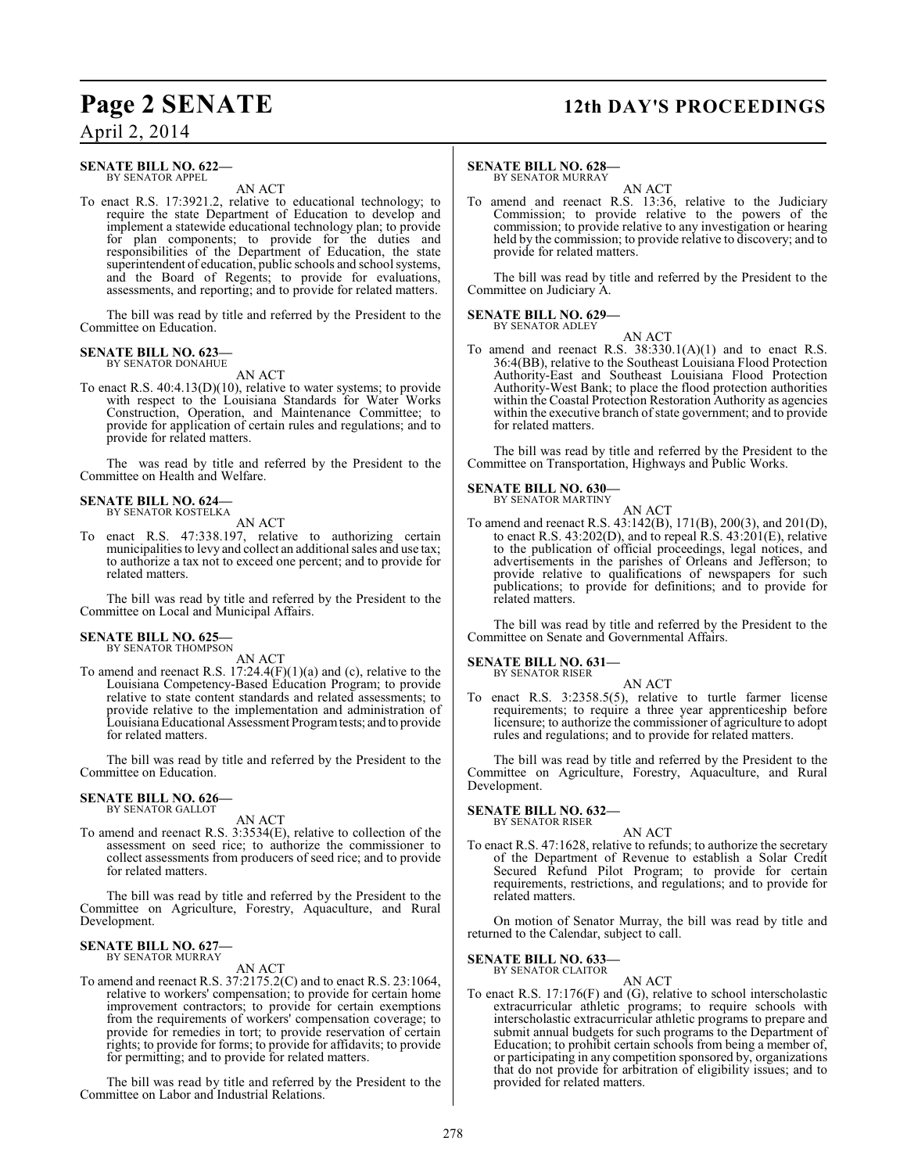# **Page 2 SENATE 12th DAY'S PROCEEDINGS**

April 2, 2014

#### **SENATE BILL NO. 622—** BY SENATOR APPEL

AN ACT

To enact R.S. 17:3921.2, relative to educational technology; to require the state Department of Education to develop and implement a statewide educational technology plan; to provide for plan components; to provide for the duties and responsibilities of the Department of Education, the state superintendent of education, public schools and school systems, and the Board of Regents; to provide for evaluations, assessments, and reporting; and to provide for related matters.

The bill was read by title and referred by the President to the Committee on Education.

# **SENATE BILL NO. 623—** BY SENATOR DONAHUE

AN ACT

To enact R.S. 40:4.13(D)(10), relative to water systems; to provide with respect to the Louisiana Standards for Water Works Construction, Operation, and Maintenance Committee; to provide for application of certain rules and regulations; and to provide for related matters.

The was read by title and referred by the President to the Committee on Health and Welfare.

#### **SENATE BILL NO. 624** BY SENATOR KOSTELKA

AN ACT

To enact R.S. 47:338.197, relative to authorizing certain municipalities to levy and collect an additional sales and use tax; to authorize a tax not to exceed one percent; and to provide for related matters.

The bill was read by title and referred by the President to the Committee on Local and Municipal Affairs.

#### **SENATE BILL NO. 625—**

BY SENATOR THOMPSON AN ACT

To amend and reenact R.S. 17:24.4(F)(1)(a) and (c), relative to the Louisiana Competency-Based Education Program; to provide relative to state content standards and related assessments; to provide relative to the implementation and administration of Louisiana Educational Assessment Program tests; and to provide for related matters.

The bill was read by title and referred by the President to the Committee on Education.

#### **SENATE BILL NO. 626—** BY SENATOR GALLOT

AN ACT

To amend and reenact R.S. 3:3534(E), relative to collection of the assessment on seed rice; to authorize the commissioner to collect assessments from producers of seed rice; and to provide for related matters.

The bill was read by title and referred by the President to the Committee on Agriculture, Forestry, Aquaculture, and Rural Development.

#### **SENATE BILL NO. 627—** BY SENATOR MURRAY

AN ACT

To amend and reenact R.S. 37:2175.2(C) and to enact R.S. 23:1064, relative to workers' compensation; to provide for certain home improvement contractors; to provide for certain exemptions from the requirements of workers' compensation coverage; to provide for remedies in tort; to provide reservation of certain rights; to provide for forms; to provide for affidavits; to provide for permitting; and to provide for related matters.

The bill was read by title and referred by the President to the Committee on Labor and Industrial Relations.

#### **SENATE BILL NO. 628—**

BY SENATOR MURRAY

AN ACT To amend and reenact R.S. 13:36, relative to the Judiciary Commission; to provide relative to the powers of the commission; to provide relative to any investigation or hearing held by the commission; to provide relative to discovery; and to provide for related matters.

The bill was read by title and referred by the President to the Committee on Judiciary A.

#### **SENATE BILL NO. 629—** BY SENATOR ADLEY

AN ACT

To amend and reenact R.S. 38:330.1(A)(1) and to enact R.S. 36:4(BB), relative to the Southeast Louisiana Flood Protection Authority-East and Southeast Louisiana Flood Protection Authority-West Bank; to place the flood protection authorities within the Coastal Protection Restoration Authority as agencies within the executive branch of state government; and to provide for related matters.

The bill was read by title and referred by the President to the Committee on Transportation, Highways and Public Works.

## **SENATE BILL NO. 630—**

BY SENATOR MARTINY AN ACT

To amend and reenact R.S. 43:142(B), 171(B), 200(3), and 201(D), to enact R.S. 43:202(D), and to repeal R.S. 43:201(E), relative to the publication of official proceedings, legal notices, and advertisements in the parishes of Orleans and Jefferson; to provide relative to qualifications of newspapers for such publications; to provide for definitions; and to provide for related matters.

The bill was read by title and referred by the President to the Committee on Senate and Governmental Affairs.

**SENATE BILL NO. 631—** BY SENATOR RISER

AN ACT

To enact R.S. 3:2358.5(5), relative to turtle farmer license requirements; to require a three year apprenticeship before licensure; to authorize the commissioner of agriculture to adopt rules and regulations; and to provide for related matters.

The bill was read by title and referred by the President to the Committee on Agriculture, Forestry, Aquaculture, and Rural Development.

#### **SENATE BILL NO. 632—** BY SENATOR RISER

AN ACT

To enact R.S. 47:1628, relative to refunds; to authorize the secretary of the Department of Revenue to establish a Solar Credit Secured Refund Pilot Program; to provide for certain requirements, restrictions, and regulations; and to provide for related matters.

On motion of Senator Murray, the bill was read by title and returned to the Calendar, subject to call.

#### **SENATE BILL NO. 633—** BY SENATOR CLAITOR

AN ACT

To enact R.S. 17:176(F) and (G), relative to school interscholastic extracurricular athletic programs; to require schools with interscholastic extracurricular athletic programs to prepare and submit annual budgets for such programs to the Department of Education; to prohibit certain schools from being a member of, or participating in any competition sponsored by, organizations that do not provide for arbitration of eligibility issues; and to provided for related matters.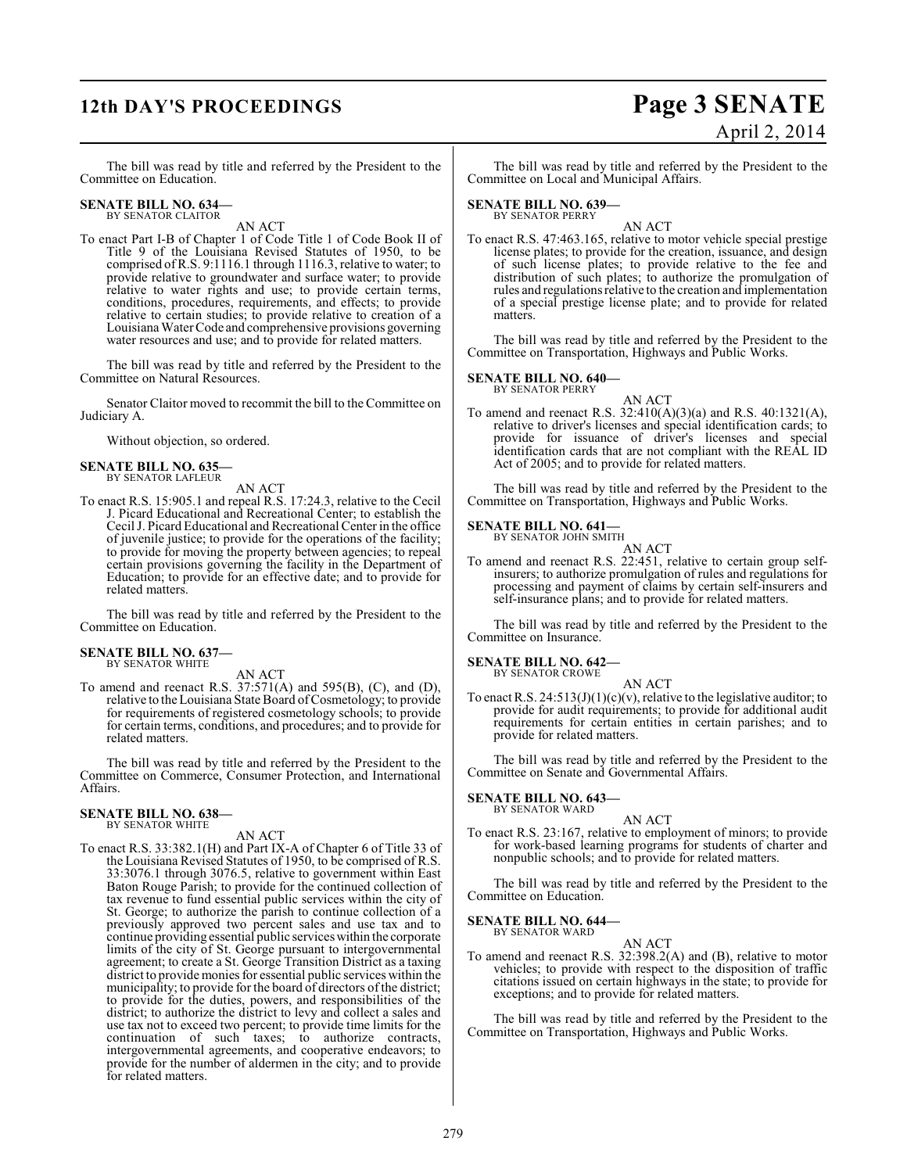# **12th DAY'S PROCEEDINGS Page 3 SENATE**

# April 2, 2014

The bill was read by title and referred by the President to the Committee on Education.

# **SENATE BILL NO. 634—** BY SENATOR CLAITOR

AN ACT

To enact Part I-B of Chapter 1 of Code Title 1 of Code Book II of Title 9 of the Louisiana Revised Statutes of 1950, to be comprised of R.S. 9:1116.1 through 1116.3, relative to water; to provide relative to groundwater and surface water; to provide relative to water rights and use; to provide certain terms, conditions, procedures, requirements, and effects; to provide relative to certain studies; to provide relative to creation of a Louisiana Water Code and comprehensive provisions governing water resources and use; and to provide for related matters.

The bill was read by title and referred by the President to the Committee on Natural Resources.

Senator Claitor moved to recommit the bill to the Committee on Judiciary A.

Without objection, so ordered.

#### **SENATE BILL NO. 635—** BY SENATOR LAFLEUR

AN ACT

To enact R.S. 15:905.1 and repeal R.S. 17:24.3, relative to the Cecil J. Picard Educational and Recreational Center; to establish the Cecil J. Picard Educational and Recreational Center in the office of juvenile justice; to provide for the operations of the facility; to provide for moving the property between agencies; to repeal certain provisions governing the facility in the Department of Education; to provide for an effective date; and to provide for related matters.

The bill was read by title and referred by the President to the Committee on Education.

#### **SENATE BILL NO. 637—** BY SENATOR WHITE

AN ACT

To amend and reenact R.S. 37:571(A) and 595(B), (C), and (D), relative to the Louisiana State Board of Cosmetology; to provide for requirements of registered cosmetology schools; to provide for certain terms, conditions, and procedures; and to provide for related matters.

The bill was read by title and referred by the President to the Committee on Commerce, Consumer Protection, and International Affairs.

#### **SENATE BILL NO. 638—** BY SENATOR WHITE

AN ACT

To enact R.S. 33:382.1(H) and Part IX-A of Chapter 6 of Title 33 of the Louisiana Revised Statutes of 1950, to be comprised of R.S. 33:3076.1 through 3076.5, relative to government within East Baton Rouge Parish; to provide for the continued collection of tax revenue to fund essential public services within the city of St. George; to authorize the parish to continue collection of a previously approved two percent sales and use tax and to continue providing essential public services within the corporate limits of the city of St. George pursuant to intergovernmental agreement; to create a St. George Transition District as a taxing district to provide monies for essential public services within the municipality; to provide for the board of directors of the district; to provide for the duties, powers, and responsibilities of the district; to authorize the district to levy and collect a sales and use tax not to exceed two percent; to provide time limits for the continuation of such taxes; to authorize contracts, intergovernmental agreements, and cooperative endeavors; to provide for the number of aldermen in the city; and to provide for related matters.

The bill was read by title and referred by the President to the Committee on Local and Municipal Affairs.

# **SENATE BILL NO. 639—** BY SENATOR PERRY

AN ACT

To enact R.S. 47:463.165, relative to motor vehicle special prestige license plates; to provide for the creation, issuance, and design of such license plates; to provide relative to the fee and distribution of such plates; to authorize the promulgation of rules and regulationsrelative to the creation and implementation of a special prestige license plate; and to provide for related matters.

The bill was read by title and referred by the President to the Committee on Transportation, Highways and Public Works.

#### **SENATE BILL NO. 640—** BY SENATOR PERRY

AN ACT To amend and reenact R.S. 32:410(A)(3)(a) and R.S. 40:1321(A), relative to driver's licenses and special identification cards; to provide for issuance of driver's licenses and special identification cards that are not compliant with the REAL ID Act of 2005; and to provide for related matters.

The bill was read by title and referred by the President to the Committee on Transportation, Highways and Public Works.

#### **SENATE BILL NO. 641—** BY SENATOR JOHN SMITH

AN ACT

To amend and reenact R.S. 22:451, relative to certain group selfinsurers; to authorize promulgation of rules and regulations for processing and payment of claims by certain self-insurers and self-insurance plans; and to provide for related matters.

The bill was read by title and referred by the President to the Committee on Insurance.

**SENATE BILL NO. 642—** BY SENATOR CROWE

AN ACT

To enact R.S.  $24:513(J)(1)(c)(v)$ , relative to the legislative auditor; to provide for audit requirements; to provide for additional audit requirements for certain entities in certain parishes; and to provide for related matters.

The bill was read by title and referred by the President to the Committee on Senate and Governmental Affairs.

#### **SENATE BILL NO. 643—** BY SENATOR WARD

AN ACT To enact R.S. 23:167, relative to employment of minors; to provide for work-based learning programs for students of charter and nonpublic schools; and to provide for related matters.

The bill was read by title and referred by the President to the Committee on Education.

#### **SENATE BILL NO. 644—** BY SENATOR WARD

AN ACT

To amend and reenact R.S. 32:398.2(A) and (B), relative to motor vehicles; to provide with respect to the disposition of traffic citations issued on certain highways in the state; to provide for exceptions; and to provide for related matters.

The bill was read by title and referred by the President to the Committee on Transportation, Highways and Public Works.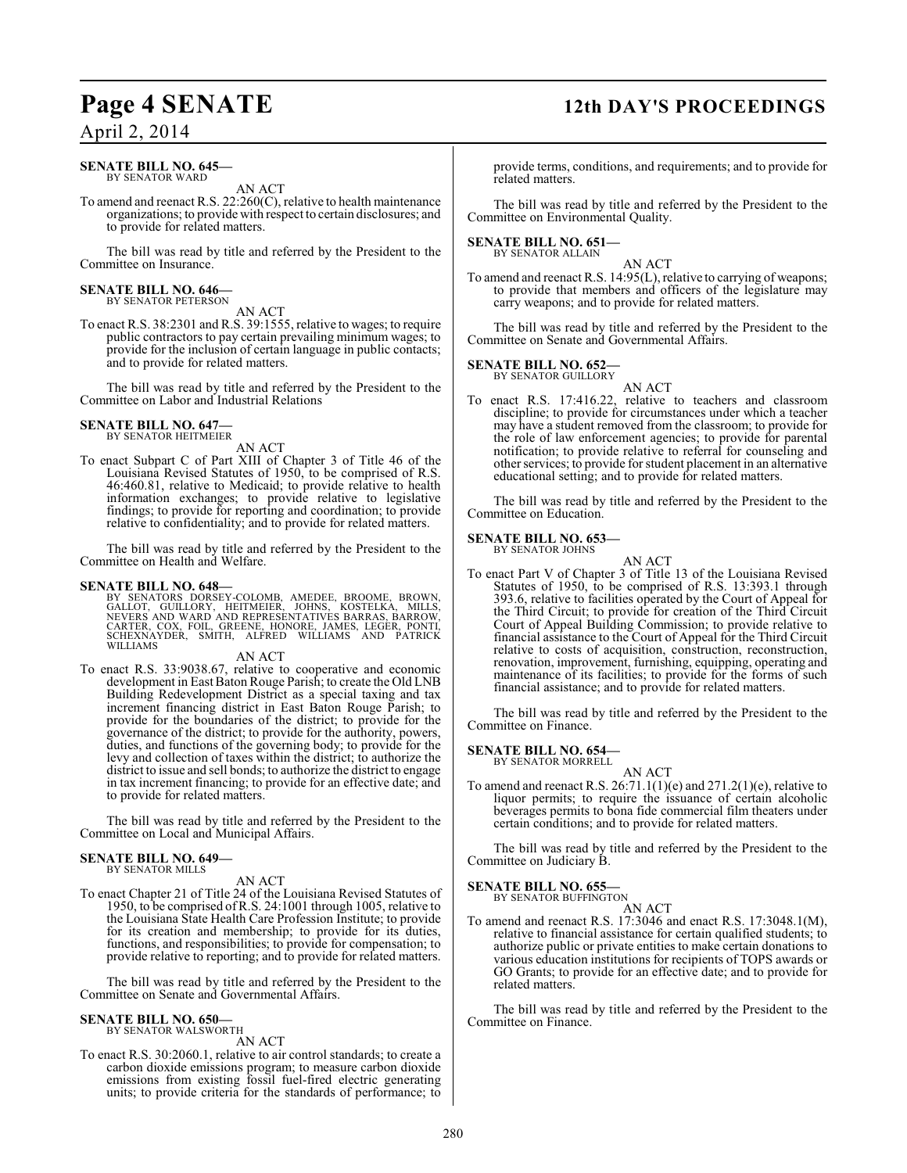#### **SENATE BILL NO. 645—** BY SENATOR WARD

AN ACT

To amend and reenact R.S. 22:260(C), relative to health maintenance organizations; to provide with respect to certain disclosures; and to provide for related matters.

The bill was read by title and referred by the President to the Committee on Insurance.

#### **SENATE BILL NO. 646—** BY SENATOR PETERSON

AN ACT

To enact R.S. 38:2301 and R.S. 39:1555, relative to wages; to require public contractors to pay certain prevailing minimum wages; to provide for the inclusion of certain language in public contacts; and to provide for related matters.

The bill was read by title and referred by the President to the Committee on Labor and Industrial Relations

#### **SENATE BILL NO. 647—** BY SENATOR HEITMEIER

AN ACT

To enact Subpart C of Part XIII of Chapter 3 of Title 46 of the Louisiana Revised Statutes of 1950, to be comprised of R.S. 46:460.81, relative to Medicaid; to provide relative to health information exchanges; to provide relative to legislative findings; to provide for reporting and coordination; to provide relative to confidentiality; and to provide for related matters.

The bill was read by title and referred by the President to the Committee on Health and Welfare.

#### **SENATE BILL NO. 648—**

BY SENATORS DORSEY-COLOMB, AMEDEE, BROOME, BROWN,<br>GALLOT, GUILLORY, HEITMEIER, JOHNS, KOSTELKA, MILLS,<br>NEVERS AND WARD AND REPRESENTATIVES BARRAS, BARROW,<br>CARTER, COX, FOIL, GREENE, HONORE, JAMES, LEGER, PONTI,<br>SCHEXNAYDER

#### AN ACT

To enact R.S. 33:9038.67, relative to cooperative and economic development in East Baton Rouge Parish; to create the Old LNB Building Redevelopment District as a special taxing and tax increment financing district in East Baton Rouge Parish; to provide for the boundaries of the district; to provide for the governance of the district; to provide for the authority, powers, duties, and functions of the governing body; to provide for the levy and collection of taxes within the district; to authorize the district to issue and sell bonds; to authorize the district to engage in tax increment financing; to provide for an effective date; and to provide for related matters.

The bill was read by title and referred by the President to the Committee on Local and Municipal Affairs.

## **SENATE BILL NO. 649—**

BY SENATOR MILLS

#### AN ACT

To enact Chapter 21 of Title 24 of the Louisiana Revised Statutes of 1950, to be comprised ofR.S. 24:1001 through 1005, relative to the Louisiana State Health Care Profession Institute; to provide for its creation and membership; to provide for its duties, functions, and responsibilities; to provide for compensation; to provide relative to reporting; and to provide for related matters.

The bill was read by title and referred by the President to the Committee on Senate and Governmental Affairs.

#### **SENATE BILL NO. 650—** BY SENATOR WALSWORTH

AN ACT

To enact R.S. 30:2060.1, relative to air control standards; to create a carbon dioxide emissions program; to measure carbon dioxide emissions from existing fossil fuel-fired electric generating units; to provide criteria for the standards of performance; to

# **Page 4 SENATE 12th DAY'S PROCEEDINGS**

provide terms, conditions, and requirements; and to provide for related matters.

The bill was read by title and referred by the President to the Committee on Environmental Quality.

#### **SENATE BILL NO. 651—**

BY SENATOR ALLAIN

AN ACT To amend and reenact R.S. 14:95(L), relative to carrying of weapons; to provide that members and officers of the legislature may carry weapons; and to provide for related matters.

The bill was read by title and referred by the President to the Committee on Senate and Governmental Affairs.

# **SENATE BILL NO. 652-**<br>BY SENATOR GUILLORY

AN ACT

To enact R.S. 17:416.22, relative to teachers and classroom discipline; to provide for circumstances under which a teacher may have a student removed from the classroom; to provide for the role of law enforcement agencies; to provide for parental notification; to provide relative to referral for counseling and other services; to provide for student placement in an alternative educational setting; and to provide for related matters.

The bill was read by title and referred by the President to the Committee on Education.

#### **SENATE BILL NO. 653—** BY SENATOR JOHNS

AN ACT

To enact Part V of Chapter 3 of Title 13 of the Louisiana Revised Statutes of 1950, to be comprised of R.S. 13:393.1 through 393.6, relative to facilities operated by the Court of Appeal for the Third Circuit; to provide for creation of the Third Circuit Court of Appeal Building Commission; to provide relative to financial assistance to the Court of Appeal for the Third Circuit relative to costs of acquisition, construction, reconstruction, renovation, improvement, furnishing, equipping, operating and maintenance of its facilities; to provide for the forms of such financial assistance; and to provide for related matters.

The bill was read by title and referred by the President to the Committee on Finance.

## **SENATE BILL NO. 654—**

BY SENATOR MORRELL

AN ACT To amend and reenact R.S.  $26:71.1(1)(e)$  and  $271.2(1)(e)$ , relative to liquor permits; to require the issuance of certain alcoholic beverages permits to bona fide commercial film theaters under certain conditions; and to provide for related matters.

The bill was read by title and referred by the President to the Committee on Judiciary B.

### **SENATE BILL NO. 655—**

BY SENATOR BUFFINGTON

AN ACT To amend and reenact R.S. 17:3046 and enact R.S. 17:3048.1(M), relative to financial assistance for certain qualified students; to authorize public or private entities to make certain donations to various education institutions for recipients of TOPS awards or GO Grants; to provide for an effective date; and to provide for related matters.

The bill was read by title and referred by the President to the Committee on Finance.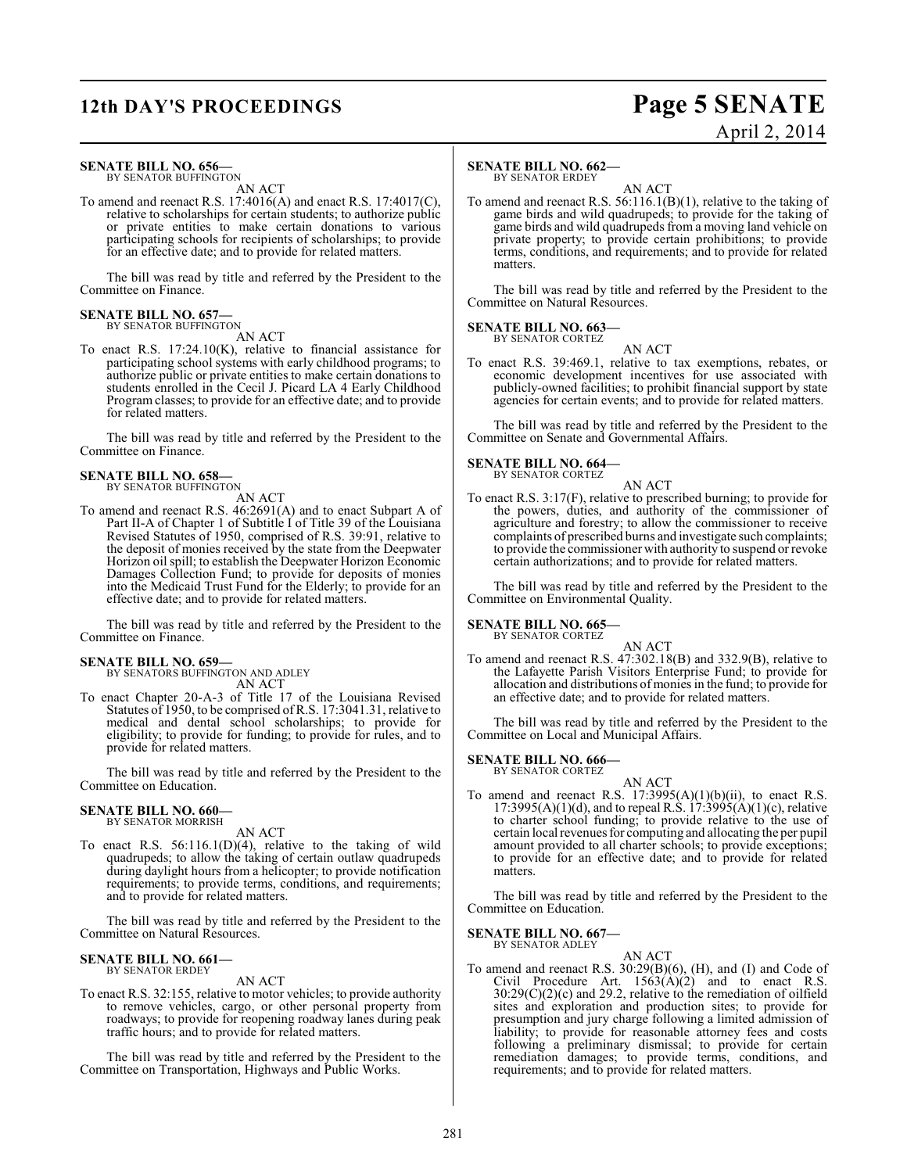# **12th DAY'S PROCEEDINGS Page 5 SENATE**

# April 2, 2014

#### **SENATE BILL NO. 656—** BY SENATOR BUFFINGTON

AN ACT

To amend and reenact R.S. 17:4016(A) and enact R.S. 17:4017(C), relative to scholarships for certain students; to authorize public or private entities to make certain donations to various participating schools for recipients of scholarships; to provide for an effective date; and to provide for related matters.

The bill was read by title and referred by the President to the Committee on Finance.

#### **SENATE BILL NO. 657—** BY SENATOR BUFFINGTON

AN ACT

To enact R.S. 17:24.10(K), relative to financial assistance for participating school systems with early childhood programs; to authorize public or private entities to make certain donations to students enrolled in the Cecil J. Picard LA 4 Early Childhood Program classes; to provide for an effective date; and to provide for related matters.

The bill was read by title and referred by the President to the Committee on Finance.

#### **SENATE BILL NO. 658—**

BY SENATOR BUFFINGTON AN ACT

To amend and reenact R.S. 46:2691(A) and to enact Subpart A of Part II-A of Chapter 1 of Subtitle I of Title 39 of the Louisiana Revised Statutes of 1950, comprised of R.S. 39:91, relative to the deposit of monies received by the state from the Deepwater Horizon oil spill; to establish the Deepwater Horizon Economic Damages Collection Fund; to provide for deposits of monies into the Medicaid Trust Fund for the Elderly; to provide for an effective date; and to provide for related matters.

The bill was read by title and referred by the President to the Committee on Finance.

## **SENATE BILL NO. 659—**

BY SENATORS BUFFINGTON AND ADLEY AN ACT

To enact Chapter 20-A-3 of Title 17 of the Louisiana Revised Statutes of 1950, to be comprised of R.S. 17:3041.31, relative to medical and dental school scholarships; to provide for eligibility; to provide for funding; to provide for rules, and to provide for related matters.

The bill was read by title and referred by the President to the Committee on Education.

#### **SENATE BILL NO. 660—** BY SENATOR MORRISH

AN ACT

To enact R.S. 56:116.1(D)(4), relative to the taking of wild quadrupeds; to allow the taking of certain outlaw quadrupeds during daylight hours from a helicopter; to provide notification requirements; to provide terms, conditions, and requirements; and to provide for related matters.

The bill was read by title and referred by the President to the Committee on Natural Resources.

#### **SENATE BILL NO. 661—** BY SENATOR ERDEY

AN ACT

To enact R.S. 32:155, relative to motor vehicles; to provide authority to remove vehicles, cargo, or other personal property from roadways; to provide for reopening roadway lanes during peak traffic hours; and to provide for related matters.

The bill was read by title and referred by the President to the Committee on Transportation, Highways and Public Works.

### **SENATE BILL NO. 662—**

BY SENATOR ERDEY

AN ACT To amend and reenact R.S. 56:116.1(B)(1), relative to the taking of game birds and wild quadrupeds; to provide for the taking of game birds and wild quadrupeds from a moving land vehicle on private property; to provide certain prohibitions; to provide terms, conditions, and requirements; and to provide for related matters.

The bill was read by title and referred by the President to the Committee on Natural Resources.

**SENATE BILL NO. 663—** BY SENATOR CORTEZ

AN ACT

To enact R.S. 39:469.1, relative to tax exemptions, rebates, or economic development incentives for use associated with publicly-owned facilities; to prohibit financial support by state agencies for certain events; and to provide for related matters.

The bill was read by title and referred by the President to the Committee on Senate and Governmental Affairs.

## **SENATE BILL NO. 664—**

BY SENATOR CORTEZ AN ACT

To enact R.S. 3:17(F), relative to prescribed burning; to provide for the powers, duties, and authority of the commissioner of agriculture and forestry; to allow the commissioner to receive complaints of prescribed burns and investigate such complaints; to provide the commissioner with authority to suspend or revoke certain authorizations; and to provide for related matters.

The bill was read by title and referred by the President to the Committee on Environmental Quality.

#### **SENATE BILL NO. 665—** BY SENATOR CORTEZ

AN ACT

To amend and reenact R.S. 47:302.18(B) and 332.9(B), relative to the Lafayette Parish Visitors Enterprise Fund; to provide for allocation and distributions of monies in the fund; to provide for an effective date; and to provide for related matters.

The bill was read by title and referred by the President to the Committee on Local and Municipal Affairs.

# **SENATE BILL NO. 666—** BY SENATOR CORTEZ

AN ACT

To amend and reenact R.S.  $17:3995(A)(1)(b)(ii)$ , to enact R.S.  $17:3995(A)(1)(d)$ , and to repeal R.S.  $17:3995(A)(1)(c)$ , relative to charter school funding; to provide relative to the use of certain local revenues for computing and allocating the per pupil amount provided to all charter schools; to provide exceptions; to provide for an effective date; and to provide for related matters.

The bill was read by title and referred by the President to the Committee on Education.

**SENATE BILL NO. 667—** BY SENATOR ADLEY

AN ACT

To amend and reenact R.S. 30:29(B)(6), (H), and (I) and Code of Civil Procedure Art.  $1563(A)(2)$  and to enact R.S. 30:29(C)(2)(c) and 29.2, relative to the remediation of oilfield sites and exploration and production sites; to provide for presumption and jury charge following a limited admission of liability; to provide for reasonable attorney fees and costs following a preliminary dismissal; to provide for certain remediation damages; to provide terms, conditions, and requirements; and to provide for related matters.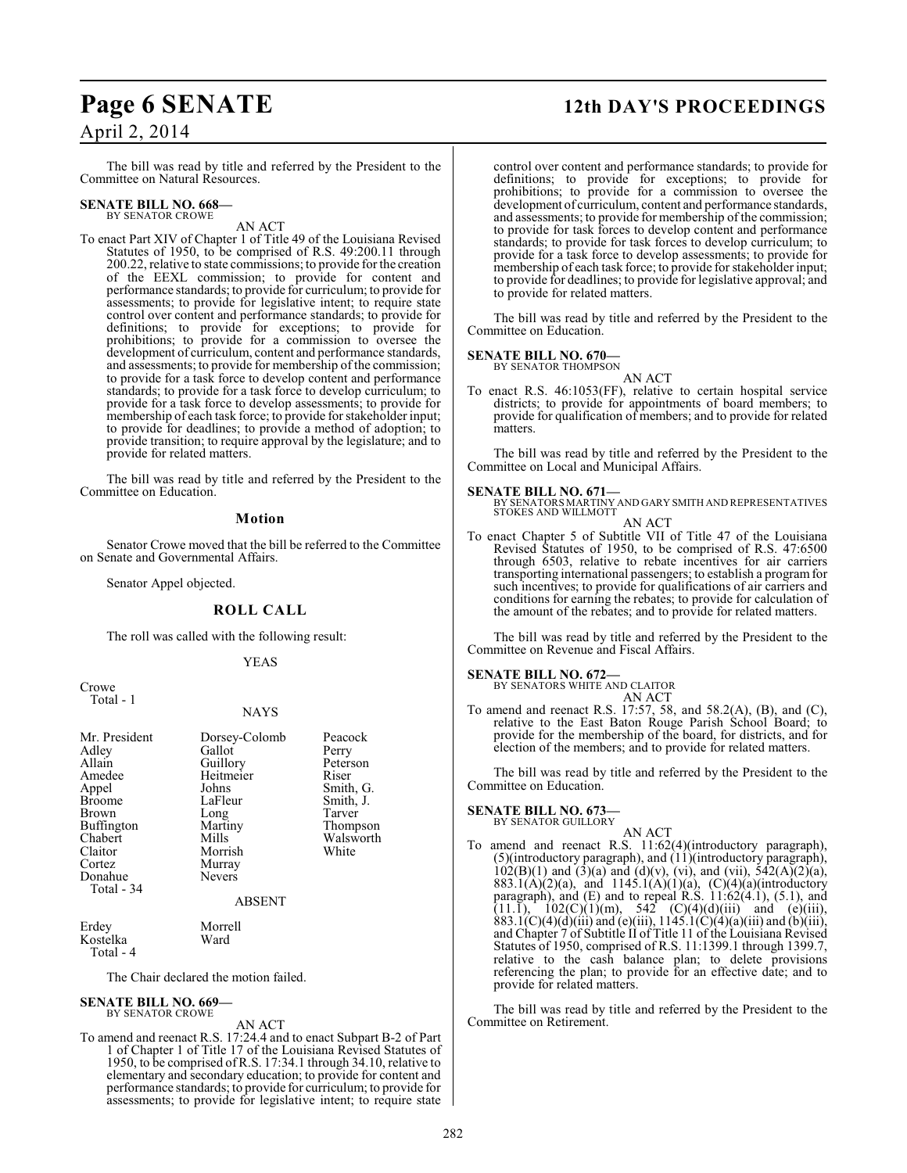# **Page 6 SENATE 12th DAY'S PROCEEDINGS**

## April 2, 2014

The bill was read by title and referred by the President to the Committee on Natural Resources.

#### **SENATE BILL NO. 668—** BY SENATOR CROWE

AN ACT

To enact Part XIV of Chapter 1 of Title 49 of the Louisiana Revised Statutes of 1950, to be comprised of R.S. 49:200.11 through 200.22, relative to state commissions; to provide for the creation of the EEXL commission; to provide for content and performance standards; to provide for curriculum; to provide for assessments; to provide for legislative intent; to require state control over content and performance standards; to provide for definitions; to provide for exceptions; to provide for prohibitions; to provide for a commission to oversee the development of curriculum, content and performance standards, and assessments; to provide for membership of the commission; to provide for a task force to develop content and performance standards; to provide for a task force to develop curriculum; to provide for a task force to develop assessments; to provide for membership of each task force; to provide for stakeholder input; to provide for deadlines; to provide a method of adoption; to provide transition; to require approval by the legislature; and to provide for related matters.

The bill was read by title and referred by the President to the Committee on Education.

#### **Motion**

Senator Crowe moved that the bill be referred to the Committee on Senate and Governmental Affairs.

Senator Appel objected.

#### **ROLL CALL**

The roll was called with the following result:

#### YEAS

Crowe Total - 1

#### **NAYS**

| Mr. President<br>Adley<br>Allain<br>Amedee<br>Appel<br><b>Broome</b><br><b>Brown</b><br>Buffington<br>Chabert<br>Claitor<br>Cortez<br>Donahue<br>Total - 34 | Dorsey-Colomb<br>Gallot<br>Guillory<br>Heitmeier<br>Johns<br>LaFleur<br>Long<br>Martiny<br>Mills<br>Morrish<br>Murray<br><b>Nevers</b><br><b>ABSENT</b> | Peacock<br>Perry<br>Peterson<br>Riser<br>Smith, G.<br>Smith, J.<br>Tarver<br>Thompson<br>Walsworth<br>White |
|-------------------------------------------------------------------------------------------------------------------------------------------------------------|---------------------------------------------------------------------------------------------------------------------------------------------------------|-------------------------------------------------------------------------------------------------------------|
| Erdey<br>$ -$                                                                                                                                               | Morrell<br>-- -                                                                                                                                         |                                                                                                             |

Kostelka Ward Total - 4

The Chair declared the motion failed.

# **SENATE BILL NO. 669—** BY SENATOR CROWE

#### AN ACT

To amend and reenact R.S. 17:24.4 and to enact Subpart B-2 of Part 1 of Chapter 1 of Title 17 of the Louisiana Revised Statutes of 1950, to be comprised ofR.S. 17:34.1 through 34.10, relative to elementary and secondary education; to provide for content and performance standards; to provide for curriculum; to provide for assessments; to provide for legislative intent; to require state

control over content and performance standards; to provide for definitions; to provide for exceptions; to provide for prohibitions; to provide for a commission to oversee the development of curriculum, content and performance standards, and assessments; to provide for membership of the commission; to provide for task forces to develop content and performance standards; to provide for task forces to develop curriculum; to provide for a task force to develop assessments; to provide for membership of each task force; to provide for stakeholder input; to provide for deadlines; to provide for legislative approval; and to provide for related matters.

The bill was read by title and referred by the President to the Committee on Education.

#### **SENATE BILL NO. 670—**

BY SENATOR THOMPSON AN ACT

To enact R.S. 46:1053(FF), relative to certain hospital service districts; to provide for appointments of board members; to provide for qualification of members; and to provide for related matters.

The bill was read by title and referred by the President to the Committee on Local and Municipal Affairs.

**SENATE BILL NO. 671—**<br>BY SENATORS MARTINY AND GARY SMITH AND REPRESENTATIVES<br>STOKES AND WILLMOTT AN ACT

To enact Chapter 5 of Subtitle VII of Title 47 of the Louisiana Revised Statutes of 1950, to be comprised of R.S. 47:6500 through 6503, relative to rebate incentives for air carriers transporting international passengers; to establish a program for such incentives; to provide for qualifications of air carriers and conditions for earning the rebates; to provide for calculation of the amount of the rebates; and to provide for related matters.

The bill was read by title and referred by the President to the Committee on Revenue and Fiscal Affairs.

#### **SENATE BILL NO. 672—**

BY SENATORS WHITE AND CLAITOR AN ACT

To amend and reenact R.S. 17:57, 58, and 58.2(A), (B), and (C), relative to the East Baton Rouge Parish School Board; to provide for the membership of the board, for districts, and for election of the members; and to provide for related matters.

The bill was read by title and referred by the President to the Committee on Education.

## **SENATE BILL NO. 673—**

## BY SENATOR GUILLORY

AN ACT To amend and reenact R.S. 11:62(4)(introductory paragraph), (5)(introductory paragraph), and (11)(introductory paragraph),  $102(B)(1)$  and  $(3)(a)$  and  $(d)(v)$ ,  $(vi)$ , and  $(vii)$ ,  $542(A)(2)(a)$ , 883.1(A)(2)(a), and 1145.1(A)(1)(a), (C)(4)(a)(introductory paragraph), and (E) and to repeal R.S. 11:62(4.1), (5.1), and  $(11.1)$ ,  $102(C)(1)(m)$ ,  $542(C)(4)(d)(iii)$  and (e)(iii), 883.1(C)(4)(d)(iii) and (e)(iii), 1145.1(C)(4)(a)(iii) and (b)(iii), and Chapter 7 of Subtitle II of Title 11 of the Louisiana Revised Statutes of 1950, comprised of R.S. 11:1399.1 through 1399.7, relative to the cash balance plan; to delete provisions referencing the plan; to provide for an effective date; and to provide for related matters.

The bill was read by title and referred by the President to the Committee on Retirement.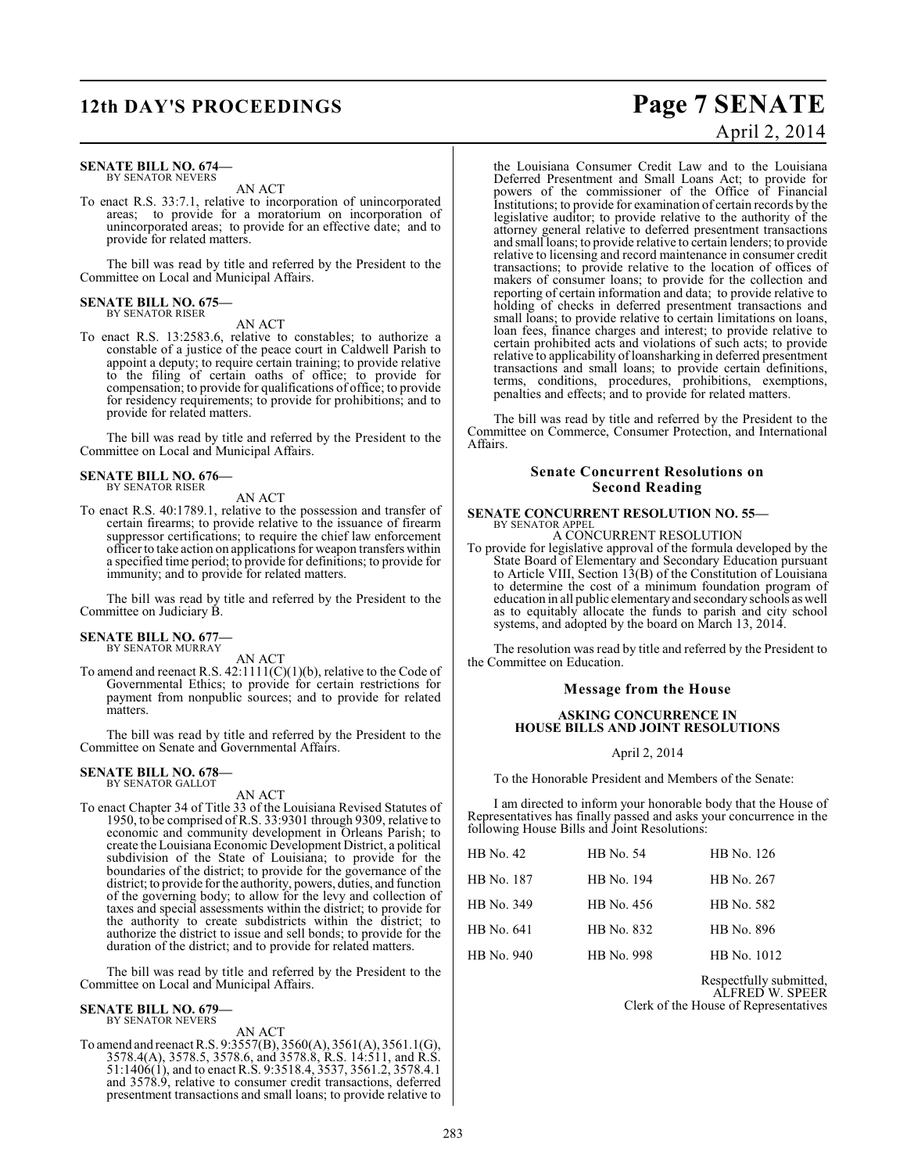#### **SENATE BILL NO. 674—** BY SENATOR NEVERS

AN ACT

To enact R.S. 33:7.1, relative to incorporation of unincorporated areas; to provide for a moratorium on incorporation of unincorporated areas; to provide for an effective date; and to provide for related matters.

The bill was read by title and referred by the President to the Committee on Local and Municipal Affairs.

# **SENATE BILL NO. 675—** BY SENATOR RISER

AN ACT

To enact R.S. 13:2583.6, relative to constables; to authorize a constable of a justice of the peace court in Caldwell Parish to appoint a deputy; to require certain training; to provide relative to the filing of certain oaths of office; to provide for compensation; to provide for qualifications of office; to provide for residency requirements; to provide for prohibitions; and to provide for related matters.

The bill was read by title and referred by the President to the Committee on Local and Municipal Affairs.

#### **SENATE BILL NO. 676—** BY SENATOR RISER

AN ACT

To enact R.S. 40:1789.1, relative to the possession and transfer of certain firearms; to provide relative to the issuance of firearm suppressor certifications; to require the chief law enforcement officer to take action on applications for weapon transfers within a specified time period; to provide for definitions; to provide for immunity; and to provide for related matters.

The bill was read by title and referred by the President to the Committee on Judiciary B.

#### **SENATE BILL NO. 677—** BY SENATOR MURRAY

AN ACT

To amend and reenact R.S. 42:1111(C)(1)(b), relative to the Code of Governmental Ethics; to provide for certain restrictions for payment from nonpublic sources; and to provide for related matters.

The bill was read by title and referred by the President to the Committee on Senate and Governmental Affairs.

#### **SENATE BILL NO. 678—** BY SENATOR GALLOT

AN ACT

To enact Chapter 34 of Title 33 of the Louisiana Revised Statutes of 1950, to be comprised of R.S. 33:9301 through 9309, relative to economic and community development in Orleans Parish; to create the Louisiana Economic Development District, a political subdivision of the State of Louisiana; to provide for the boundaries of the district; to provide for the governance of the district; to provide for the authority, powers, duties, and function of the governing body; to allow for the levy and collection of taxes and special assessments within the district; to provide for the authority to create subdistricts within the district; to authorize the district to issue and sell bonds; to provide for the duration of the district; and to provide for related matters.

The bill was read by title and referred by the President to the Committee on Local and Municipal Affairs.

# **SENATE BILL NO. 679—** BY SENATOR NEVERS

AN ACT

To amend and reenact R.S. 9:3557(B), 3560(A), 3561(A), 3561.1(G), 3578.4(A), 3578.5, 3578.6, and 3578.8, R.S. 14:511, and R.S. 51:1406(1), and to enact R.S. 9:3518.4, 3537, 3561.2, 3578.4.1 and 3578.9, relative to consumer credit transactions, deferred presentment transactions and small loans; to provide relative to

# **12th DAY'S PROCEEDINGS Page 7 SENATE** April 2, 2014

the Louisiana Consumer Credit Law and to the Louisiana Deferred Presentment and Small Loans Act; to provide for powers of the commissioner of the Office of Financial Institutions; to provide for examination of certain records by the legislative auditor; to provide relative to the authority of the attorney general relative to deferred presentment transactions and small loans; to provide relative to certain lenders; to provide relative to licensing and record maintenance in consumer credit transactions; to provide relative to the location of offices of makers of consumer loans; to provide for the collection and reporting of certain information and data; to provide relative to holding of checks in deferred presentment transactions and small loans; to provide relative to certain limitations on loans, loan fees, finance charges and interest; to provide relative to certain prohibited acts and violations of such acts; to provide relative to applicability of loansharking in deferred presentment transactions and small loans; to provide certain definitions, terms, conditions, procedures, prohibitions, exemptions, penalties and effects; and to provide for related matters.

The bill was read by title and referred by the President to the Committee on Commerce, Consumer Protection, and International Affairs.

#### **Senate Concurrent Resolutions on Second Reading**

#### **SENATE CONCURRENT RESOLUTION NO. 55—** BY SENATOR APPEL

A CONCURRENT RESOLUTION

To provide for legislative approval of the formula developed by the State Board of Elementary and Secondary Education pursuant to Article VIII, Section 13(B) of the Constitution of Louisiana to determine the cost of a minimum foundation program of education in all public elementary and secondary schools as well as to equitably allocate the funds to parish and city school systems, and adopted by the board on March 13, 2014.

The resolution was read by title and referred by the President to the Committee on Education.

#### **Message from the House**

#### **ASKING CONCURRENCE IN HOUSE BILLS AND JOINT RESOLUTIONS**

#### April 2, 2014

To the Honorable President and Members of the Senate:

I am directed to inform your honorable body that the House of Representatives has finally passed and asks your concurrence in the following House Bills and Joint Resolutions:

| <b>HB</b> No. 42 | HB No. 54  | HB No. 126  |
|------------------|------------|-------------|
| HB No. 187       | HB No. 194 | HB No. 267  |
| HB No. 349       | HB No. 456 | HB No. 582  |
| HB No. 641       | HB No. 832 | HB No. 896  |
| HB No. 940       | HB No. 998 | HB No. 1012 |

Respectfully submitted, ALFRED W. SPEER Clerk of the House of Representatives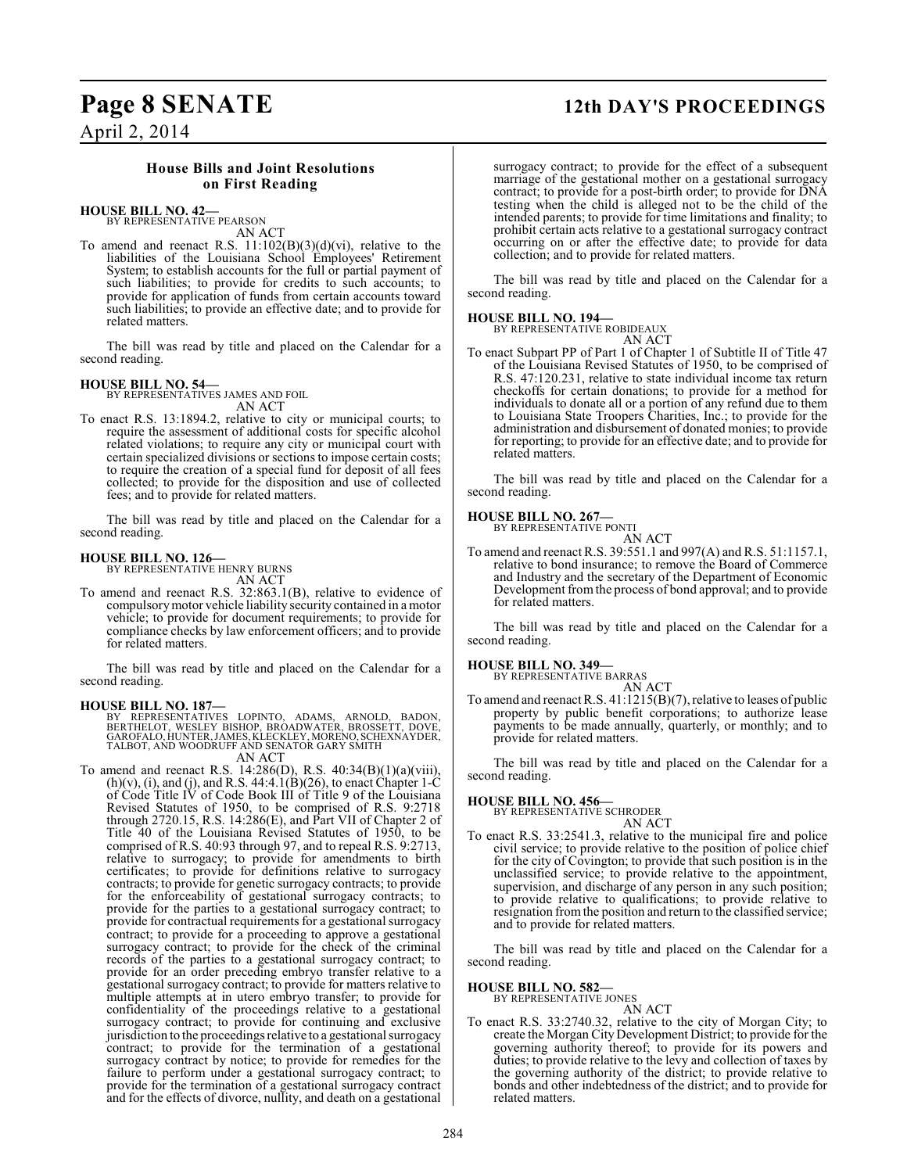# **Page 8 SENATE 12th DAY'S PROCEEDINGS**

April 2, 2014

## **House Bills and Joint Resolutions on First Reading**

### **HOUSE BILL NO. 42—**

BY REPRESENTATIVE PEARSON AN ACT

To amend and reenact R.S. 11:102(B)(3)(d)(vi), relative to the liabilities of the Louisiana School Employees' Retirement System; to establish accounts for the full or partial payment of such liabilities; to provide for credits to such accounts; to provide for application of funds from certain accounts toward such liabilities; to provide an effective date; and to provide for related matters.

The bill was read by title and placed on the Calendar for a second reading.

#### **HOUSE BILL NO. 54—**

BY REPRESENTATIVES JAMES AND FOIL AN ACT

To enact R.S. 13:1894.2, relative to city or municipal courts; to require the assessment of additional costs for specific alcohol related violations; to require any city or municipal court with certain specialized divisions or sections to impose certain costs; to require the creation of a special fund for deposit of all fees collected; to provide for the disposition and use of collected fees; and to provide for related matters.

The bill was read by title and placed on the Calendar for a second reading.

# **HOUSE BILL NO. 126—** BY REPRESENTATIVE HENRY BURNS

AN ACT

To amend and reenact R.S. 32:863.1(B), relative to evidence of compulsory motor vehicle liability security contained in a motor vehicle; to provide for document requirements; to provide for compliance checks by law enforcement officers; and to provide for related matters.

The bill was read by title and placed on the Calendar for a second reading.

**HOUSE BILL NO. 187—** BY REPRESENTATIVES LOPINTO, ADAMS, ARNOLD, BADON, BERTHELOT, WESLEY BISHOP, BROADWATER, BROSSETT, DOVE, GAROFALO, HUNTER, JAMES, KLECKLEY, MORENO, SCHEXNAYDER, TALBOT, AND WOODRUFF AND SENATOR GARY SMITH

AN ACT

To amend and reenact R.S. 14:286(D), R.S. 40:34(B)(1)(a)(viii),  $(h)(v)$ , (i), and (j), and R.S. 44:4.1(B)(26), to enact Chapter 1-C of Code Title IV of Code Book III of Title 9 of the Louisiana Revised Statutes of 1950, to be comprised of R.S. 9:2718 through 2720.15, R.S. 14:286(E), and Part VII of Chapter 2 of Title 40 of the Louisiana Revised Statutes of 1950, to be comprised of R.S. 40:93 through 97, and to repeal R.S. 9:2713, relative to surrogacy; to provide for amendments to birth certificates; to provide for definitions relative to surrogacy contracts; to provide for genetic surrogacy contracts; to provide for the enforceability of gestational surrogacy contracts; to provide for the parties to a gestational surrogacy contract; to provide for contractual requirements for a gestational surrogacy contract; to provide for a proceeding to approve a gestational surrogacy contract; to provide for the check of the criminal records of the parties to a gestational surrogacy contract; to provide for an order preceding embryo transfer relative to a gestational surrogacy contract; to provide for matters relative to multiple attempts at in utero embryo transfer; to provide for confidentiality of the proceedings relative to a gestational surrogacy contract; to provide for continuing and exclusive jurisdiction to the proceedings relative to a gestational surrogacy contract; to provide for the termination of a gestational surrogacy contract by notice; to provide for remedies for the failure to perform under a gestational surrogacy contract; to provide for the termination of a gestational surrogacy contract and for the effects of divorce, nullity, and death on a gestational

surrogacy contract; to provide for the effect of a subsequent marriage of the gestational mother on a gestational surrogacy contract; to provide for a post-birth order; to provide for DNA testing when the child is alleged not to be the child of the intended parents; to provide for time limitations and finality; to prohibit certain acts relative to a gestational surrogacy contract occurring on or after the effective date; to provide for data collection; and to provide for related matters.

The bill was read by title and placed on the Calendar for a second reading.

#### **HOUSE BILL NO. 194—**

BY REPRESENTATIVE ROBIDEAUX AN ACT

To enact Subpart PP of Part 1 of Chapter 1 of Subtitle II of Title 47 of the Louisiana Revised Statutes of 1950, to be comprised of R.S. 47:120.231, relative to state individual income tax return checkoffs for certain donations; to provide for a method for individuals to donate all or a portion of any refund due to them to Louisiana State Troopers Charities, Inc.; to provide for the administration and disbursement of donated monies; to provide for reporting; to provide for an effective date; and to provide for related matters.

The bill was read by title and placed on the Calendar for a second reading.

#### **HOUSE BILL NO. 267—**

BY REPRESENTATIVE PONTI AN ACT

To amend and reenactR.S. 39:551.1 and 997(A) and R.S. 51:1157.1, relative to bond insurance; to remove the Board of Commerce and Industry and the secretary of the Department of Economic Development from the process of bond approval; and to provide for related matters.

The bill was read by title and placed on the Calendar for a second reading.

**HOUSE BILL NO. 349—**

BY REPRESENTATIVE BARRAS AN ACT

To amend and reenact R.S. 41:1215(B)(7), relative to leases of public property by public benefit corporations; to authorize lease payments to be made annually, quarterly, or monthly; and to provide for related matters.

The bill was read by title and placed on the Calendar for a second reading.

#### **HOUSE BILL NO. 456—**

BY REPRESENTATIVE SCHRODER AN ACT

To enact R.S. 33:2541.3, relative to the municipal fire and police civil service; to provide relative to the position of police chief for the city of Covington; to provide that such position is in the unclassified service; to provide relative to the appointment, supervision, and discharge of any person in any such position; to provide relative to qualifications; to provide relative to resignation from the position and return to the classified service; and to provide for related matters.

The bill was read by title and placed on the Calendar for a second reading.

**HOUSE BILL NO. 582—** BY REPRESENTATIVE JONES

AN ACT

To enact R.S. 33:2740.32, relative to the city of Morgan City; to create the Morgan City Development District; to provide for the governing authority thereof; to provide for its powers and duties; to provide relative to the levy and collection of taxes by the governing authority of the district; to provide relative to bonds and other indebtedness of the district; and to provide for related matters.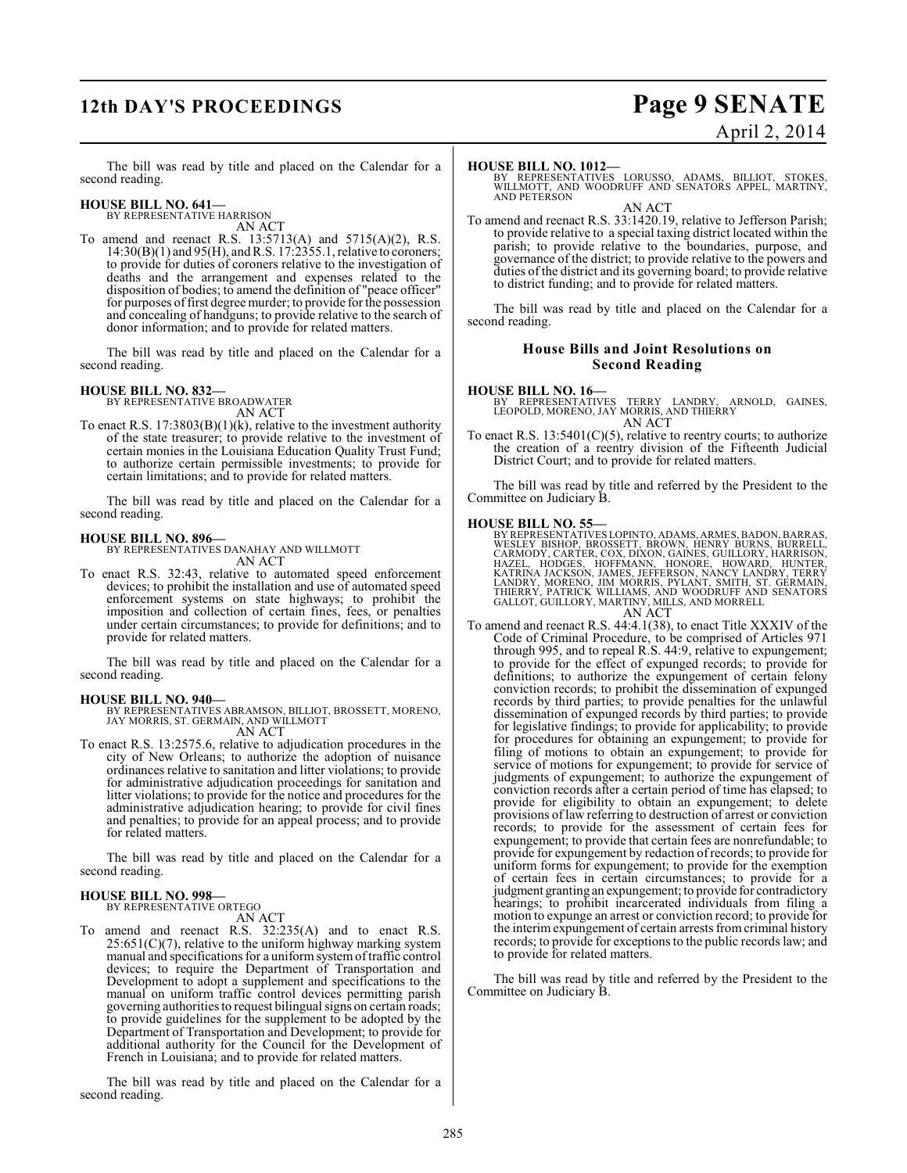# **12th DAY'S PROCEEDINGS Page 9 SENATE**

# April 2, 2014

The bill was read by title and placed on the Calendar for a second reading.

# **HOUSE BILL NO. 641—** BY REPRESENTATIVE HARRISON

AN ACT

To amend and reenact R.S. 13:5713(A) and 5715(A)(2), R.S. 14:30(B)(1) and 95(H), and R.S. 17:2355.1, relative to coroners; to provide for duties of coroners relative to the investigation of deaths and the arrangement and expenses related to the disposition of bodies; to amend the definition of "peace officer" for purposes of first degree murder; to provide for the possession and concealing of handguns; to provide relative to the search of donor information; and to provide for related matters.

The bill was read by title and placed on the Calendar for a second reading.

### **HOUSE BILL NO. 832—**

BY REPRESENTATIVE BROADWATER AN ACT

To enact R.S. 17:3803(B)(1)(k), relative to the investment authority of the state treasurer; to provide relative to the investment of certain monies in the Louisiana Education Quality Trust Fund; to authorize certain permissible investments; to provide for certain limitations; and to provide for related matters.

The bill was read by title and placed on the Calendar for a second reading.

**HOUSE BILL NO. 896—** BY REPRESENTATIVES DANAHAY AND WILLMOTT AN ACT

To enact R.S. 32:43, relative to automated speed enforcement devices; to prohibit the installation and use of automated speed enforcement systems on state highways; to prohibit the imposition and collection of certain fines, fees, or penalties under certain circumstances; to provide for definitions; and to provide for related matters.

The bill was read by title and placed on the Calendar for a second reading.

#### **HOUSE BILL NO. 940—**

BY REPRESENTATIVES ABRAMSON, BILLIOT, BROSSETT, MORENO, JAY MORRIS, ST. GERMAIN, AND WILLMOTT AN ACT

To enact R.S. 13:2575.6, relative to adjudication procedures in the city of New Orleans; to authorize the adoption of nuisance ordinances relative to sanitation and litter violations; to provide for administrative adjudication proceedings for sanitation and litter violations; to provide for the notice and procedures for the administrative adjudication hearing; to provide for civil fines and penalties; to provide for an appeal process; and to provide for related matters.

The bill was read by title and placed on the Calendar for a second reading.

#### **HOUSE BILL NO. 998—** BY REPRESENTATIVE ORTEGO

AN ACT

To amend and reenact R.S. 32:235(A) and to enact R.S.  $25:651(C)(7)$ , relative to the uniform highway marking system manual and specifications for a uniform system of traffic control devices; to require the Department of Transportation and Development to adopt a supplement and specifications to the manual on uniform traffic control devices permitting parish governing authorities to request bilingual signs on certain roads; to provide guidelines for the supplement to be adopted by the Department of Transportation and Development; to provide for additional authority for the Council for the Development of French in Louisiana; and to provide for related matters.

The bill was read by title and placed on the Calendar for a second reading.

**HOUSE BILL NO. 1012—** BY REPRESENTATIVES LORUSSO, ADAMS, BILLIOT, STOKES, WILLMOTT, AND WOODRUFF AND SENATORS APPEL, MARTINY, AND PETERSON

AN ACT

To amend and reenact R.S. 33:1420.19, relative to Jefferson Parish; to provide relative to a special taxing district located within the parish; to provide relative to the boundaries, purpose, and governance of the district; to provide relative to the powers and duties of the district and its governing board; to provide relative to district funding; and to provide for related matters.

The bill was read by title and placed on the Calendar for a second reading.

#### **House Bills and Joint Resolutions on Second Reading**

#### **HOUSE BILL NO. 16—**

BY REPRESENTATIVES TERRY LANDRY, ARNOLD, GAINES, LEOPOLD, MORENO, JAY MORRIS, AND THIERRY AN ACT

To enact R.S.  $13:5401(C)(5)$ , relative to reentry courts; to authorize the creation of a reentry division of the Fifteenth Judicial District Court; and to provide for related matters.

The bill was read by title and referred by the President to the Committee on Judiciary B.

#### **HOUSE BILL NO. 55—**

BY REPRESENTATIVES LOPINTO, ADAMS, ARMES, BADON, BARRAS, WESLEY BISHOP, BROSSETT, BROWN, HENRY BURNON, ALEXANDICAN<br>CARMODY, CARTER, COX, DIXON, GAINES, GUILLORY, HARRISDN,<br>HAZEL, HODGES, HOFFMANN, HONORE, HOWARD, HUNTER,<br>K

To amend and reenact R.S. 44:4.1(38), to enact Title XXXIV of the Code of Criminal Procedure, to be comprised of Articles 971 through 995, and to repeal R.S. 44:9, relative to expungement; to provide for the effect of expunged records; to provide for definitions; to authorize the expungement of certain felony conviction records; to prohibit the dissemination of expunged records by third parties; to provide penalties for the unlawful dissemination of expunged records by third parties; to provide for legislative findings; to provide for applicability; to provide for procedures for obtaining an expungement; to provide for filing of motions to obtain an expungement; to provide for service of motions for expungement; to provide for service of judgments of expungement; to authorize the expungement of conviction records after a certain period of time has elapsed; to provide for eligibility to obtain an expungement; to delete provisions of law referring to destruction of arrest or conviction records; to provide for the assessment of certain fees for expungement; to provide that certain fees are nonrefundable; to provide for expungement by redaction ofrecords; to provide for uniform forms for expungement; to provide for the exemption of certain fees in certain circumstances; to provide for a judgment granting an expungement; to provide for contradictory hearings; to prohibit incarcerated individuals from filing a motion to expunge an arrest or conviction record; to provide for the interim expungement of certain arrests from criminal history records; to provide for exceptions to the public records law; and to provide for related matters.

The bill was read by title and referred by the President to the Committee on Judiciary B.

AN ACT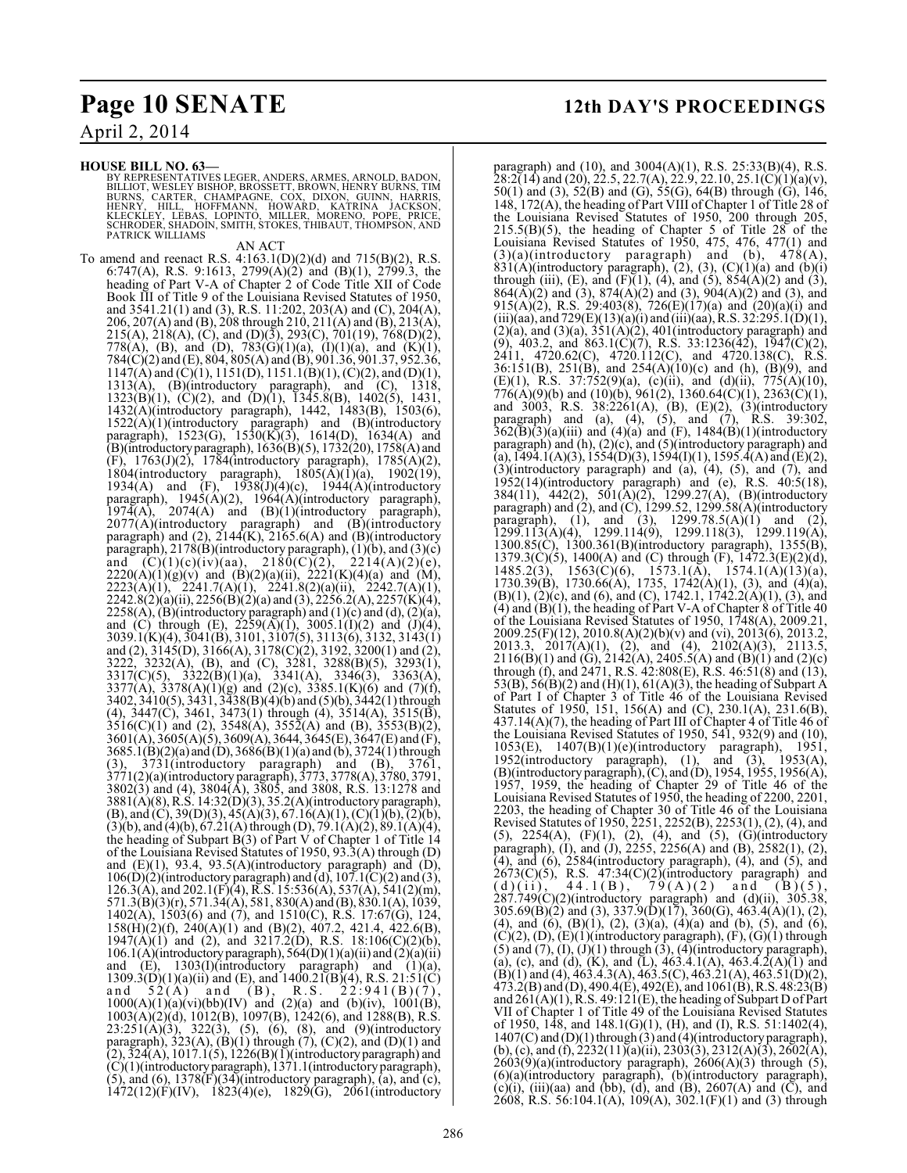**HOUSE BILL NO. 63—**

BY REPRESENTATIVES LEGER, ANDERS, ARMES, ARNOLD, BADON, BILLIOT, WESLEY BISHOP, BROSSETT, BROWN, HENRY BURNS, TIM<br>BURNS, CARTER, CHAMPAGNE, COX, DIXON, GUINN, HARRIS,<br>HENRY, HILL, HOFFMANN, HOWARD, KATRINA JACKSON,<br>KLECKLEY, LEBAS, LOPINTO, MILLER, MORENO, POPE, PRICE,<br>SCHRODER

#### AN ACT

To amend and reenact R.S. 4:163.1(D)(2)(d) and 715(B)(2), R.S. 6:747(A), R.S. 9:1613, 2799(A)(2) and (B)(1), 2799.3, the heading of Part V-A of Chapter 2 of Code Title XII of Code Book III of Title 9 of the Louisiana Revised Statutes of 1950, and 3541.21(1) and (3), R.S. 11:202, 203(A) and (C), 204(A), 206, 207(A) and (B), 208 through 210, 211(A) and (B), 213(A), 215(A), 218(A), (C), and (D)(3), 293(C), 701(19), 768(D)(2), 778(A), (B), and (D), 783(G)(1)(a), (I)(1)(a), and (K)(1), 784(C)(2) and (E), 804, 805(A) and (B), 901.36, 901.37, 952.36,  $1147(A)$  and  $(C)(1)$ ,  $1151(D)$ ,  $1151.1(B)(1)$ ,  $(C)(2)$ , and  $(D)(1)$ , 1313(A), (B)(introductory paragraph), and (C), 1318,  $1323(B)(1)$ ,  $(C)(2)$ , and  $(D)(1)$ ,  $1345.8(B)$ ,  $1402(5)$ , 1431, 1432(A)(introductory paragraph), 1442, 1483(B), 1503(6),  $1522(A)(1)(introducing paragraph)$  and  $(B)(introducing$ paragraph), 1523(G), 1530(K)(3), 1614(D), 1634(A) and (B)(introductory paragraph), 1636(B)(5), 1732(20), 1758(A) and (F), 1763(J)(2), 1784(introductory paragraph), 1785(A)(2), 1804(introductory paragraph),  $1805(A)(1)(a)$ ,  $1902(19)$ , 1934(A) and  $(F)$ , 1938(J)(4)(c), 1944(A)(introductory paragraph), 1945(A)(2), 1964(A)(introductory paragraph),  $1974(A)$ ,  $2074(A)$  and  $(B)(1)(introductory$  paragraph), 2077(A)(introductory paragraph) and (B)(introductory paragraph) and  $(2)$ ,  $2144(K)$ ,  $2165.6(A)$  and  $(B)$ (introductory paragraph), 2178(B)(introductory paragraph), (1)(b), and (3)(c) and  $(C)(1)(c)(iv)(aa)$ ,  $2180(C)(2)$ ,  $2214(A)(2)(e)$ ,  $2220(A)(1)(g)(v)$  and  $(B)(2)(a)(ii)$ ,  $2221(K)(4)(a)$  and  $(M)$ , 2223(A)(1), 2241.7(A)(1), 2241.8(2)(a)(ii), 2242.7(A)(1),  $2242.8(2)(a)(ii)$ ,  $2256(B)(2)(a)$  and  $(3)$ ,  $2256.2(A)$ ,  $2257(K)(4)$ ,  $2258(A)$ , (B)(introductory paragraph) and (1)(c) and (d), (2)(a), and (C) through (E),  $2259(A)(1)$ ,  $3005.1(1)(2)$  and  $(1)(4)$ , 3039.1(K)(4), 3041(B), 3101, 3107(5), 3113(6), 3132, 3143(1) and (2), 3145(D), 3166(A), 3178(C)(2), 3192, 3200(1) and (2), 3222, 3232(A), (B), and (C), 3281, 3288(B)(5), 3293(1), 3317(C)(5), 3322(B)(1)(a), 3341(A), 3346(3), 3363(A), 3377(A), 3378(A)(1)(g) and (2)(c), 3385.1(K)(6) and (7)(f), 3402, 3410(5), 3431, 3438(B)(4)(b) and (5)(b), 3442(1) through (4), 3447(C), 3461, 3473(1) through (4), 3514(A), 3515(B),  $3516(C)(1)$  and (2),  $3548(A)$ ,  $3552(A)$  and (B),  $3553(B)(2)$ , 3601(A), 3605(A)(5), 3609(A), 3644, 3645(E), 3647(E) and (F),  $3685.1(B)(2)(a)$  and  $(D), 3686(B)(1)(a)$  and  $(b), 3724(1)$  through (3), 3731(introductory paragraph) and (B), 3761, 3771(2)(a)(introductory paragraph), 3773, 3778(A), 3780, 3791, 3802(3) and (4), 3804(A), 3805, and 3808, R.S. 13:1278 and 3881(A)(8), R.S. 14:32(D)(3), 35.2(A)(introductory paragraph),  $(B)$ , and  $(C)$ , 39 $(D)(3)$ , 45 $(A)(3)$ , 67.16 $(A)(1)$ ,  $(C)(1)(b)$ ,  $(2)(b)$ ,  $(3)(b)$ , and  $(4)(b)$ ,  $67.21(A)$  through  $(D)$ ,  $79.1(A)(2)$ ,  $89.1(A)(4)$ , the heading of Subpart  $B(3)$  of Part V of Chapter 1 of Title 14 of the Louisiana Revised Statutes of 1950, 93.3(A) through (D) and (E)(1), 93.4, 93.5(A)(introductory paragraph) and (D),  $106(D)(2)$ (introductory paragraph) and (d),  $107.1(C)(2)$  and (3), 126.3(A), and 202.1(F)(4), R.S. 15:536(A), 537(A), 541(2)(m), 571.3(B)(3)(r), 571.34(A), 581, 830(A) and (B), 830.1(A), 1039, 1402(A), 1503(6) and (7), and 1510(C), R.S. 17:67(G), 124, 158(H)(2)(f), 240(A)(1) and (B)(2), 407.2, 421.4, 422.6(B),  $1947(A)(1)$  and (2), and  $3217.2(D)$ , R.S.  $18:106(C)(2)(b)$ ,  $106.1(A)$ (introductory paragraph),  $564(D)(1)(a)(ii)$  and  $(2)(a)(ii)$ and (E), 1303(I)(introductory paragraph) and (1)(a),  $1309.3(D)(1)(a)(ii)$  and  $(E)$ , and  $1400.21(B)(4)$ , R.S.  $21:51(C)$ and  $52(A)$  and  $(B)$ , R.S.  $22:941(B)(7)$ , and  $52(A)^2$  and  $(B)$ , R.S.  $22.941(B)(7)$ , 1000(A)(1)(a)(vi)(bb)(IV) and (2)(a) and (b)(iv), 1001(B), 1003(A)(2)(d), 1012(B), 1097(B), 1242(6), and 1288(B), R.S.  $23:251(A)(3)$ ,  $322(3)$ ,  $(5)$ ,  $(6)$ ,  $(8)$ , and  $(9)$ (introductory paragraph),  $323(A)$ ,  $(B)(1)$  through  $(7)$ ,  $(C)(2)$ , and  $(D)(1)$  and  $(2), 324(A), 1017.1(5), 1226(B)(1)$ (introductory paragraph) and (C)(1)(introductory paragraph), 1371.1(introductory paragraph),  $(5)$ , and  $(6)$ , 1378 $(F)(34)$ (introductory paragraph),  $(a)$ , and  $(c)$ ,  $1472(12)(F)(IV)$ ,  $1823(4)(e)$ ,  $1829(G)$ ,  $2061(introductor)$ 

paragraph) and (10), and 3004(A)(1), R.S. 25:33(B)(4), R.S.  $28:2(14)$  and (20), 22.5, 22.7(A), 22.9, 22.10, 25.1(C)(1)(a)(v), 50(1) and (3),  $52(B)$  and (G),  $55(G)$ ,  $64(B)$  through  $(G)$ ,  $146$ , 148, 172(A), the heading of Part VIII of Chapter 1 of Title 28 of the Louisiana Revised Statutes of 1950, 200 through 205,  $215.5(B)(5)$ , the heading of Chapter 5 of Title 28 of the Louisiana Revised Statutes of 1950, 475, 476, 477(1) and  $(3)(a)$ (introductory paragraph) and (b),  $478(A)$ ,  $831(A)$ (introductory paragraph), (2), (3), (C)(1)(a) and (b)(i) through (iii), (E), and (F)(1), (4), and (5),  $854(A)(2)$  and (3),  $864(\overline{A})(2)$  and (3),  $874(\overline{A})(2)$  and (3),  $904(\overline{A})(2)$  and (3), and 915(A)(2), R.S. 29:403(8), 726(E)(17)(a) and (20)(a)(i) and (iii)(aa), and  $729(E)(13)(a)(i)$  and (iii)(aa), R.S. 32:295.1(D)(1),  $(2)(a)$ , and  $(3)(a)$ ,  $351(A)(2)$ ,  $401(introductor)$  paragraph) and (9), 403.2, and 863.1(C)(7), R.S. 33:1236(42), 1947(C)(2), 2411, 4720.62(C), 4720.112(C), and 4720.138(C), R.S. 36:151(B), 251(B), and 254(A)(10)(c) and (h), (B)(9), and (E)(1), R.S. 37:752(9)(a), (c)(ii), and (d)(ii), 775(A)(10),  $776(A)(9)(b)$  and  $(10)(b)$ ,  $961(2)$ ,  $1360.64(C)(1)$ ,  $2363(C)(1)$ , and 3003, R.S. 38:2261(A), (B), (E)(2), (3)(introductory paragraph) and (a), (4), (5), and (7), R.S. 39:302,  $362(\overline{B})(3)(a)(iii)$  and  $(4)(a)$  and  $(F)$ ,  $1484(\overline{B})(1)(introductory)$ paragraph) and (h), (2)(c), and (5)(introductory paragraph) and (a), 1494.1(A)(3), 1554(D)(3), 1594(I)(1), 1595.4(A) and (E)(2), (3)(introductory paragraph) and (a), (4), (5), and (7), and 1952(14)(introductory paragraph) and (e), R.S. 40:5(18), 384(11), 442(2), 501(A)(2), 1299.27(A), (B)(introductory paragraph) and  $(2)$ , and  $(C)$ , 1299.52, 1299.58 $(A)$ (introductory paragraph), (1), and (3),  $1299.78.5(A)(1)$  and (2), 1299.113(A)(4), 1299.114(9), 1299.118(3), 1299.119(A), 1300.85(C), 1300.361(B)(introductory paragraph), 1355(B), 1379.3(C)(5), 1400(A) and (C) through  $(F)$ , 1472.3(E)(2)(d), 1485.2(3), 1563(C)(6), 1573.1(A), 1574.1(A)(13)(a), 1730.39(B), 1730.66(A), 1735, 1742(A)(1), (3), and (4)(a),  $(B)(1)$ ,  $(2)(c)$ , and  $(6)$ , and  $(C)$ , 1742.1, 1742.2 $(A)(1)$ ,  $(3)$ , and  $(4)$  and  $(B)(1)$ , the heading of Part V-A of Chapter 8 of Title 40 of the Louisiana Revised Statutes of 1950, 1748(A), 2009.21, 2009.25(F)(12), 2010.8(A)(2)(b)(v) and (vi), 2013(6), 2013.2, 2013.3, 2017(A)(1), (2), and (4), 2102(A)(3), 2113.5,  $2116(B)(1)$  and  $(G)$ ,  $2142(A)$ ,  $2405.5(A)$  and  $(B)(1)$  and  $(2)(c)$ through (f), and 2471, R.S. 42:808(E), R.S. 46:51(8) and (13), 53(B), 56(B)(2) and (H)(1), 61(A)(3), the heading of Subpart A of Part I of Chapter 3 of Title 46 of the Louisiana Revised Statutes of 1950, 151, 156(A) and (C), 230.1(A), 231.6(B),  $437.14(A)(7)$ , the heading of Part III of Chapter 4 of Title 46 of the Louisiana Revised Statutes of 1950, 541, 932(9) and (10), 1053(E), 1407(B)(1)(e)(introductory paragraph), 1951, 1952(introductory paragraph), (1), and (3), 1953(A), (B)(introductory paragraph), (C), and (D), 1954, 1955, 1956(A), 1957, 1959, the heading of Chapter 29 of Title 46 of the Louisiana Revised Statutes of 1950, the heading of 2200, 2201, 2203, the heading of Chapter 30 of Title 46 of the Louisiana Revised Statutes of 1950, 2251, 2252(B), 2253(1), (2), (4), and  $(5)$ ,  $2254(A)$ ,  $(F)(1)$ ,  $(2)$ ,  $(4)$ , and  $(5)$ ,  $(G)(introducing$ paragraph), (I), and (J), 2255, 2256(A) and (B), 2582(1), (2), (4), and (6), 2584(introductory paragraph), (4), and (5), and  $2673(C)(5)$ , R.S.  $47:34(C)(2)$ (introductory paragraph) and (d)(ii), 44.1(B), 79(A)(2) and (B)(5),  $287.749(C)(2)$ (introductory paragraph) and  $(d)(ii)$ , 305.38, 305.69(B)(2) and (3), 337.9(D)(17), 360(G), 463.4(A)(1), (2), (4), and (6),  $(B)(1)$ ,  $(2)$ ,  $(3)(a)$ ,  $(4)(a)$  and (b),  $(5)$ , and (6),  $(C)(2)$ ,  $(D)$ ,  $(E)(1)$ (introductory paragraph),  $(F)$ ,  $(G)(1)$  through  $(5)$  and  $(7)$ ,  $(I)$ ,  $(J)(1)$  through  $(3)$ ,  $(4)$ (introductory paragraph), (a), (c), and (d), (K), and (L),  $463.4.1(A)$ ,  $463.4.2(A)(1)$  and  $(B)(1)$  and (4), 463.4.3(A), 463.5(C), 463.21(A), 463.51(D)(2),  $473.2(B)$  and (D),  $490.4(E)$ ,  $492(E)$ , and  $1061(B)$ , R.S.  $48.23(B)$ and  $261(A)(1)$ , R.S. 49:121(E), the heading of Subpart D of Part VII of Chapter 1 of Title 49 of the Louisiana Revised Statutes of 1950, 148, and 148.1(G)(1), (H), and (I), R.S. 51:1402(4), 1407(C) and (D)(1) through (3) and (4)(introductory paragraph), (b), (c), and (f),  $\overline{2232(11)}$ (a)(ii), 2303(3), 2312(A)(3), 2602(A),  $2603(9)(a)$ (introductory paragraph),  $2606(A)(3)$  through (5), (6)(a)(introductory paragraph), (b)(introductory paragraph), (c)(i), (iii)(aa) and (bb), (d), and (B), 2607(A) and (C), and 2608, R.S. 56:104.1(A), 109(A), 302.1(F)(1) and (3) through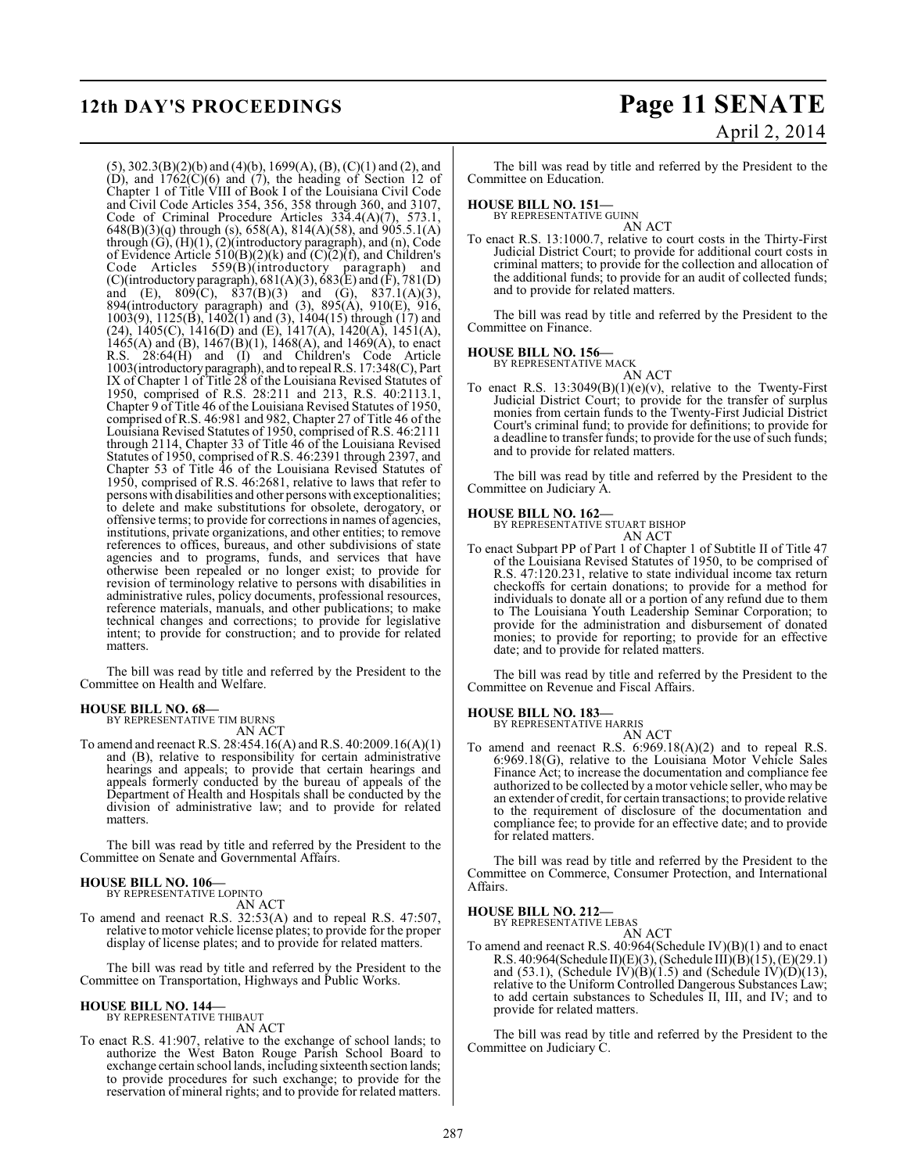(5), 302.3(B)(2)(b) and (4)(b), 1699(A), (B), (C)(1) and (2), and  $(D)$ , and  $1762(C)(6)$  and  $(7)$ , the heading of Section 12 of Chapter 1 of Title VIII of Book I of the Louisiana Civil Code and Civil Code Articles 354, 356, 358 through 360, and 3107, Code of Criminal Procedure Articles 334.4(A)(7), 573.1, 648(B)(3)(q) through (s), 658(A), 814(A)(58), and 905.5.1(A) through  $(G)$ ,  $(H)(1)$ ,  $(2)$ (introductory paragraph), and  $(n)$ , Code of Evidence Article 510(B)(2)(k) and  $(C)$ (2)(f), and Children's Code Articles 559(B)(introductory paragraph) and (C)(introductory paragraph),  $681(A)(3)$ ,  $683(E)$  and (F),  $781(D)$ and (E),  $809(C)$ ,  $837(B)(3)$  and (G),  $837.1(A)(3)$ , 894(introductory paragraph) and (3), 895(A), 910(E), 916, 1003(9), 1125(B), 1402(1) and (3), 1404(15) through (17) and (24),  $1405(C)$ ,  $1416(D)$  and (E),  $1417(A)$ ,  $1420(A)$ ,  $1451(A)$ , 1465(A) and (B),  $1467(B)(1)$ ,  $1468(A)$ , and  $1469(A)$ , to enact R.S. 28:64(H) and (I) and Children's Code Article 1003(introductory paragraph), and to repeal R.S. 17:348(C), Part IX of Chapter 1 of Title 28 of the Louisiana Revised Statutes of 1950, comprised of R.S. 28:211 and 213, R.S. 40:2113.1, Chapter 9 of Title 46 of the Louisiana Revised Statutes of 1950, comprised of R.S. 46:981 and 982, Chapter 27 of Title 46 of the Louisiana Revised Statutes of 1950, comprised of R.S. 46:2111 through 2114, Chapter 33 of Title 46 of the Louisiana Revised Statutes of 1950, comprised of R.S. 46:2391 through 2397, and Chapter 53 of Title 46 of the Louisiana Revised Statutes of 1950, comprised of R.S. 46:2681, relative to laws that refer to persons with disabilities and other persons with exceptionalities; to delete and make substitutions for obsolete, derogatory, or offensive terms; to provide for corrections in names of agencies, institutions, private organizations, and other entities; to remove references to offices, bureaus, and other subdivisions of state agencies and to programs, funds, and services that have otherwise been repealed or no longer exist; to provide for revision of terminology relative to persons with disabilities in administrative rules, policy documents, professional resources, reference materials, manuals, and other publications; to make technical changes and corrections; to provide for legislative intent; to provide for construction; and to provide for related matters.

The bill was read by title and referred by the President to the Committee on Health and Welfare.

#### **HOUSE BILL NO. 68—**

BY REPRESENTATIVE TIM BURNS AN ACT

To amend and reenact R.S. 28:454.16(A) and R.S. 40:2009.16(A)(1) and (B), relative to responsibility for certain administrative hearings and appeals; to provide that certain hearings and appeals formerly conducted by the bureau of appeals of the Department of Health and Hospitals shall be conducted by the division of administrative law; and to provide for related matters.

The bill was read by title and referred by the President to the Committee on Senate and Governmental Affairs.

# **HOUSE BILL NO. 106—** BY REPRESENTATIVE LOPINTO

AN ACT To amend and reenact R.S. 32:53(A) and to repeal R.S. 47:507, relative to motor vehicle license plates; to provide for the proper display of license plates; and to provide for related matters.

The bill was read by title and referred by the President to the Committee on Transportation, Highways and Public Works.

# **HOUSE BILL NO. 144—** BY REPRESENTATIVE THIBAUT

AN ACT

To enact R.S. 41:907, relative to the exchange of school lands; to authorize the West Baton Rouge Parish School Board to exchange certain school lands, including sixteenth section lands; to provide procedures for such exchange; to provide for the reservation of mineral rights; and to provide for related matters.

# **12th DAY'S PROCEEDINGS Page 11 SENATE** April 2, 2014

The bill was read by title and referred by the President to the Committee on Education.

# **HOUSE BILL NO. 151—** BY REPRESENTATIVE GUINN

AN ACT To enact R.S. 13:1000.7, relative to court costs in the Thirty-First Judicial District Court; to provide for additional court costs in criminal matters; to provide for the collection and allocation of the additional funds; to provide for an audit of collected funds; and to provide for related matters.

The bill was read by title and referred by the President to the Committee on Finance.

# **HOUSE BILL NO. 156—** BY REPRESENTATIVE MACK

AN ACT

To enact R.S. 13:3049(B)(1)(e)(v), relative to the Twenty-First Judicial District Court; to provide for the transfer of surplus monies from certain funds to the Twenty-First Judicial District Court's criminal fund; to provide for definitions; to provide for a deadline to transfer funds; to provide for the use of such funds; and to provide for related matters.

The bill was read by title and referred by the President to the Committee on Judiciary A.

# **HOUSE BILL NO. 162—** BY REPRESENTATIVE STUART BISHOP

AN ACT

To enact Subpart PP of Part 1 of Chapter 1 of Subtitle II of Title 47 of the Louisiana Revised Statutes of 1950, to be comprised of R.S. 47:120.231, relative to state individual income tax return checkoffs for certain donations; to provide for a method for individuals to donate all or a portion of any refund due to them to The Louisiana Youth Leadership Seminar Corporation; to provide for the administration and disbursement of donated monies; to provide for reporting; to provide for an effective date; and to provide for related matters.

The bill was read by title and referred by the President to the Committee on Revenue and Fiscal Affairs.

# **HOUSE BILL NO. 183—** BY REPRESENTATIVE HARRIS

AN ACT

To amend and reenact R.S. 6:969.18(A)(2) and to repeal R.S. 6:969.18(G), relative to the Louisiana Motor Vehicle Sales Finance Act; to increase the documentation and compliance fee authorized to be collected by a motor vehicle seller, who may be an extender of credit, for certain transactions; to provide relative to the requirement of disclosure of the documentation and compliance fee; to provide for an effective date; and to provide for related matters.

The bill was read by title and referred by the President to the Committee on Commerce, Consumer Protection, and International Affairs.

**HOUSE BILL NO. 212—**

BY REPRESENTATIVE LEBAS

AN ACT To amend and reenact R.S. 40:964(Schedule IV)(B)(1) and to enact R.S. 40:964(Schedule II)(E)(3), (Schedule III)(B)(15), (E)(29.1) and  $(53.1)$ , (Schedule IV) $(B)(1.5)$  and (Schedule IV) $(D)(13)$ , relative to the Uniform Controlled Dangerous Substances Law; to add certain substances to Schedules II, III, and IV; and to provide for related matters.

The bill was read by title and referred by the President to the Committee on Judiciary C.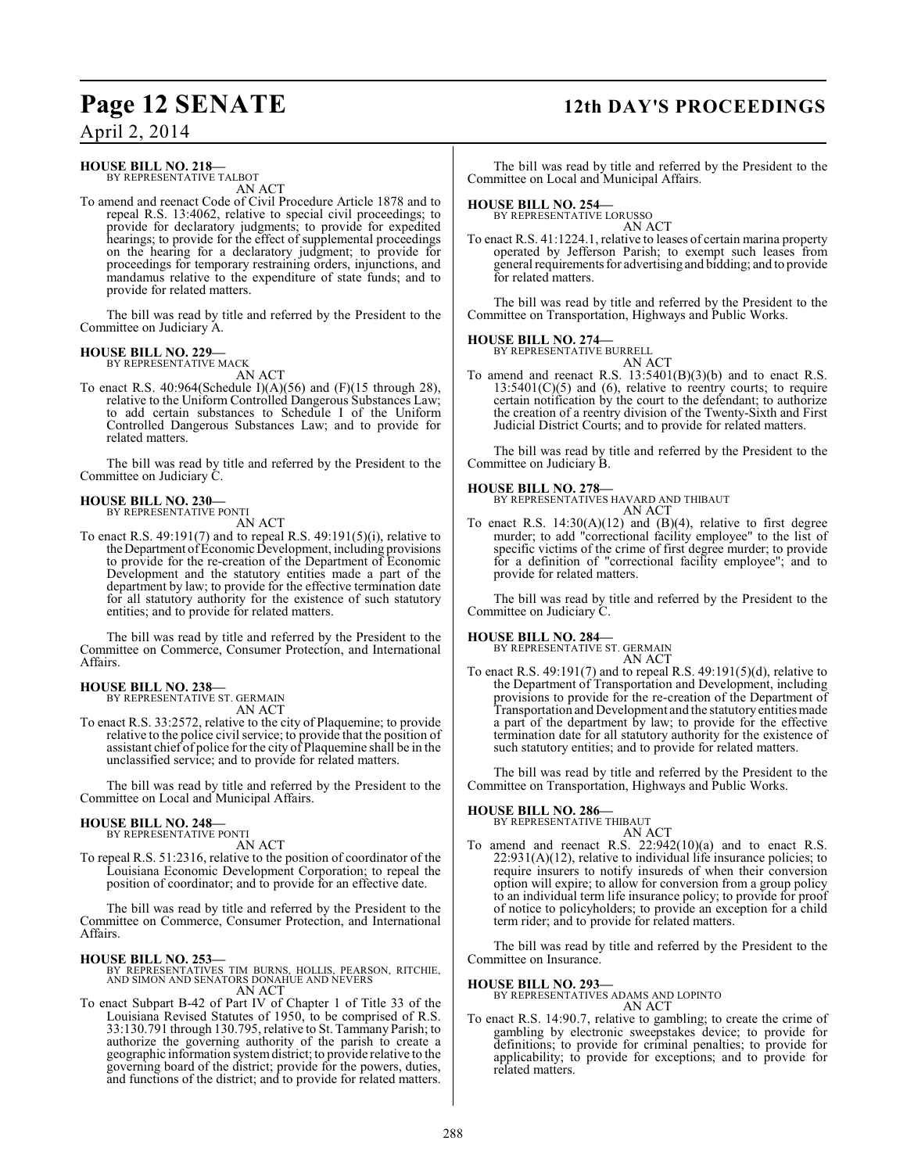# **Page 12 SENATE 12th DAY'S PROCEEDINGS**

April 2, 2014

### **HOUSE BILL NO. 218—**

BY REPRESENTATIVE TALBOT AN ACT

To amend and reenact Code of Civil Procedure Article 1878 and to repeal R.S. 13:4062, relative to special civil proceedings; to provide for declaratory judgments; to provide for expedited hearings; to provide for the effect of supplemental proceedings on the hearing for a declaratory judgment; to provide for proceedings for temporary restraining orders, injunctions, and mandamus relative to the expenditure of state funds; and to provide for related matters.

The bill was read by title and referred by the President to the Committee on Judiciary A.

# **HOUSE BILL NO. 229—** BY REPRESENTATIVE MACK

AN ACT

To enact R.S. 40:964(Schedule I)(A)(56) and (F)(15 through 28), relative to the Uniform Controlled Dangerous Substances Law; to add certain substances to Schedule I of the Uniform Controlled Dangerous Substances Law; and to provide for related matters.

The bill was read by title and referred by the President to the Committee on Judiciary C.

#### **HOUSE BILL NO. 230—** BY REPRESENTATIVE PONTI

AN ACT

To enact R.S. 49:191(7) and to repeal R.S. 49:191(5)(i), relative to the Department of Economic Development, including provisions to provide for the re-creation of the Department of Economic Development and the statutory entities made a part of the department by law; to provide for the effective termination date for all statutory authority for the existence of such statutory entities; and to provide for related matters.

The bill was read by title and referred by the President to the Committee on Commerce, Consumer Protection, and International Affairs.

#### **HOUSE BILL NO. 238—**

BY REPRESENTATIVE ST. GERMAIN AN ACT

To enact R.S. 33:2572, relative to the city of Plaquemine; to provide relative to the police civil service; to provide that the position of assistant chief of police for the city of Plaquemine shall be in the unclassified service; and to provide for related matters.

The bill was read by title and referred by the President to the Committee on Local and Municipal Affairs.

# **HOUSE BILL NO. 248—** BY REPRESENTATIVE PONTI

AN ACT

To repeal R.S. 51:2316, relative to the position of coordinator of the Louisiana Economic Development Corporation; to repeal the position of coordinator; and to provide for an effective date.

The bill was read by title and referred by the President to the Committee on Commerce, Consumer Protection, and International Affairs.

**HOUSE BILL NO. 253—** BY REPRESENTATIVES TIM BURNS, HOLLIS, PEARSON, RITCHIE, AND SIMON AND SENATORS DONAHUE AND NEVERS AN ACT

To enact Subpart B-42 of Part IV of Chapter 1 of Title 33 of the Louisiana Revised Statutes of 1950, to be comprised of R.S. 33:130.791 through 130.795, relative to St. Tammany Parish; to authorize the governing authority of the parish to create a geographic information system district; to provide relative to the governing board of the district; provide for the powers, duties, and functions of the district; and to provide for related matters.

The bill was read by title and referred by the President to the Committee on Local and Municipal Affairs.

# **HOUSE BILL NO. 254—** BY REPRESENTATIVE LORUSSO

AN ACT

To enact R.S. 41:1224.1, relative to leases of certain marina property operated by Jefferson Parish; to exempt such leases from general requirements for advertising and bidding; and to provide for related matters.

The bill was read by title and referred by the President to the Committee on Transportation, Highways and Public Works.

#### **HOUSE BILL NO. 274—**

BY REPRESENTATIVE BURRELL AN ACT

To amend and reenact R.S. 13:5401(B)(3)(b) and to enact R.S.  $13:5401(C)(5)$  and  $(6)$ , relative to reentry courts; to require certain notification by the court to the defendant; to authorize the creation of a reentry division of the Twenty-Sixth and First Judicial District Courts; and to provide for related matters.

The bill was read by title and referred by the President to the Committee on Judiciary B.

#### **HOUSE BILL NO. 278—**

BY REPRESENTATIVES HAVARD AND THIBAUT AN ACT

To enact R.S.  $14:30(A)(12)$  and  $(B)(4)$ , relative to first degree murder; to add "correctional facility employee" to the list of specific victims of the crime of first degree murder; to provide for a definition of "correctional facility employee"; and to provide for related matters.

The bill was read by title and referred by the President to the Committee on Judiciary C.

**HOUSE BILL NO. 284—**

BY REPRESENTATIVE ST. GERMAIN AN ACT

To enact R.S. 49:191(7) and to repeal R.S. 49:191(5)(d), relative to the Department of Transportation and Development, including provisions to provide for the re-creation of the Department of Transportation and Development and the statutory entities made a part of the department by law; to provide for the effective termination date for all statutory authority for the existence of such statutory entities; and to provide for related matters.

The bill was read by title and referred by the President to the Committee on Transportation, Highways and Public Works.

# **HOUSE BILL NO. 286—** BY REPRESENTATIVE THIBAUT

AN ACT To amend and reenact R.S. 22:942(10)(a) and to enact R.S. 22:931(A)(12), relative to individual life insurance policies; to require insurers to notify insureds of when their conversion option will expire; to allow for conversion from a group policy to an individual term life insurance policy; to provide for proof of notice to policyholders; to provide an exception for a child term rider; and to provide for related matters.

The bill was read by title and referred by the President to the Committee on Insurance.

### **HOUSE BILL NO. 293—**

BY REPRESENTATIVES ADAMS AND LOPINTO AN ACT

To enact R.S. 14:90.7, relative to gambling; to create the crime of gambling by electronic sweepstakes device; to provide for definitions; to provide for criminal penalties; to provide for applicability; to provide for exceptions; and to provide for related matters.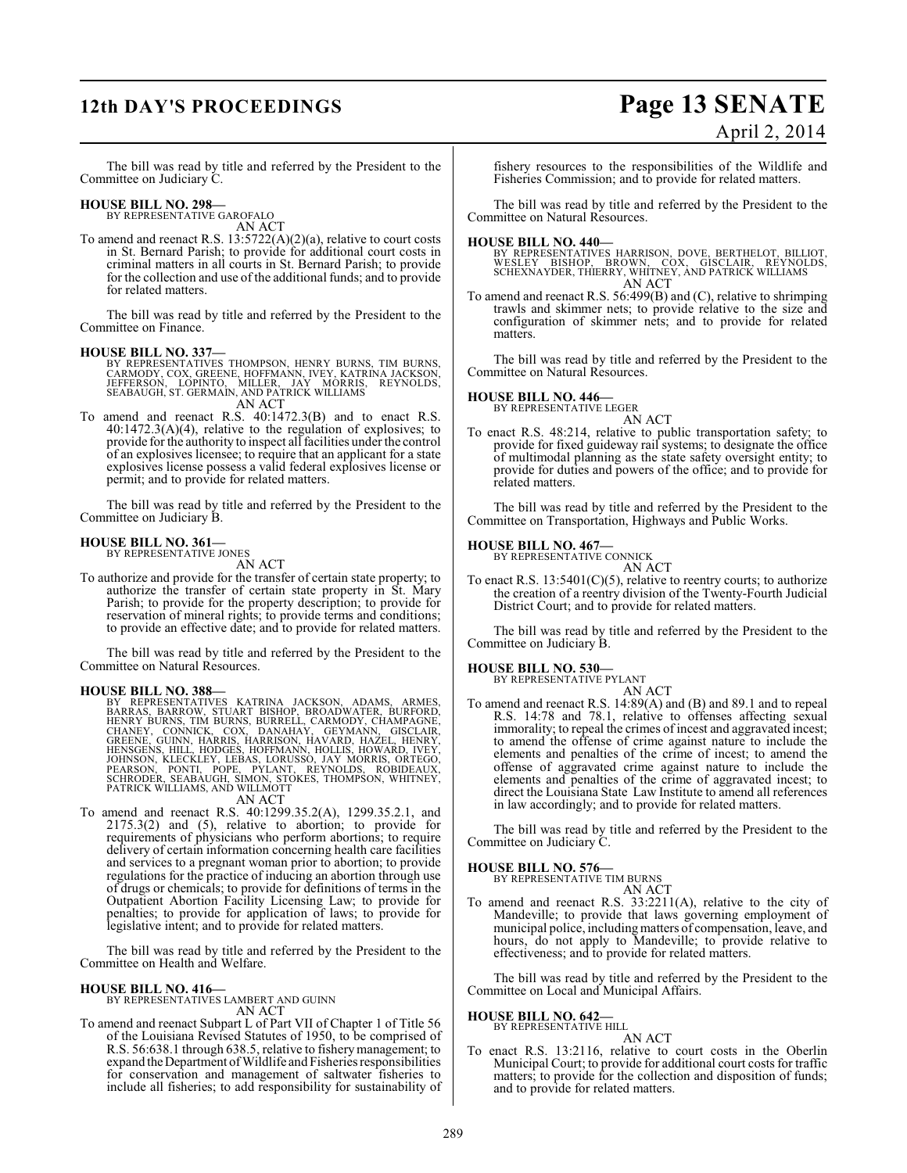# **12th DAY'S PROCEEDINGS Page 13 SENATE**

# April 2, 2014

The bill was read by title and referred by the President to the Committee on Judiciary C.

#### **HOUSE BILL NO. 298—**

BY REPRESENTATIVE GAROFALO AN ACT

To amend and reenact R.S. 13:5722(A)(2)(a), relative to court costs in St. Bernard Parish; to provide for additional court costs in criminal matters in all courts in St. Bernard Parish; to provide for the collection and use of the additional funds; and to provide for related matters.

The bill was read by title and referred by the President to the Committee on Finance.

#### **HOUSE BILL NO. 337—**

BY REPRESENTATIVES THOMPSON, HENRY BURNS, TIM BURNS,<br>CARMODY, COX, GREENE, HOFFMANN, IVEY, KATRINA JACKSON,<br>JEFFERSON, LOPINTO, MILLER, JAY MORRIS<br>SEABAUGH, ST. GERMAIN, AND PATRICK WILLIAMS AN ACT

To amend and reenact R.S. 40:1472.3(B) and to enact R.S. 40:1472.3(A)(4), relative to the regulation of explosives; to provide for the authority to inspect all facilities under the control of an explosives licensee; to require that an applicant for a state explosives license possess a valid federal explosives license or permit; and to provide for related matters.

The bill was read by title and referred by the President to the Committee on Judiciary B.

#### **HOUSE BILL NO. 361—**

BY REPRESENTATIVE JONES AN ACT

To authorize and provide for the transfer of certain state property; to authorize the transfer of certain state property in St. Mary Parish; to provide for the property description; to provide for reservation of mineral rights; to provide terms and conditions; to provide an effective date; and to provide for related matters.

The bill was read by title and referred by the President to the Committee on Natural Resources.

#### **HOUSE BILL NO. 388—**

BY REPRESENTATIVES KATRINA JACKSON, ADAMS, ARMES,<br>BARRAS, BARROW, STUART BISHOP, BROADWATER, BURFORD,<br>HENRY BURNS, TIM BURNS, BURRELL, CARMODY, CHAMPAGNE,<br>CHANEY, CONNICK, COX, DANAHAY, GEYMANN, GISCLAIR,<br>GREENE, GUINN, HA

AN ACT

To amend and reenact R.S. 40:1299.35.2(A), 1299.35.2.1, and 2175.3(2) and (5), relative to abortion; to provide for requirements of physicians who perform abortions; to require delivery of certain information concerning health care facilities and services to a pregnant woman prior to abortion; to provide regulations for the practice of inducing an abortion through use of drugs or chemicals; to provide for definitions of terms in the Outpatient Abortion Facility Licensing Law; to provide for penalties; to provide for application of laws; to provide for legislative intent; and to provide for related matters.

The bill was read by title and referred by the President to the Committee on Health and Welfare.

#### **HOUSE BILL NO. 416—**

BY REPRESENTATIVES LAMBERT AND GUINN AN ACT

To amend and reenact Subpart L of Part VII of Chapter 1 of Title 56 of the Louisiana Revised Statutes of 1950, to be comprised of R.S. 56:638.1 through 638.5, relative to fishery management; to expand the Department of Wildlife and Fisheries responsibilities for conservation and management of saltwater fisheries to include all fisheries; to add responsibility for sustainability of

fishery resources to the responsibilities of the Wildlife and Fisheries Commission; and to provide for related matters.

The bill was read by title and referred by the President to the Committee on Natural Resources.

#### **HOUSE BILL NO. 440—**

BY REPRESENTATIVES HARRISON, DOVE, BERTHELOT, BILLIOT,<br>WESLEY BISHOP, BROWN, COX, GISCLAIR, REYNOLDS,<br>SCHEXNAYDER,THIERRY, WHITNEY, AND PATRICK WILLIAMS AN ACT

To amend and reenact R.S. 56:499(B) and (C), relative to shrimping trawls and skimmer nets; to provide relative to the size and configuration of skimmer nets; and to provide for related matters.

The bill was read by title and referred by the President to the Committee on Natural Resources.

# **HOUSE BILL NO. 446—** BY REPRESENTATIVE LEGER

AN ACT To enact R.S. 48:214, relative to public transportation safety; to provide for fixed guideway rail systems; to designate the office of multimodal planning as the state safety oversight entity; to provide for duties and powers of the office; and to provide for related matters.

The bill was read by title and referred by the President to the Committee on Transportation, Highways and Public Works.

# **HOUSE BILL NO. 467—** BY REPRESENTATIVE CONNICK

AN ACT

To enact R.S. 13:5401(C)(5), relative to reentry courts; to authorize the creation of a reentry division of the Twenty-Fourth Judicial District Court; and to provide for related matters.

The bill was read by title and referred by the President to the Committee on Judiciary B.

#### **HOUSE BILL NO. 530—**

BY REPRESENTATIVE PYLANT

AN ACT To amend and reenact R.S. 14:89(A) and (B) and 89.1 and to repeal R.S. 14:78 and 78.1, relative to offenses affecting sexual immorality; to repeal the crimes of incest and aggravated incest; to amend the offense of crime against nature to include the elements and penalties of the crime of incest; to amend the offense of aggravated crime against nature to include the elements and penalties of the crime of aggravated incest; to direct the Louisiana State Law Institute to amend all references in law accordingly; and to provide for related matters.

The bill was read by title and referred by the President to the Committee on Judiciary C.

**HOUSE BILL NO. 576—** BY REPRESENTATIVE TIM BURNS AN ACT

To amend and reenact R.S. 33:2211(A), relative to the city of Mandeville; to provide that laws governing employment of municipal police, includingmatters of compensation, leave, and hours, do not apply to Mandeville; to provide relative to effectiveness; and to provide for related matters.

The bill was read by title and referred by the President to the Committee on Local and Municipal Affairs.

#### **HOUSE BILL NO. 642—** BY REPRESENTATIVE HILL

AN ACT

To enact R.S. 13:2116, relative to court costs in the Oberlin Municipal Court; to provide for additional court costs for traffic matters; to provide for the collection and disposition of funds; and to provide for related matters.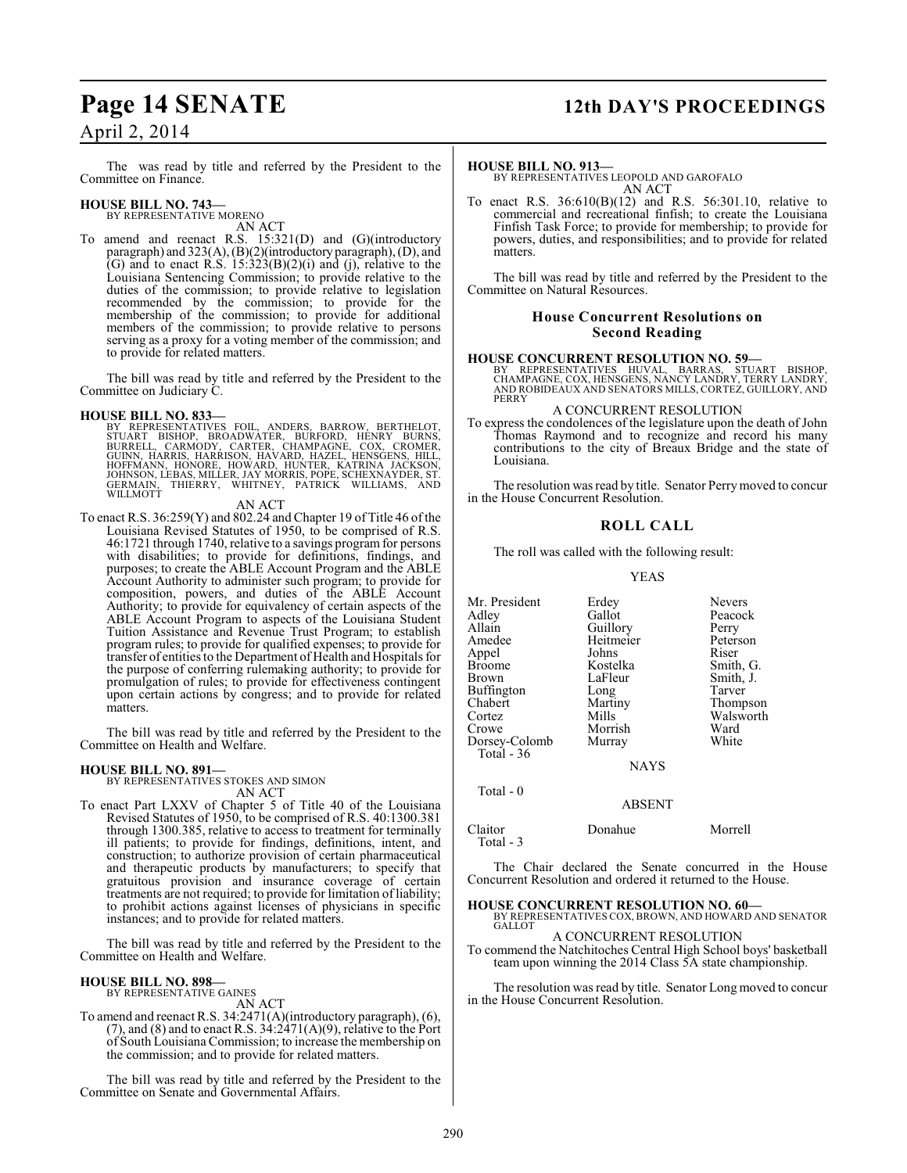# **Page 14 SENATE 12th DAY'S PROCEEDINGS**

## April 2, 2014

The was read by title and referred by the President to the Committee on Finance.

## **HOUSE BILL NO. 743—**

BY REPRESENTATIVE MORENO

AN ACT To amend and reenact R.S. 15:321(D) and (G)(introductory paragraph) and 323(A), (B)(2)(introductory paragraph), (D), and (G) and to enact R.S.  $15:323(B)(2)(i)$  and (j), relative to the Louisiana Sentencing Commission; to provide relative to the duties of the commission; to provide relative to legislation recommended by the commission; to provide for the membership of the commission; to provide for additional members of the commission; to provide relative to persons serving as a proxy for a voting member of the commission; and to provide for related matters.

The bill was read by title and referred by the President to the Committee on Judiciary C.

**HOUSE BILL NO. 833—**<br>BY REPRESENTATIVES FOIL, ANDERS, BARROW, BERTHELOT,<br>STUART BISHOP, BROADWATER, BURFORD, HENRY BURNS,<br>BURRELL, CARMODY, CARTER, CHAMPAGNE, COX, CROMER,<br>GUINN, HARRIS, HARRISON, HAVARD, HAZEL, HENSGENS,

#### AN ACT

To enact R.S. 36:259(Y) and 802.24 and Chapter 19 of Title 46 of the Louisiana Revised Statutes of 1950, to be comprised of R.S. 46:1721 through 1740, relative to a savings program for persons with disabilities; to provide for definitions, findings, and purposes; to create the ABLE Account Program and the ABLE Account Authority to administer such program; to provide for composition, powers, and duties of the ABLE Account Authority; to provide for equivalency of certain aspects of the ABLE Account Program to aspects of the Louisiana Student Tuition Assistance and Revenue Trust Program; to establish program rules; to provide for qualified expenses; to provide for transfer of entities to the Department of Health and Hospitals for the purpose of conferring rulemaking authority; to provide for promulgation of rules; to provide for effectiveness contingent upon certain actions by congress; and to provide for related matters.

The bill was read by title and referred by the President to the Committee on Health and Welfare.

#### **HOUSE BILL NO. 891—**

BY REPRESENTATIVES STOKES AND SIMON AN ACT

To enact Part LXXV of Chapter 5 of Title 40 of the Louisiana Revised Statutes of 1950, to be comprised of R.S. 40:1300.381 through 1300.385, relative to access to treatment for terminally ill patients; to provide for findings, definitions, intent, and construction; to authorize provision of certain pharmaceutical and therapeutic products by manufacturers; to specify that gratuitous provision and insurance coverage of certain treatments are not required; to provide for limitation of liability; to prohibit actions against licenses of physicians in specific instances; and to provide for related matters.

The bill was read by title and referred by the President to the Committee on Health and Welfare.

#### **HOUSE BILL NO. 898—**

BY REPRESENTATIVE GAINES AN ACT

To amend and reenact R.S. 34:2471(A)(introductory paragraph), (6), (7), and (8) and to enact R.S.  $3\lambda$ : $2\lambda$ 71(A)(9), relative to the Port of South Louisiana Commission; to increase the membership on the commission; and to provide for related matters.

The bill was read by title and referred by the President to the Committee on Senate and Governmental Affairs.

#### **HOUSE BILL NO. 913—**

BY REPRESENTATIVES LEOPOLD AND GAROFALO AN ACT

To enact R.S. 36:610(B)(12) and R.S. 56:301.10, relative to commercial and recreational finfish; to create the Louisiana Finfish Task Force; to provide for membership; to provide for powers, duties, and responsibilities; and to provide for related matters.

The bill was read by title and referred by the President to the Committee on Natural Resources.

#### **House Concurrent Resolutions on Second Reading**

#### **HOUSE CONCURRENT RESOLUTION NO. 59—**

BY REPRESENTATIVES HUVAL, BARRAS, STUART BISHOP, CHAMPAGNE, COX, HENSGENS, NANCY LANDRY, TERRY LANDRY, AND ROBIDEAUX AND SENATORS MILLS, CORTEZ, GUILLORY, AND PERRY

#### A CONCURRENT RESOLUTION

To express the condolences of the legislature upon the death of John Thomas Raymond and to recognize and record his many contributions to the city of Breaux Bridge and the state of Louisiana.

The resolution was read by title. Senator Perry moved to concur in the House Concurrent Resolution.

#### **ROLL CALL**

The roll was called with the following result:

#### YEAS

| Mr. President | Erdey       | <b>Nevers</b> |
|---------------|-------------|---------------|
| Adley         | Gallot      | Peacock       |
| Allain        | Guillory    | Perry         |
| Amedee        | Heitmeier   | Peterson      |
| Appel         | Johns       | Riser         |
| Broome        | Kostelka    | Smith, G.     |
| Brown         | LaFleur     | Smith, J.     |
| Buffington    | Long        | Tarver        |
| Chabert       | Martiny     | Thompson      |
| Cortez        | Mills       | Walsworth     |
| Crowe         | Morrish     | Ward          |
| Dorsey-Colomb | Murray      | White         |
| Total $-36$   |             |               |
|               | <b>NAYS</b> |               |
| Total - 0     |             |               |

Claitor Donahue Morrell Total - 3

The Chair declared the Senate concurred in the House Concurrent Resolution and ordered it returned to the House.

ABSENT

# **HOUSE CONCURRENT RESOLUTION NO. 60—** BY REPRESENTATIVES COX, BROWN, AND HOWARD AND SENATOR

**GALLOT** A CONCURRENT RESOLUTION

To commend the Natchitoches Central High School boys' basketball team upon winning the 2014 Class 5A state championship.

The resolution was read by title. Senator Long moved to concur in the House Concurrent Resolution.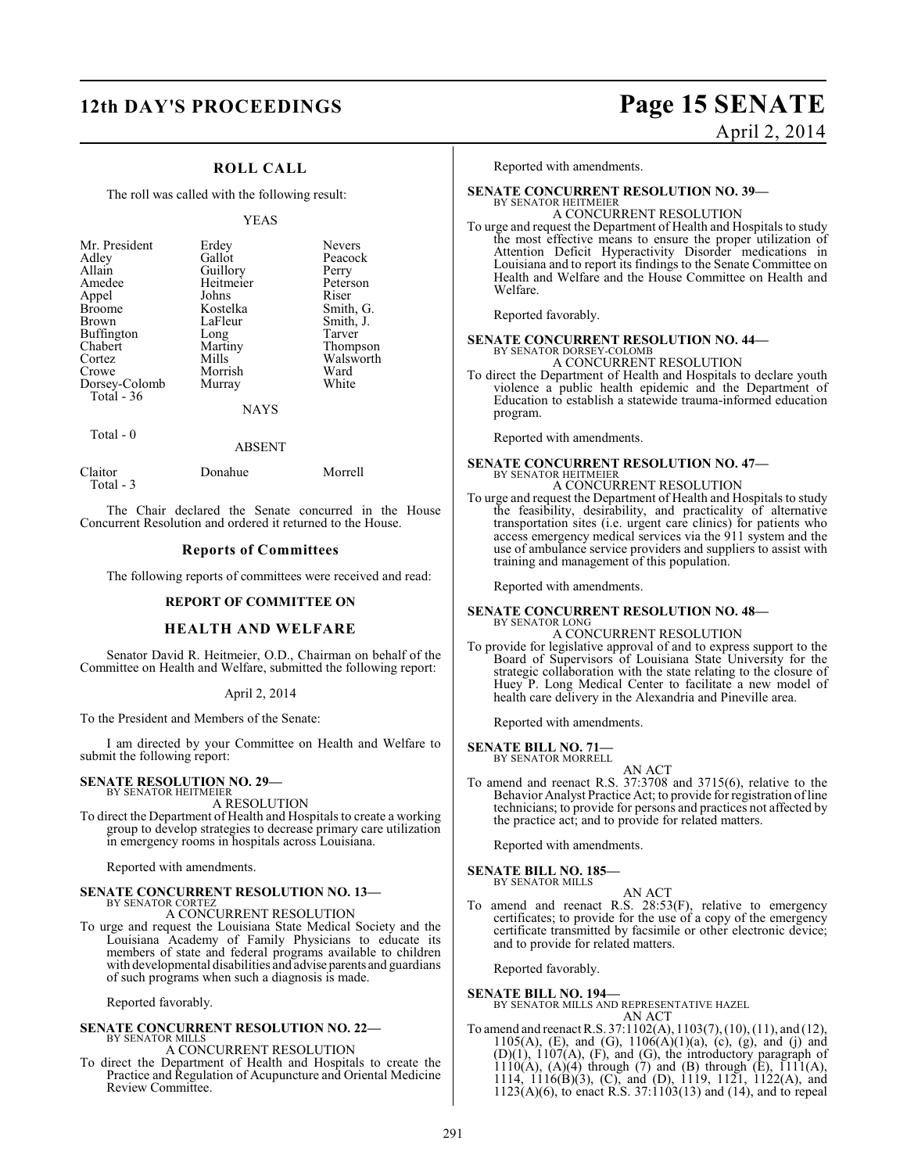# **12th DAY'S PROCEEDINGS Page 15 SENATE**

## **ROLL CALL**

The roll was called with the following result:

#### YEAS

| Mr. President | Erdey       | <b>Nevers</b> |
|---------------|-------------|---------------|
|               |             |               |
| Adley         | Gallot      | Peacock       |
| Allain        | Guillory    | Perry         |
| Amedee        | Heitmeier   | Peterson      |
| Appel         | Johns       | Riser         |
| <b>Broome</b> | Kostelka    | Smith, G.     |
| <b>Brown</b>  | LaFleur     | Smith, J.     |
| Buffington    | Long        | Tarver        |
| Chabert       | Martiny     | Thompson      |
| Cortez        | Mills       | Walsworth     |
| Crowe         | Morrish     | Ward          |
| Dorsey-Colomb | Murray      | White         |
| Total - 36    |             |               |
|               | <b>NAYS</b> |               |

Total - 0

#### ABSENT

| Claitor<br>Total - 3 | Donahue | Morrell |
|----------------------|---------|---------|

The Chair declared the Senate concurred in the House Concurrent Resolution and ordered it returned to the House.

#### **Reports of Committees**

The following reports of committees were received and read:

#### **REPORT OF COMMITTEE ON**

## **HEALTH AND WELFARE**

Senator David R. Heitmeier, O.D., Chairman on behalf of the Committee on Health and Welfare, submitted the following report:

#### April 2, 2014

To the President and Members of the Senate:

I am directed by your Committee on Health and Welfare to submit the following report:

#### **SENATE RESOLUTION NO. 29—** BY SENATOR HEITMEIER

A RESOLUTION

To direct the Department of Health and Hospitals to create a working group to develop strategies to decrease primary care utilization in emergency rooms in hospitals across Louisiana.

Reported with amendments.

#### **SENATE CONCURRENT RESOLUTION NO. 13—** BY SENATOR CORTEZ

A CONCURRENT RESOLUTION

To urge and request the Louisiana State Medical Society and the Louisiana Academy of Family Physicians to educate its members of state and federal programs available to children with developmental disabilities and advise parents and guardians of such programs when such a diagnosis is made.

Reported favorably.

#### **SENATE CONCURRENT RESOLUTION NO. 22—** BY SENATOR MILLS

A CONCURRENT RESOLUTION

To direct the Department of Health and Hospitals to create the Practice and Regulation of Acupuncture and Oriental Medicine Review Committee.

April 2, 2014

Reported with amendments.

#### **SENATE CONCURRENT RESOLUTION NO. 39—**

BY SENATOR HEITMEIER A CONCURRENT RESOLUTION

To urge and request the Department of Health and Hospitals to study the most effective means to ensure the proper utilization of Attention Deficit Hyperactivity Disorder medications in Louisiana and to report its findings to the Senate Committee on Health and Welfare and the House Committee on Health and Welfare.

Reported favorably.

# **SENATE CONCURRENT RESOLUTION NO. 44—**<br>BY SENATOR DORSEY-COLOMB<br>A CONCURRENT RESOLUTION

To direct the Department of Health and Hospitals to declare youth violence a public health epidemic and the Department of Education to establish a statewide trauma-informed education program.

Reported with amendments.

## **SENATE CONCURRENT RESOLUTION NO. 47—** BY SENATOR HEITMEIER A CONCURRENT RESOLUTION

To urge and request the Department of Health and Hospitals to study the feasibility, desirability, and practicality of alternative transportation sites (i.e. urgent care clinics) for patients who access emergency medical services via the 911 system and the use of ambulance service providers and suppliers to assist with training and management of this population.

Reported with amendments.

#### **SENATE CONCURRENT RESOLUTION NO. 48—** BY SENATOR LONG

## A CONCURRENT RESOLUTION

To provide for legislative approval of and to express support to the Board of Supervisors of Louisiana State University for the strategic collaboration with the state relating to the closure of Huey P. Long Medical Center to facilitate a new model of health care delivery in the Alexandria and Pineville area.

Reported with amendments.

#### **SENATE BILL NO. 71—** BY SENATOR MORRELL

AN ACT To amend and reenact R.S. 37:3708 and 3715(6), relative to the Behavior Analyst Practice Act; to provide for registration of line technicians; to provide for persons and practices not affected by the practice act; and to provide for related matters.

Reported with amendments.

#### **SENATE BILL NO. 185—**

BY SENATOR MILLS

AN ACT To amend and reenact R.S. 28:53(F), relative to emergency certificates; to provide for the use of a copy of the emergency certificate transmitted by facsimile or other electronic device; and to provide for related matters.

Reported favorably.

**SENATE BILL NO. 194—** BY SENATOR MILLS AND REPRESENTATIVE HAZEL AN ACT

To amend and reenact R.S. 37:1102(A), 1103(7), (10), (11), and (12), 1105(A), (E), and (G),  $1106(A)(1)(a)$ , (c), (g), and (j) and  $(D)(1)$ ,  $1107(A)$ ,  $(F)$ , and  $(G)$ , the introductory paragraph of  $1110(A)$ ,  $(A)(4)$  through  $(7)$  and  $(B)$  through  $(E)$ ,  $1111(A)$ , 1114, 1116(B)(3), (C), and (D), 1119, 1121, 1122(A), and 1123(A)(6), to enact R.S. 37:1103(13) and (14), and to repeal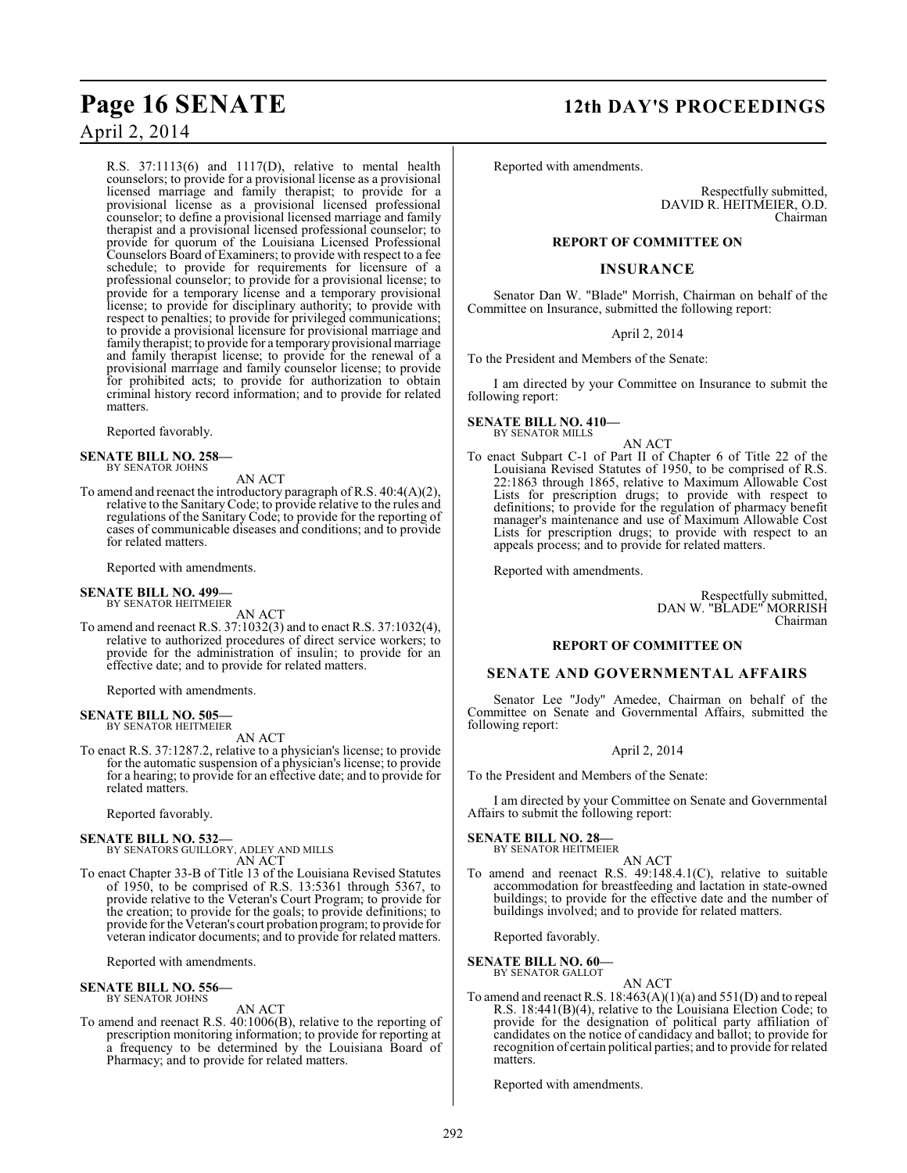R.S. 37:1113(6) and 1117(D), relative to mental health counselors; to provide for a provisional license as a provisional licensed marriage and family therapist; to provide for a provisional license as a provisional licensed professional counselor; to define a provisional licensed marriage and family therapist and a provisional licensed professional counselor; to provide for quorum of the Louisiana Licensed Professional Counselors Board of Examiners; to provide with respect to a fee schedule; to provide for requirements for licensure of a professional counselor; to provide for a provisional license; to provide for a temporary license and a temporary provisional license; to provide for disciplinary authority; to provide with respect to penalties; to provide for privileged communications; to provide a provisional licensure for provisional marriage and family therapist; to provide for a temporary provisional marriage and family therapist license; to provide for the renewal of a provisional marriage and family counselor license; to provide for prohibited acts; to provide for authorization to obtain criminal history record information; and to provide for related matters.

Reported favorably.

#### **SENATE BILL NO. 258—** BY SENATOR JOHNS

AN ACT

To amend and reenact the introductory paragraph of R.S. 40:4(A)(2), relative to the Sanitary Code; to provide relative to the rules and regulations of the Sanitary Code; to provide for the reporting of cases of communicable diseases and conditions; and to provide for related matters.

Reported with amendments.

#### **SENATE BILL NO. 499—**

BY SENATOR HEITMEIER AN ACT

To amend and reenact R.S. 37:1032(3) and to enact R.S. 37:1032(4), relative to authorized procedures of direct service workers; to provide for the administration of insulin; to provide for an effective date; and to provide for related matters.

Reported with amendments.

#### **SENATE BILL NO. 505—** BY SENATOR HEITMEIER

AN ACT

To enact R.S. 37:1287.2, relative to a physician's license; to provide for the automatic suspension of a physician's license; to provide for a hearing; to provide for an effective date; and to provide for related matters.

Reported favorably.

**SENATE BILL NO. 532—** BY SENATORS GUILLORY, ADLEY AND MILLS AN ACT

To enact Chapter 33-B of Title 13 of the Louisiana Revised Statutes of 1950, to be comprised of R.S. 13:5361 through 5367, to provide relative to the Veteran's Court Program; to provide for the creation; to provide for the goals; to provide definitions; to provide for the Veteran's court probation program; to provide for veteran indicator documents; and to provide for related matters.

Reported with amendments.

**SENATE BILL NO. 556—** BY SENATOR JOHNS

AN ACT

To amend and reenact R.S. 40:1006(B), relative to the reporting of prescription monitoring information; to provide for reporting at a frequency to be determined by the Louisiana Board of Pharmacy; and to provide for related matters.

# **Page 16 SENATE 12th DAY'S PROCEEDINGS**

Reported with amendments.

Respectfully submitted, DAVID R. HEITMEIER, O.D. Chairman

#### **REPORT OF COMMITTEE ON**

#### **INSURANCE**

Senator Dan W. "Blade" Morrish, Chairman on behalf of the Committee on Insurance, submitted the following report:

April 2, 2014

To the President and Members of the Senate:

I am directed by your Committee on Insurance to submit the following report:

**SENATE BILL NO. 410—** BY SENATOR MILLS

AN ACT

To enact Subpart C-1 of Part II of Chapter 6 of Title 22 of the Louisiana Revised Statutes of 1950, to be comprised of R.S. 22:1863 through 1865, relative to Maximum Allowable Cost Lists for prescription drugs; to provide with respect to definitions; to provide for the regulation of pharmacy benefit manager's maintenance and use of Maximum Allowable Cost Lists for prescription drugs; to provide with respect to an appeals process; and to provide for related matters.

Reported with amendments.

Respectfully submitted, DAN W. "BLADE" MORRISH Chairman

#### **REPORT OF COMMITTEE ON**

## **SENATE AND GOVERNMENTAL AFFAIRS**

Senator Lee "Jody" Amedee, Chairman on behalf of the Committee on Senate and Governmental Affairs, submitted the following report:

#### April 2, 2014

To the President and Members of the Senate:

I am directed by your Committee on Senate and Governmental Affairs to submit the following report:

**SENATE BILL NO. 28—** BY SENATOR HEITMEIER

AN ACT To amend and reenact R.S. 49:148.4.1(C), relative to suitable accommodation for breastfeeding and lactation in state-owned buildings; to provide for the effective date and the number of buildings involved; and to provide for related matters.

Reported favorably.

#### **SENATE BILL NO. 60—** BY SENATOR GALLOT

AN ACT

To amend and reenact R.S.  $18:463(A)(1)(a)$  and  $551(D)$  and to repeal R.S. 18:441(B)(4), relative to the Louisiana Election Code; to provide for the designation of political party affiliation of candidates on the notice of candidacy and ballot; to provide for recognition of certain political parties; and to provide for related matters.

Reported with amendments.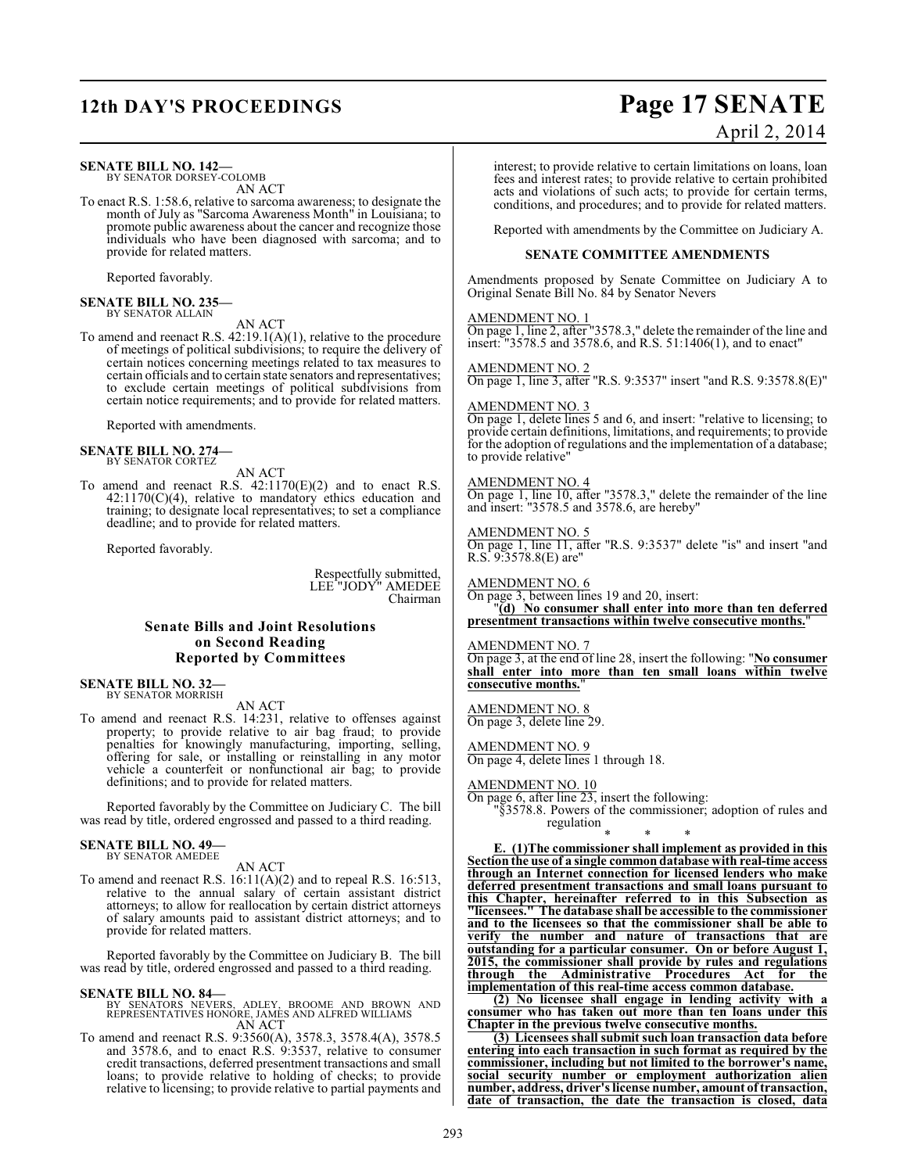# **12th DAY'S PROCEEDINGS Page 17 SENATE**

#### **SENATE BILL NO. 142—**

BY SENATOR DORSEY-COLOMB AN ACT

To enact R.S. 1:58.6, relative to sarcoma awareness; to designate the month of July as "Sarcoma Awareness Month" in Louisiana; to promote public awareness about the cancer and recognize those individuals who have been diagnosed with sarcoma; and to provide for related matters.

Reported favorably.

# **SENATE BILL NO. 235—** BY SENATOR ALLAIN

AN ACT

To amend and reenact R.S.  $42:19.1(A)(1)$ , relative to the procedure of meetings of political subdivisions; to require the delivery of certain notices concerning meetings related to tax measures to certain officials and to certain state senators and representatives; to exclude certain meetings of political subdivisions from certain notice requirements; and to provide for related matters.

Reported with amendments.

# **SENATE BILL NO. 274—** BY SENATOR CORTEZ

AN ACT

To amend and reenact R.S.  $42:1170(E)(2)$  and to enact R.S.  $42:1170(C)(4)$ , relative to mandatory ethics education and training; to designate local representatives; to set a compliance deadline; and to provide for related matters.

Reported favorably.

Respectfully submitted, LEE "JODY" AMEDEE Chairman

## **Senate Bills and Joint Resolutions on Second Reading Reported by Committees**

**SENATE BILL NO. 32—** BY SENATOR MORRISH

AN ACT

To amend and reenact R.S. 14:231, relative to offenses against property; to provide relative to air bag fraud; to provide penalties for knowingly manufacturing, importing, selling, offering for sale, or installing or reinstalling in any motor vehicle a counterfeit or nonfunctional air bag; to provide definitions; and to provide for related matters.

Reported favorably by the Committee on Judiciary C. The bill was read by title, ordered engrossed and passed to a third reading.

#### **SENATE BILL NO. 49—** BY SENATOR AMEDEE

AN ACT

To amend and reenact R.S. 16:11(A)(2) and to repeal R.S. 16:513, relative to the annual salary of certain assistant district attorneys; to allow for reallocation by certain district attorneys of salary amounts paid to assistant district attorneys; and to provide for related matters.

Reported favorably by the Committee on Judiciary B. The bill was read by title, ordered engrossed and passed to a third reading.

#### **SENATE BILL NO. 84—**

- BY SENATORS NEVERS, ADLEY, BROOME AND BROWN AND REPRESENTATIVES HONORE, JAMES AND ALFRED WILLIAMS AN ACT
- To amend and reenact R.S. 9:3560(A), 3578.3, 3578.4(A), 3578.5 and 3578.6, and to enact R.S. 9:3537, relative to consumer credit transactions, deferred presentment transactions and small loans; to provide relative to holding of checks; to provide relative to licensing; to provide relative to partial payments and

## April 2, 2014

interest; to provide relative to certain limitations on loans, loan fees and interest rates; to provide relative to certain prohibited acts and violations of such acts; to provide for certain terms, conditions, and procedures; and to provide for related matters.

Reported with amendments by the Committee on Judiciary A.

#### **SENATE COMMITTEE AMENDMENTS**

Amendments proposed by Senate Committee on Judiciary A to Original Senate Bill No. 84 by Senator Nevers

#### AMENDMENT NO. 1

On page 1, line 2, after "3578.3," delete the remainder of the line and insert: "3578.5 and 3578.6, and R.S. 51:1406(1), and to enact"

AMENDMENT NO. 2

On page 1, line 3, after "R.S. 9:3537" insert "and R.S. 9:3578.8(E)"

AMENDMENT NO. 3

On page 1, delete lines 5 and 6, and insert: "relative to licensing; to provide certain definitions, limitations, and requirements; to provide for the adoption of regulations and the implementation of a database; to provide relative"

#### AMENDMENT NO. 4

On page 1, line 10, after "3578.3," delete the remainder of the line and insert: "3578.5 and 3578.6, are hereby"

AMENDMENT NO. 5 On page 1, line 11, after "R.S. 9:3537" delete "is" and insert "and R.S. 9:3578.8(E) are"

AMENDMENT NO. 6

On page 3, between lines 19 and 20, insert: "**(d) No consumer shall enter into more than ten deferred presentment transactions within twelve consecutive months.**"

### AMENDMENT NO. 7

On page 3, at the end of line 28, insert the following: "**No consumer shall enter into more than ten small loans within twelve consecutive months.**"

#### AMENDMENT NO. 8

On page 3, delete line 29.

AMENDMENT NO. 9

On page 4, delete lines 1 through 18.

AMENDMENT NO. 10

On page 6, after line 23, insert the following:

"§3578.8. Powers of the commissioner; adoption of rules and regulation

\* \* \* **E. (1)The commissioner shall implement as provided in this Section the use of a single common database with real-time access through an Internet connection for licensed lenders who make deferred presentment transactions and small loans pursuant to this Chapter, hereinafter referred to in this Subsection as "licensees." The database shall be accessible to the commissioner and to the licensees so that the commissioner shall be able to verify the number and nature of transactions that are outstanding for a particular consumer. On or before August 1, 2015, the commissioner shall provide by rules and regulations through the Administrative Procedures Act for the implementation of this real-time access common database.**

**(2) No licensee shall engage in lending activity with a consumer who has taken out more than ten loans under this Chapter in the previous twelve consecutive months.**

**(3) Licensees shall submit such loan transaction data before entering into each transaction in such format as required by the commissioner, including but not limited to the borrower's name, social security number or employment authorization alien number, address, driver's license number, amount of transaction, date of transaction, the date the transaction is closed, data**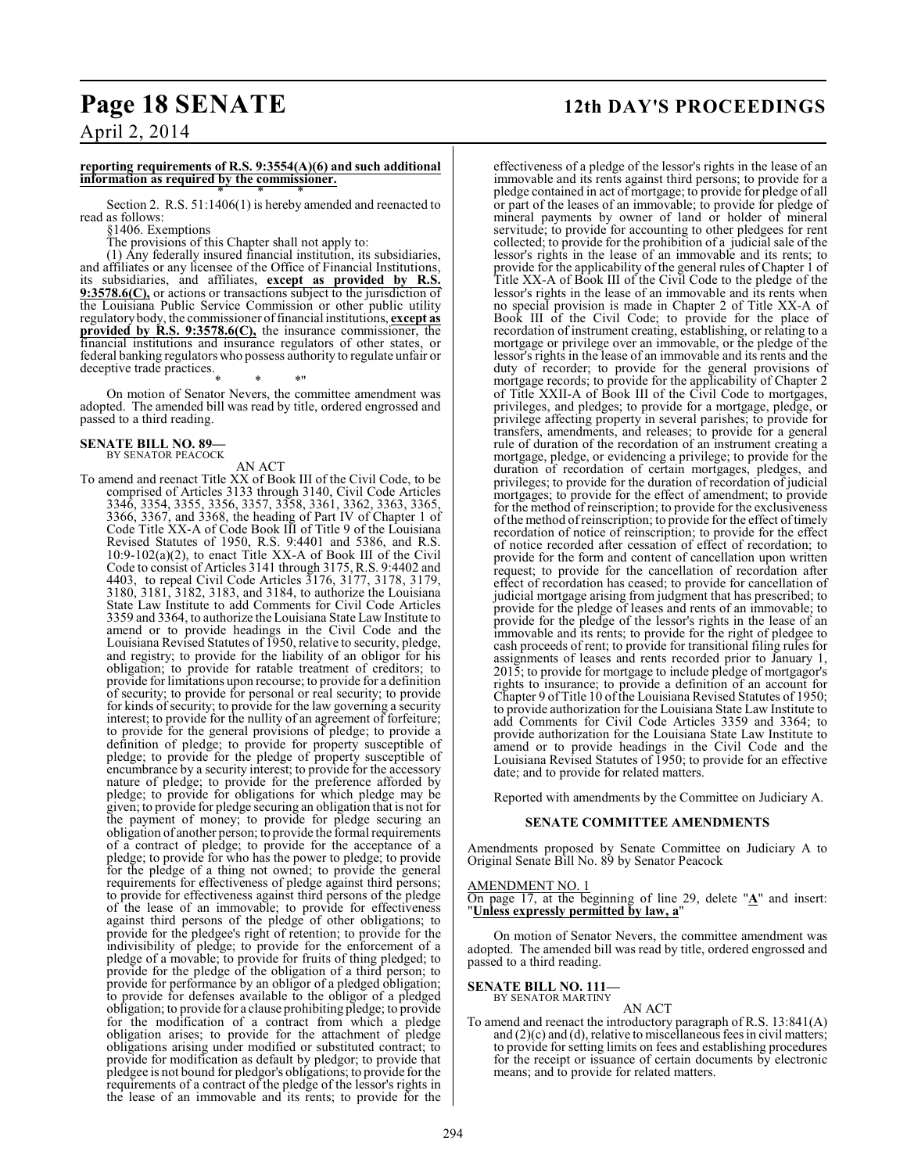# **Page 18 SENATE 12th DAY'S PROCEEDINGS**

April 2, 2014

#### **reporting requirements of R.S. 9:3554(A)(6) and such additional information as required by the commissioner.** \* \* \*

Section 2. R.S. 51:1406(1) is hereby amended and reenacted to read as follows:

§1406. Exemptions

The provisions of this Chapter shall not apply to:

(1) Any federally insured financial institution, its subsidiaries, and affiliates or any licensee of the Office of Financial Institutions, its subsidiaries, and affiliates, **except as provided by R.S. 9:3578.6(C),** or actions or transactions subject to the jurisdiction of the Louisiana Public Service Commission or other public utility regulatorybody, the commissioner of financial institutions, **except as provided by R.S. 9:3578.6(C),** the insurance commissioner, the financial institutions and insurance regulators of other states, or federal banking regulators who possess authority to regulate unfair or deceptive trade practices.

\* \* \*"

On motion of Senator Nevers, the committee amendment was adopted. The amended bill was read by title, ordered engrossed and passed to a third reading.

#### **SENATE BILL NO. 89—** BY SENATOR PEACOCK

AN ACT

To amend and reenact Title XX of Book III of the Civil Code, to be comprised of Articles 3133 through 3140, Civil Code Articles 3346, 3354, 3355, 3356, 3357, 3358, 3361, 3362, 3363, 3365, 3366, 3367, and 3368, the heading of Part IV of Chapter 1 of Code Title XX-A of Code Book III of Title 9 of the Louisiana Revised Statutes of 1950, R.S. 9:4401 and 5386, and R.S. 10:9-102(a)(2), to enact Title XX-A of Book III of the Civil Code to consist of Articles 3141 through 3175, R.S. 9:4402 and 4403, to repeal Civil Code Articles 3176, 3177, 3178, 3179, 3180, 3181, 3182, 3183, and 3184, to authorize the Louisiana State Law Institute to add Comments for Civil Code Articles 3359 and 3364, to authorize the Louisiana State Law Institute to amend or to provide headings in the Civil Code and the Louisiana Revised Statutes of 1950, relative to security, pledge, and registry; to provide for the liability of an obligor for his obligation; to provide for ratable treatment of creditors; to provide for limitations upon recourse; to provide for a definition of security; to provide for personal or real security; to provide for kinds of security; to provide for the law governing a security interest; to provide for the nullity of an agreement of forfeiture; to provide for the general provisions of pledge; to provide a definition of pledge; to provide for property susceptible of pledge; to provide for the pledge of property susceptible of encumbrance by a security interest; to provide for the accessory nature of pledge; to provide for the preference afforded by pledge; to provide for obligations for which pledge may be given; to provide for pledge securing an obligation that is not for the payment of money; to provide for pledge securing an obligation of another person; to provide the formal requirements of a contract of pledge; to provide for the acceptance of a pledge; to provide for who has the power to pledge; to provide for the pledge of a thing not owned; to provide the general requirements for effectiveness of pledge against third persons; to provide for effectiveness against third persons of the pledge of the lease of an immovable; to provide for effectiveness against third persons of the pledge of other obligations; to provide for the pledgee's right of retention; to provide for the indivisibility of pledge; to provide for the enforcement of a pledge of a movable; to provide for fruits of thing pledged; to provide for the pledge of the obligation of a third person; to provide for performance by an obligor of a pledged obligation; to provide for defenses available to the obligor of a pledged obligation; to provide for a clause prohibiting pledge; to provide for the modification of a contract from which a pledge obligation arises; to provide for the attachment of pledge obligations arising under modified or substituted contract; to provide for modification as default by pledgor; to provide that pledgee is not bound for pledgor's obligations; to provide for the requirements of a contract of the pledge of the lessor's rights in the lease of an immovable and its rents; to provide for the

effectiveness of a pledge of the lessor's rights in the lease of an immovable and its rents against third persons; to provide for a pledge contained in act of mortgage; to provide for pledge of all or part of the leases of an immovable; to provide for pledge of mineral payments by owner of land or holder of mineral servitude; to provide for accounting to other pledgees for rent collected; to provide for the prohibition of a judicial sale of the lessor's rights in the lease of an immovable and its rents; to provide for the applicability of the general rules of Chapter 1 of Title XX-A of Book III of the Civil Code to the pledge of the lessor's rights in the lease of an immovable and its rents when no special provision is made in Chapter 2 of Title XX-A of Book III of the Civil Code; to provide for the place of recordation of instrument creating, establishing, or relating to a mortgage or privilege over an immovable, or the pledge of the lessor's rights in the lease of an immovable and its rents and the duty of recorder; to provide for the general provisions of mortgage records; to provide for the applicability of Chapter 2 of Title XXII-A of Book III of the Civil Code to mortgages, privileges, and pledges; to provide for a mortgage, pledge, or privilege affecting property in several parishes; to provide for transfers, amendments, and releases; to provide for a general rule of duration of the recordation of an instrument creating a mortgage, pledge, or evidencing a privilege; to provide for the duration of recordation of certain mortgages, pledges, and privileges; to provide for the duration of recordation of judicial mortgages; to provide for the effect of amendment; to provide for the method of reinscription; to provide for the exclusiveness of the method of reinscription; to provide for the effect of timely recordation of notice of reinscription; to provide for the effect of notice recorded after cessation of effect of recordation; to provide for the form and content of cancellation upon written request; to provide for the cancellation of recordation after effect of recordation has ceased; to provide for cancellation of judicial mortgage arising from judgment that has prescribed; to provide for the pledge of leases and rents of an immovable; to provide for the pledge of the lessor's rights in the lease of an immovable and its rents; to provide for the right of pledgee to cash proceeds of rent; to provide for transitional filing rules for assignments of leases and rents recorded prior to January 1, 2015; to provide for mortgage to include pledge of mortgagor's rights to insurance; to provide a definition of an account for Chapter 9 of Title 10 of the Louisiana Revised Statutes of 1950; to provide authorization for the Louisiana State Law Institute to add Comments for Civil Code Articles 3359 and 3364; to provide authorization for the Louisiana State Law Institute to amend or to provide headings in the Civil Code and the Louisiana Revised Statutes of 1950; to provide for an effective date; and to provide for related matters.

Reported with amendments by the Committee on Judiciary A.

#### **SENATE COMMITTEE AMENDMENTS**

Amendments proposed by Senate Committee on Judiciary A to Original Senate Bill No. 89 by Senator Peacock

AMENDMENT NO. 1 On page 17, at the beginning of line 29, delete "**A**" and insert: "**Unless expressly permitted by law, a**"

On motion of Senator Nevers, the committee amendment was adopted. The amended bill was read by title, ordered engrossed and passed to a third reading.

**SENATE BILL NO. 111—** BY SENATOR MARTINY

AN ACT

To amend and reenact the introductory paragraph of R.S. 13:841(A) and  $(2)(c)$  and  $(d)$ , relative to miscellaneous fees in civil matters; to provide for setting limits on fees and establishing procedures for the receipt or issuance of certain documents by electronic means; and to provide for related matters.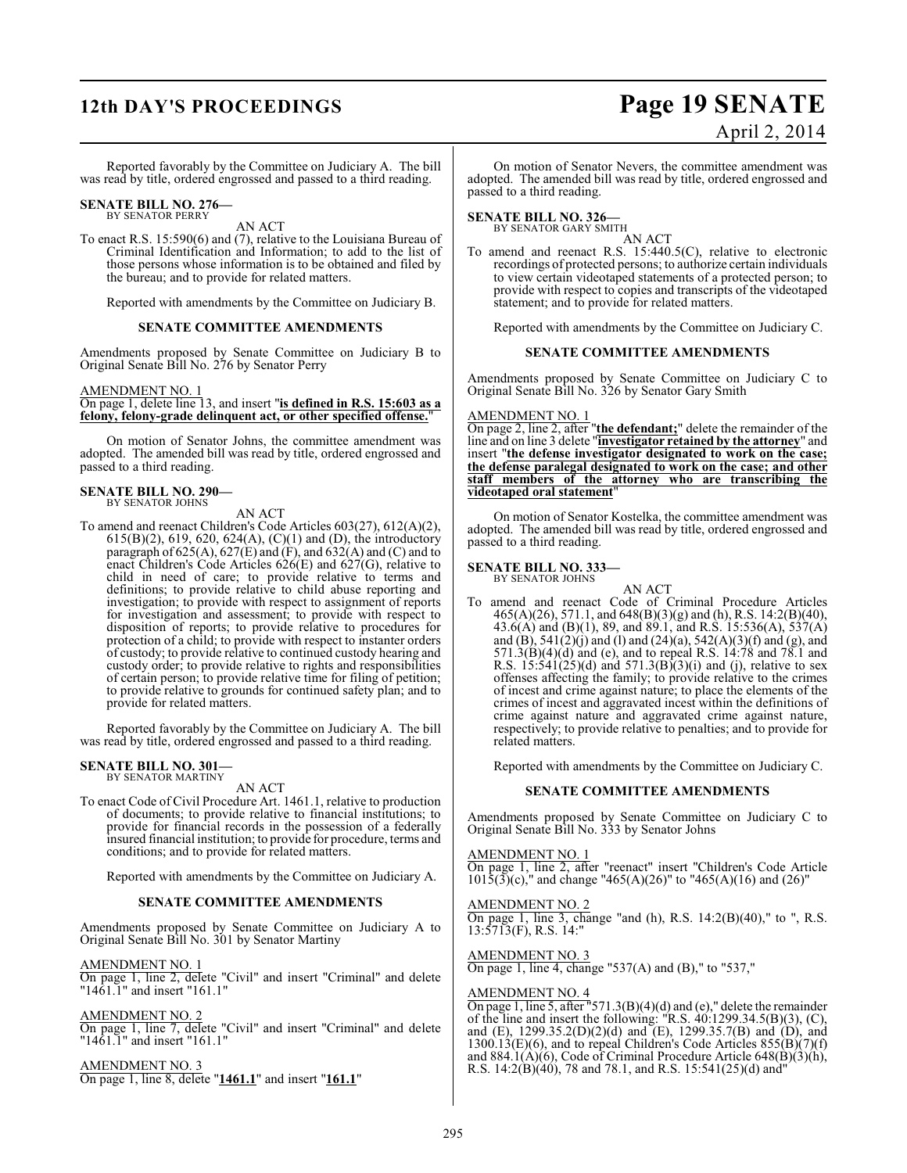# **12th DAY'S PROCEEDINGS Page 19 SENATE**

# April 2, 2014

Reported favorably by the Committee on Judiciary A. The bill was read by title, ordered engrossed and passed to a third reading.

# **SENATE BILL NO. 276—** BY SENATOR PERRY

AN ACT

To enact R.S. 15:590(6) and (7), relative to the Louisiana Bureau of Criminal Identification and Information; to add to the list of those persons whose information is to be obtained and filed by the bureau; and to provide for related matters.

Reported with amendments by the Committee on Judiciary B.

#### **SENATE COMMITTEE AMENDMENTS**

Amendments proposed by Senate Committee on Judiciary B to Original Senate Bill No. 276 by Senator Perry

#### AMENDMENT NO. 1

On page 1, delete line 13, and insert "**is defined in R.S. 15:603 as a felony, felony-grade delinquent act, or other specified offense.**"

On motion of Senator Johns, the committee amendment was adopted. The amended bill was read by title, ordered engrossed and passed to a third reading.

#### **SENATE BILL NO. 290—** BY SENATOR JOHNS

AN ACT

To amend and reenact Children's Code Articles 603(27), 612(A)(2), 615(B)(2), 619, 620, 624(A), (C)(1) and (D), the introductory paragraph of 625(A), 627(E) and (F), and 632(A) and (C) and to enact Children's Code Articles 626(E) and 627(G), relative to child in need of care; to provide relative to terms and definitions; to provide relative to child abuse reporting and investigation; to provide with respect to assignment of reports for investigation and assessment; to provide with respect to disposition of reports; to provide relative to procedures for protection of a child; to provide with respect to instanter orders of custody; to provide relative to continued custody hearing and custody order; to provide relative to rights and responsibilities of certain person; to provide relative time for filing of petition; to provide relative to grounds for continued safety plan; and to provide for related matters.

Reported favorably by the Committee on Judiciary A. The bill was read by title, ordered engrossed and passed to a third reading.

#### **SENATE BILL NO. 301—** BY SENATOR MARTINY

AN ACT

To enact Code of Civil Procedure Art. 1461.1, relative to production of documents; to provide relative to financial institutions; to provide for financial records in the possession of a federally insured financial institution; to provide for procedure, terms and conditions; and to provide for related matters.

Reported with amendments by the Committee on Judiciary A.

#### **SENATE COMMITTEE AMENDMENTS**

Amendments proposed by Senate Committee on Judiciary A to Original Senate Bill No. 301 by Senator Martiny

#### AMENDMENT NO. 1

On page 1, line 2, delete "Civil" and insert "Criminal" and delete "1461.1" and insert "161.1"

#### AMENDMENT NO. 2

On page 1, line 7, delete "Civil" and insert "Criminal" and delete "1461.1" and insert "161.1"

AMENDMENT NO. 3 On page 1, line 8, delete "**1461.1**" and insert "**161.1**"

On motion of Senator Nevers, the committee amendment was adopted. The amended bill was read by title, ordered engrossed and passed to a third reading.

**SENATE BILL NO. 326—**<br>BY SENATOR GARY SMITH AN ACT

To amend and reenact R.S. 15:440.5(C), relative to electronic recordings of protected persons; to authorize certain individuals to view certain videotaped statements of a protected person; to provide with respect to copies and transcripts of the videotaped statement; and to provide for related matters.

Reported with amendments by the Committee on Judiciary C.

#### **SENATE COMMITTEE AMENDMENTS**

Amendments proposed by Senate Committee on Judiciary C to Original Senate Bill No. 326 by Senator Gary Smith

#### AMENDMENT NO. 1

On page 2, line 2, after "**the defendant;**" delete the remainder of the line and on line 3 delete "**investigator retained by the attorney**" and insert "**the defense investigator designated to work on the case; the defense paralegal designated to work on the case; and other staff members of the attorney who are transcribing the videotaped oral statement**"

On motion of Senator Kostelka, the committee amendment was adopted. The amended bill was read by title, ordered engrossed and passed to a third reading.

# **SENATE BILL NO. 333—**<br>BY SENATOR JOHNS

AN ACT

To amend and reenact Code of Criminal Procedure Articles 465(A)(26), 571.1, and 648(B)(3)(g) and (h), R.S. 14:2(B)(40), 43.6(A) and (B)(1), 89, and 89.1, and R.S. 15:536(A), 537(A) and  $(B)$ , 541 $(2)(j)$  and  $(l)$  and  $(24)(a)$ , 542 $(A)(3)(f)$  and  $(g)$ , and 571.3(B)(4)(d) and (e), and to repeal R.S. 14:78 and 78.1 and R.S.  $15:541(25)(d)$  and  $571.3(B)(3)(i)$  and (j), relative to sex offenses affecting the family; to provide relative to the crimes of incest and crime against nature; to place the elements of the crimes of incest and aggravated incest within the definitions of crime against nature and aggravated crime against nature, respectively; to provide relative to penalties; and to provide for related matters.

Reported with amendments by the Committee on Judiciary C.

#### **SENATE COMMITTEE AMENDMENTS**

Amendments proposed by Senate Committee on Judiciary C to Original Senate Bill No. 333 by Senator Johns

#### AMENDMENT NO. 1

On page 1, line 2, after "reenact" insert "Children's Code Article  $101\overline{5(3)}(c)$ ," and change "465(A)(26)" to "465(A)(16) and (26)"

#### AMENDMENT NO. 2 On page 1, line 3, change "and (h), R.S. 14:2(B)(40)," to ", R.S. 13:5713(F), R.S. 14:"

AMENDMENT NO. 3 On page 1, line 4, change "537(A) and (B)," to "537,"

#### AMENDMENT NO. 4

On page 1, line 5, after "571.3(B)(4)(d) and (e)," delete the remainder of the line and insert the following: "R.S.  $40:1299.34.5(B)(3)$ , (C), and (E), 1299.35.2(D)(2)(d) and (E), 1299.35.7(B) and (D), and  $1300.13(E)(6)$ , and to repeal Children's Code Articles  $855(B)(7)(f)$ and 884.1(A)(6), Code of Criminal Procedure Article 648(B)(3)(h), R.S. 14:2(B)(40), 78 and 78.1, and R.S. 15:541(25)(d) and"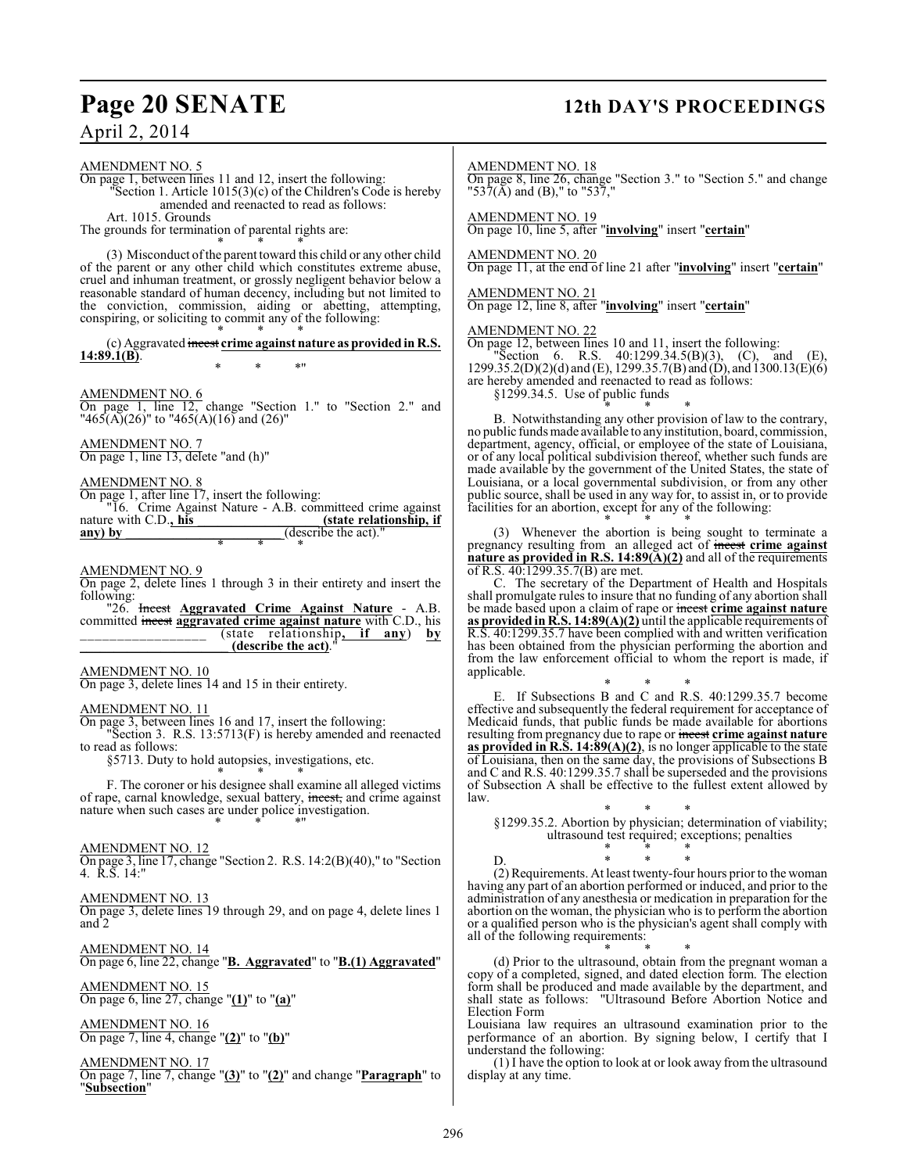# **Page 20 SENATE 12th DAY'S PROCEEDINGS**

April 2, 2014

AMENDMENT NO. 5 On page 1, between lines 11 and 12, insert the following: "Section 1. Article 1015(3)(c) of the Children's Code is hereby amended and reenacted to read as follows: Art. 1015. Grounds The grounds for termination of parental rights are: \* \* \* (3) Misconduct ofthe parent toward this child or any other child of the parent or any other child which constitutes extreme abuse, cruel and inhuman treatment, or grossly negligent behavior below a reasonable standard of human decency, including but not limited to the conviction, commission, aiding or abetting, attempting, conspiring, or soliciting to commit any of the following: \* \* \* (c) Aggravated incest **crime against nature as provided in R.S. 14:89.1(B)**. \* \* \*" AMENDMENT NO. 6 On page 1, line 12, change "Section 1." to "Section 2." and "465(A)(26)" to "465(A)(16) and (26)" AMENDMENT NO. 7 On page 1, line 13, delete "and (h)" AMENDMENT NO. 8 On page 1, after line 17, insert the following: "16. Crime Against Nature - A.B. committeed crime against nature with C.D., his any) by (describe the act)." \* \* \* AMENDMENT NO. 9 On page 2, delete lines 1 through 3 in their entirety and insert the following:<br>"26. **Incest Aggravated Crime Against Nature** - A.B. committed incest **aggravated crime against nature** with C.D., his \_\_\_\_\_\_\_\_\_\_\_\_\_\_\_\_\_\_\_\_ (state relationship, if any) by \_\_\_\_\_\_\_\_\_\_\_\_\_\_\_\_\_ (state relationship**, if any**) **by (describe the act).** AMENDMENT NO. 10 On page 3, delete lines 14 and 15 in their entirety. AMENDMENT NO. 11 On page 3, between lines 16 and 17, insert the following: "Section 3. R.S. 13:5713(F) is hereby amended and reenacted to read as follows: §5713. Duty to hold autopsies, investigations, etc. \* \* \* F. The coroner or his designee shall examine all alleged victims of rape, carnal knowledge, sexual battery, incest, and crime against nature when such cases are under police investigation. \* \* \*" AMENDMENT NO. 12 On page 3, line 17, change "Section 2. R.S. 14:2(B)(40)," to "Section 4. R.S. 14:" AMENDMENT NO. 13 On page 3, delete lines 19 through 29, and on page 4, delete lines 1 and 2 AMENDMENT NO. 14 On page 6, line 22, change "**B. Aggravated**" to "**B.(1) Aggravated**" AMENDMENT NO. 15 On page 6, line 27, change "**(1)**" to "**(a)**" AMENDMENT NO. 16 On page 7, line 4, change "**(2)**" to "**(b)**" AMENDMENT NO. 17 On page 7, line 7, change "**(3)**" to "**(2)**" and change "**Paragraph**" to "**Subsection**" AMENDMENT NO. 18 On page 8, line 26, change "Section 3." to "Section 5." and change  $"537(A)$  and (B)," to "537," AMENDMENT NO. 19 On page 10, line 5, after "**involving**" insert "**certain**" AMENDMENT NO. 20 On page 11, at the end of line 21 after "**involving**" insert "**certain**" AMENDMENT NO. 21 On page 12, line 8, after "**involving**" insert "**certain**" AMENDMENT NO. 22 On page 12, between lines 10 and 11, insert the following: "Section 6. R.S.  $40:1299.34.5(B)(3)$ , (C), and (E), 1299.35.2(D)(2)(d) and (E), 1299.35.7(B) and  $\hat{D}$ ), and 1300.13(E)(6) are hereby amended and reenacted to read as follows: §1299.34.5. Use of public funds \* \* \* B. Notwithstanding any other provision of law to the contrary, no public funds made available to any institution, board, commission, department, agency, official, or employee of the state of Louisiana, or of any local political subdivision thereof, whether such funds are made available by the government of the United States, the state of Louisiana, or a local governmental subdivision, or from any other public source, shall be used in any way for, to assist in, or to provide facilities for an abortion, except for any of the following: \* \* \* (3) Whenever the abortion is being sought to terminate a pregnancy resulting from an alleged act of incest **crime against nature as provided in R.S. 14:89(A)(2)** and all of the requirements of R.S. 40:1299.35.7(B) are met. C. The secretary of the Department of Health and Hospitals shall promulgate rules to insure that no funding of any abortion shall be made based upon a claim of rape or incest **crime against nature as provided in R.S. 14:89(A)(2)** until the applicable requirements of R.S. 40:1299.35.7 have been complied with and written verification has been obtained from the physician performing the abortion and from the law enforcement official to whom the report is made, if applicable. \* \* \* E. If Subsections B and C and R.S. 40:1299.35.7 become effective and subsequently the federal requirement for acceptance of Medicaid funds, that public funds be made available for abortions resulting from pregnancy due to rape or incest **crime against nature as provided in R.S. 14:89(A)(2)**, is no longer applicable to the state of Louisiana, then on the same day, the provisions of Subsections B and C and R.S. 40:1299.35.7 shall be superseded and the provisions of Subsection A shall be effective to the fullest extent allowed by law. \* \* \* §1299.35.2. Abortion by physician; determination of viability; ultrasound test required; exceptions; penalties \* \* \* D. \* \* \* (2) Requirements. At least twenty-four hours prior to the woman having any part of an abortion performed or induced, and prior to the administration of any anesthesia or medication in preparation for the abortion on the woman, the physician who is to perform the abortion or a qualified person who is the physician's agent shall comply with all of the following requirements: \* \* \* (d) Prior to the ultrasound, obtain from the pregnant woman a copy of a completed, signed, and dated election form. The election form shall be produced and made available by the department, and shall state as follows: "Ultrasound Before Abortion Notice and Election Form Louisiana law requires an ultrasound examination prior to the performance of an abortion. By signing below, I certify that I understand the following: (1) I have the option to look at or look away from the ultrasound display at any time.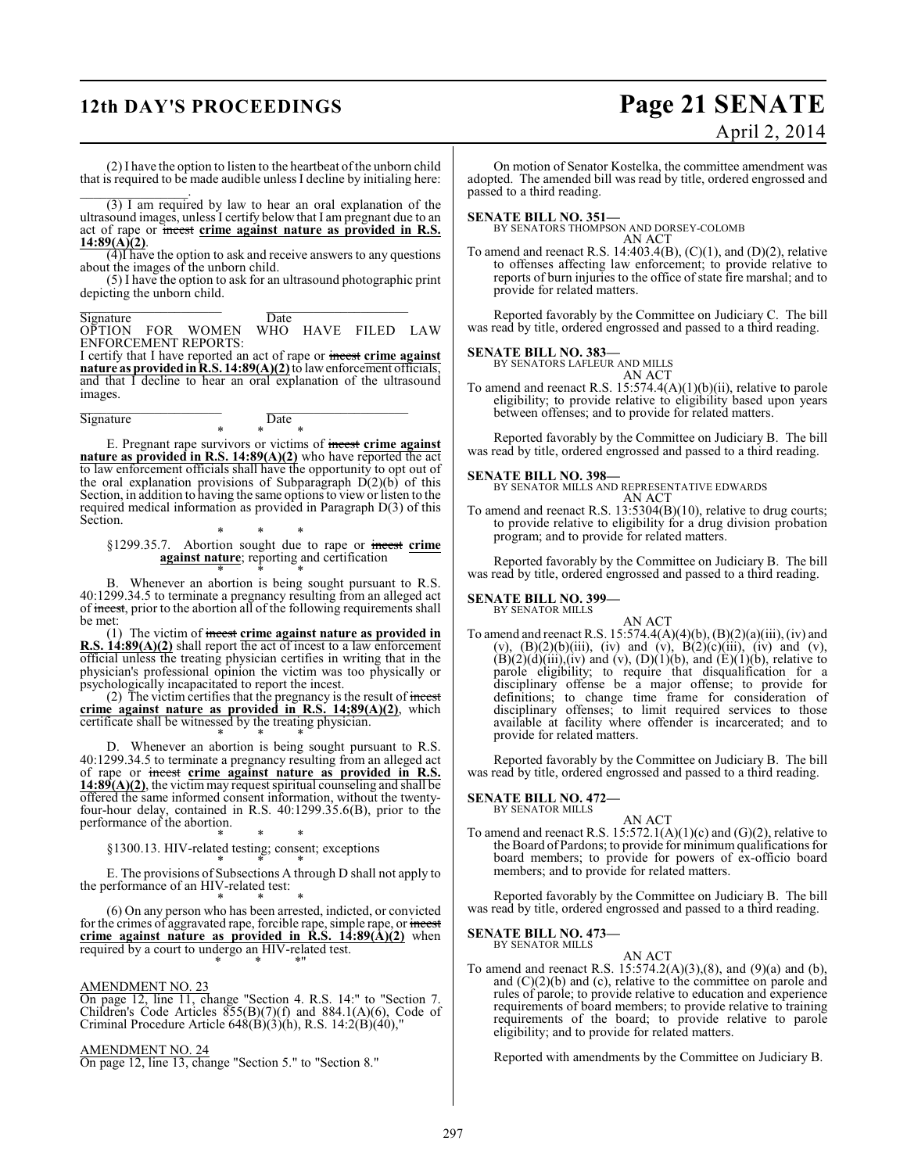# **12th DAY'S PROCEEDINGS Page 21 SENATE**

# April 2, 2014

(2) I have the option to listen to the heartbeat of the unborn child that is required to be made audible unless I decline by initialing here:

 $\mathcal{L}=\mathcal{L}^{\mathcal{L}}$ (3) I am required by law to hear an oral explanation of the ultrasound images, unless I certify below that I am pregnant due to an act of rape or incest **crime against nature as provided in R.S. 14:89(A)(2)**.

(4)I have the option to ask and receive answers to any questions about the images of the unborn child.

(5) I have the option to ask for an ultrasound photographic print depicting the unborn child.

\_\_\_\_\_\_\_\_\_\_\_\_\_\_\_\_\_\_\_\_\_ \_\_\_\_\_\_\_\_\_\_\_\_\_\_\_\_\_\_\_\_\_ Signature Date

OPTION FOR WOMEN WHO HAVE FILED LAW ENFORCEMENT REPORTS:

I certify that I have reported an act of rape or incest **crime against nature as provided in R.S. 14:89(A)(2)** to law enforcement officials, and that I decline to hear an oral explanation of the ultrasound images. \_\_\_\_\_\_\_\_\_\_\_\_\_\_\_\_\_\_\_\_\_ \_\_\_\_\_\_\_\_\_\_\_\_\_\_\_\_\_\_\_\_\_

Signature Date

\* \* \*

E. Pregnant rape survivors or victims of incest **crime against nature as provided in R.S. 14:89(A)(2)** who have reported the act to law enforcement officials shall have the opportunity to opt out of the oral explanation provisions of Subparagraph  $D(2)(b)$  of this Section, in addition to having the same options to view or listen to the required medical information as provided in Paragraph D(3) of this Section.

\* \* \* §1299.35.7. Abortion sought due to rape or incest **crime against nature**; reporting and certification \* \* \*

B. Whenever an abortion is being sought pursuant to R.S. 40:1299.34.5 to terminate a pregnancy resulting from an alleged act of incest, prior to the abortion all of the following requirements shall be met:

(1) The victim of incest **crime against nature as provided in R.S. 14:89(A)(2)** shall report the act of incest to a law enforcement official unless the treating physician certifies in writing that in the physician's professional opinion the victim was too physically or psychologically incapacitated to report the incest.

(2) The victim certifies that the pregnancy is the result of  $\frac{1}{2}$ **crime against nature as provided in R.S. 14;89(A)(2)**, which certificate shall be witnessed by the treating physician.

\* \* \* D. Whenever an abortion is being sought pursuant to R.S. 40:1299.34.5 to terminate a pregnancy resulting from an alleged act of rape or incest **crime against nature as provided in R.S. 14:89(A)(2)**, the victim may request spiritual counseling and shall be offered the same informed consent information, without the twentyfour-hour delay, contained in R.S. 40:1299.35.6(B), prior to the performance of the abortion.

\* \* \* §1300.13. HIV-related testing; consent; exceptions

\* \* \* E. The provisions of Subsections A through D shall not apply to the performance of an HIV-related test:

\* \* \* (6) On any person who has been arrested, indicted, or convicted for the crimes of aggravated rape, forcible rape, simple rape, or incest **crime against nature as provided in R.S. 14:89(A)(2)** when required by a court to undergo an HIV-related test. \* \* \*"

#### AMENDMENT NO. 23

On page 12, line 11, change "Section 4. R.S. 14:" to "Section 7. Children's Code Articles  $855(B)(7)(f)$  and  $884.1(A)(6)$ , Code of Criminal Procedure Article  $648(B)(3)(h)$ , R.S. 14:2(B)(40),

AMENDMENT NO. 24

On page 12, line 13, change "Section 5." to "Section 8."

On motion of Senator Kostelka, the committee amendment was adopted. The amended bill was read by title, ordered engrossed and passed to a third reading.

**SENATE BILL NO. 351—** BY SENATORS THOMPSON AND DORSEY-COLOMB AN ACT

To amend and reenact R.S. 14:403.4(B),  $(C)(1)$ , and  $(D)(2)$ , relative to offenses affecting law enforcement; to provide relative to reports of burn injuries to the office of state fire marshal; and to provide for related matters.

Reported favorably by the Committee on Judiciary C. The bill was read by title, ordered engrossed and passed to a third reading.

**SENATE BILL NO. 383—** BY SENATORS LAFLEUR AND MILLS AN ACT

To amend and reenact R.S. 15:574.4(A)(1)(b)(ii), relative to parole eligibility; to provide relative to eligibility based upon years between offenses; and to provide for related matters.

Reported favorably by the Committee on Judiciary B. The bill was read by title, ordered engrossed and passed to a third reading.

#### **SENATE BILL NO. 398—**

BY SENATOR MILLS AND REPRESENTATIVE EDWARDS AN ACT

To amend and reenact R.S. 13:5304(B)(10), relative to drug courts; to provide relative to eligibility for a drug division probation program; and to provide for related matters.

Reported favorably by the Committee on Judiciary B. The bill was read by title, ordered engrossed and passed to a third reading.

#### **SENATE BILL NO. 399—** BY SENATOR MILLS

AN ACT To amend and reenact R.S. 15:574.4(A)(4)(b), (B)(2)(a)(iii), (iv) and (v),  $(B)(2)(b)(iii)$ , (iv) and (v),  $B(2)(c)(iii)$ , (iv) and (v),  $(B)(2)(d)(iii)$ , (iv) and (v),  $(D)(1)(b)$ , and  $(E)(1)(b)$ , relative to parole eligibility; to require that disqualification for a disciplinary offense be a major offense; to provide for definitions; to change time frame for consideration of disciplinary offenses; to limit required services to those available at facility where offender is incarcerated; and to provide for related matters.

Reported favorably by the Committee on Judiciary B. The bill was read by title, ordered engrossed and passed to a third reading.

#### **SENATE BILL NO. 472—**

BY SENATOR MILLS

AN ACT To amend and reenact R.S.  $15:572.1(A)(1)(c)$  and  $(G)(2)$ , relative to theBoard of Pardons; to provide for minimum qualifications for board members; to provide for powers of ex-officio board members; and to provide for related matters.

Reported favorably by the Committee on Judiciary B. The bill was read by title, ordered engrossed and passed to a third reading.

**SENATE BILL NO. 473—** BY SENATOR MILLS

AN ACT To amend and reenact R.S.  $15:574.2(A)(3),(8)$ , and  $(9)(a)$  and  $(b)$ , and  $(C)(2)(b)$  and  $(c)$ , relative to the committee on parole and rules of parole; to provide relative to education and experience requirements of board members; to provide relative to training requirements of the board; to provide relative to parole eligibility; and to provide for related matters.

Reported with amendments by the Committee on Judiciary B.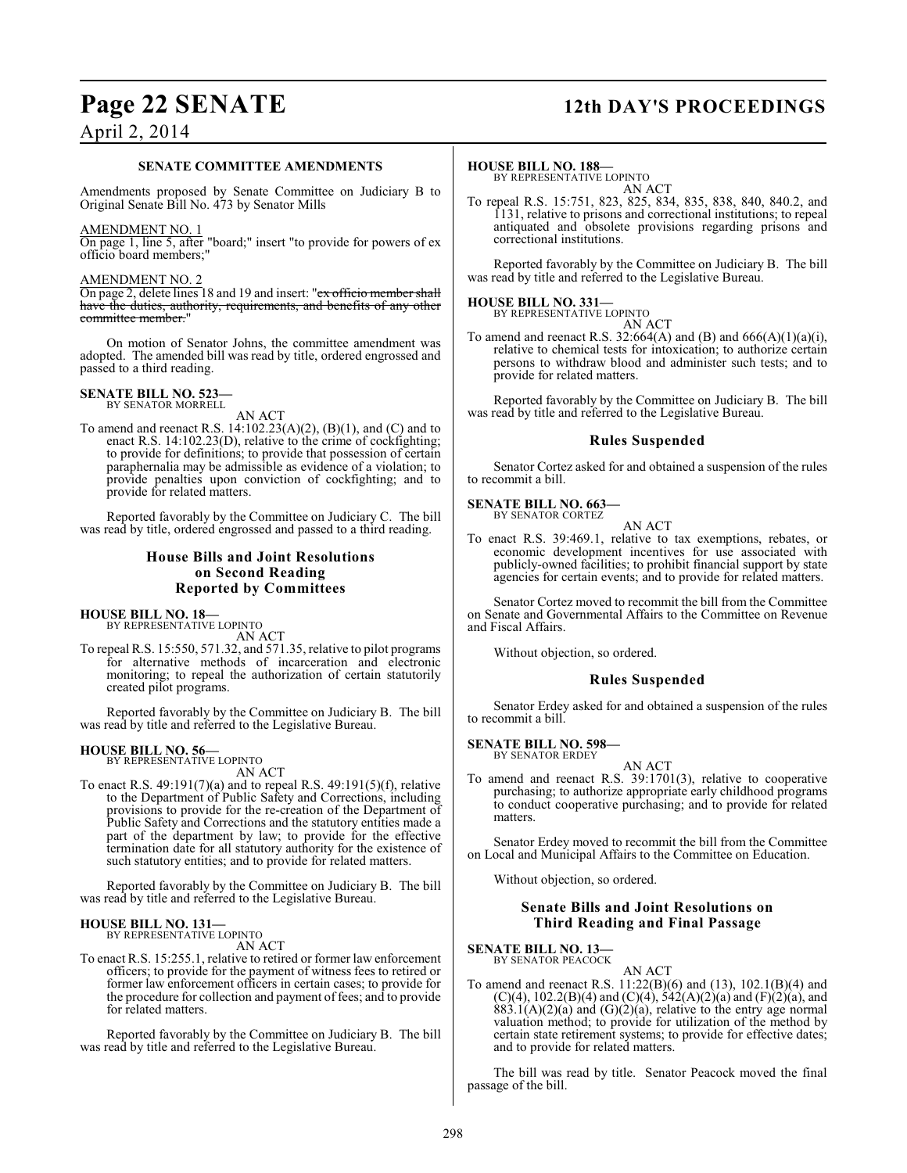# **Page 22 SENATE 12th DAY'S PROCEEDINGS**

# April 2, 2014

#### **SENATE COMMITTEE AMENDMENTS**

Amendments proposed by Senate Committee on Judiciary B to Original Senate Bill No. 473 by Senator Mills

#### AMENDMENT NO. 1

On page 1, line 5, after "board;" insert "to provide for powers of ex officio board members;"

#### AMENDMENT NO. 2

On page 2, delete lines 18 and 19 and insert: "ex officio member shall have the duties, authority, requirements, and benefits of any other committee member."

On motion of Senator Johns, the committee amendment was adopted. The amended bill was read by title, ordered engrossed and passed to a third reading.

#### **SENATE BILL NO. 523—** BY SENATOR MORRELL

AN ACT

To amend and reenact R.S. 14:102.23(A)(2), (B)(1), and (C) and to enact R.S. 14:102.23(D), relative to the crime of cockfighting; to provide for definitions; to provide that possession of certain paraphernalia may be admissible as evidence of a violation; to provide penalties upon conviction of cockfighting; and to provide for related matters.

Reported favorably by the Committee on Judiciary C. The bill was read by title, ordered engrossed and passed to a third reading.

#### **House Bills and Joint Resolutions on Second Reading Reported by Committees**

#### **HOUSE BILL NO. 18—**

BY REPRESENTATIVE LOPINTO AN ACT

To repeal R.S. 15:550, 571.32, and 571.35, relative to pilot programs for alternative methods of incarceration and electronic monitoring; to repeal the authorization of certain statutorily created pilot programs.

Reported favorably by the Committee on Judiciary B. The bill was read by title and referred to the Legislative Bureau.

#### **HOUSE BILL NO. 56—**

BY REPRESENTATIVE LOPINTO AN ACT

To enact R.S. 49:191(7)(a) and to repeal R.S. 49:191(5)(f), relative to the Department of Public Safety and Corrections, including provisions to provide for the re-creation of the Department of Public Safety and Corrections and the statutory entities made a part of the department by law; to provide for the effective termination date for all statutory authority for the existence of such statutory entities; and to provide for related matters.

Reported favorably by the Committee on Judiciary B. The bill was read by title and referred to the Legislative Bureau.

# **HOUSE BILL NO. 131—** BY REPRESENTATIVE LOPINTO

AN ACT

To enact R.S. 15:255.1, relative to retired or former law enforcement officers; to provide for the payment of witness fees to retired or former law enforcement officers in certain cases; to provide for the procedure for collection and payment of fees; and to provide for related matters.

Reported favorably by the Committee on Judiciary B. The bill was read by title and referred to the Legislative Bureau.

#### **HOUSE BILL NO. 188—**

BY REPRESENTATIVE LOPINTO AN ACT

To repeal R.S. 15:751, 823, 825, 834, 835, 838, 840, 840.2, and 1131, relative to prisons and correctional institutions; to repeal antiquated and obsolete provisions regarding prisons and correctional institutions.

Reported favorably by the Committee on Judiciary B. The bill was read by title and referred to the Legislative Bureau.

#### **HOUSE BILL NO. 331—** BY REPRESENTATIVE LOPINTO

AN ACT

To amend and reenact R.S. 32:664(A) and (B) and 666(A)(1)(a)(i), relative to chemical tests for intoxication; to authorize certain persons to withdraw blood and administer such tests; and to provide for related matters.

Reported favorably by the Committee on Judiciary B. The bill was read by title and referred to the Legislative Bureau.

### **Rules Suspended**

Senator Cortez asked for and obtained a suspension of the rules to recommit a bill.

#### **SENATE BILL NO. 663—**

BY SENATOR CORTEZ

AN ACT To enact R.S. 39:469.1, relative to tax exemptions, rebates, or economic development incentives for use associated with publicly-owned facilities; to prohibit financial support by state agencies for certain events; and to provide for related matters.

Senator Cortez moved to recommit the bill from the Committee on Senate and Governmental Affairs to the Committee on Revenue and Fiscal Affairs.

Without objection, so ordered.

#### **Rules Suspended**

Senator Erdey asked for and obtained a suspension of the rules to recommit a bill.

# **SENATE BILL NO. 598—** BY SENATOR ERDEY

AN ACT

To amend and reenact R.S. 39:1701(3), relative to cooperative purchasing; to authorize appropriate early childhood programs to conduct cooperative purchasing; and to provide for related matters.

Senator Erdey moved to recommit the bill from the Committee on Local and Municipal Affairs to the Committee on Education.

Without objection, so ordered.

#### **Senate Bills and Joint Resolutions on Third Reading and Final Passage**

## **SENATE BILL NO. 13—**

BY SENATOR PEACOCK

AN ACT To amend and reenact R.S. 11:22(B)(6) and (13), 102.1(B)(4) and  $(C)(4)$ , 102.2(B)(4) and  $(C)(4)$ , 542(A)(2)(a) and (F)(2)(a), and  $883.1(A)(2)(a)$  and  $(G)(2)(a)$ , relative to the entry age normal valuation method; to provide for utilization of the method by certain state retirement systems; to provide for effective dates; and to provide for related matters.

The bill was read by title. Senator Peacock moved the final passage of the bill.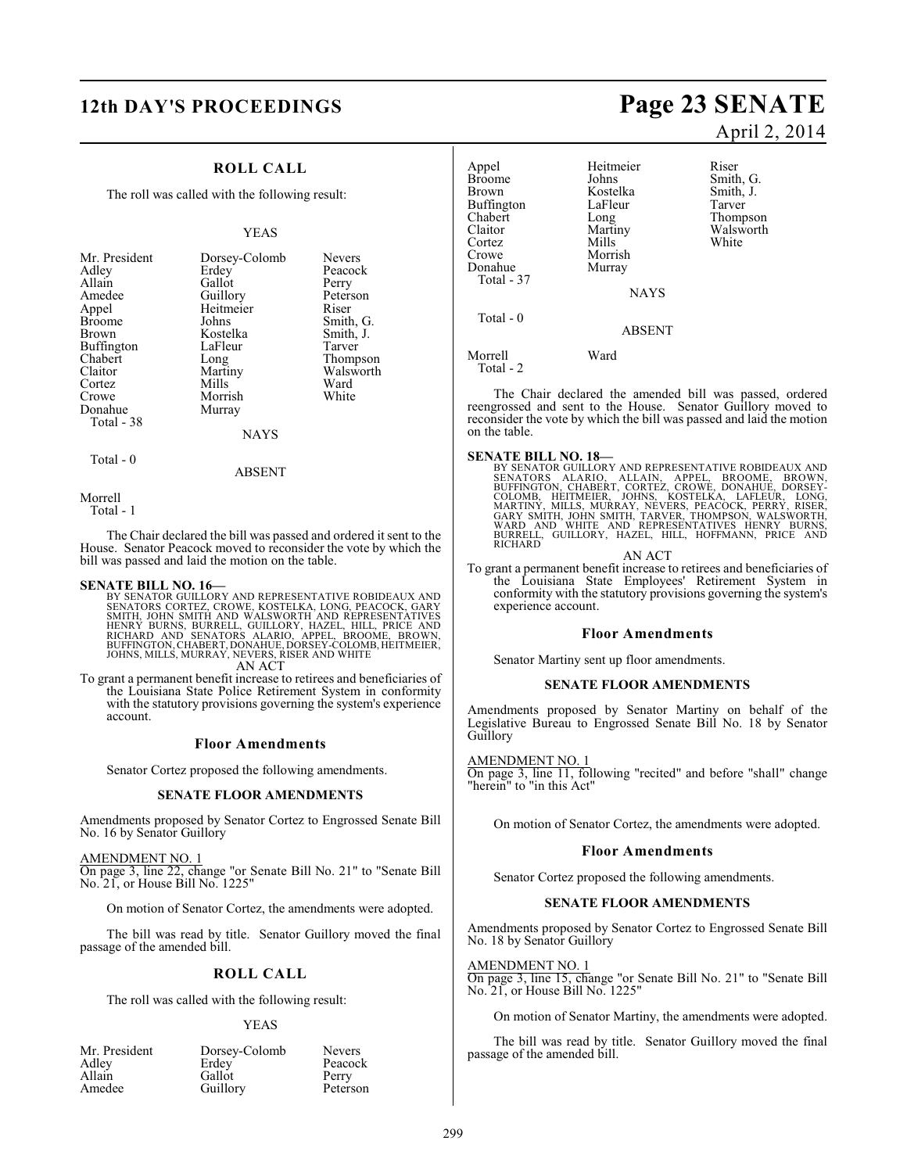# **12th DAY'S PROCEEDINGS Page 23 SENATE**

### **ROLL CALL**

The roll was called with the following result:

#### YEAS

| Mr. President | Dorsey-Colomb | <b>Nevers</b> |
|---------------|---------------|---------------|
| Adley         | Erdey         | Peacock       |
| Allain        | Gallot        | Perry         |
| Amedee        | Guillory      | Peterson      |
| Appel         | Heitmeier     | Riser         |
| <b>Broome</b> | Johns         | Smith, G.     |
| <b>Brown</b>  | Kostelka      | Smith, J.     |
| Buffington    | LaFleur       | Tarver        |
| Chabert       | Long          | Thompson      |
| Claitor       | Martiny       | Walsworth     |
| Cortez        | Mills         | Ward          |
| Crowe         | Morrish       | White         |
| Donahue       | Murray        |               |
| Total - 38    |               |               |
|               | NAYS          |               |

Total - 0

#### ABSENT

Morrell Total - 1

The Chair declared the bill was passed and ordered it sent to the House. Senator Peacock moved to reconsider the vote by which the bill was passed and laid the motion on the table.

#### **SENATE BILL NO. 16—**

BY SENATOR GUILLORY AND REPRESENTATIVE ROBIDEAUX AND<br>SENATORS CORTEZ, CROWE, KOSTELKA, LONG, PEACOCK, GARY<br>SMITH, JOHN SMITH AND WALSWORTH AND REPRESENTATIVES<br>HENRY BURNS, BURRELL, GUILLORY, HAZEL, HILL, PRICE AND<br>RICHARD AN ACT

To grant a permanent benefit increase to retirees and beneficiaries of the Louisiana State Police Retirement System in conformity with the statutory provisions governing the system's experience account.

#### **Floor Amendments**

Senator Cortez proposed the following amendments.

#### **SENATE FLOOR AMENDMENTS**

Amendments proposed by Senator Cortez to Engrossed Senate Bill No. 16 by Senator Guillory

AMENDMENT NO. 1

On page 3, line 22, change "or Senate Bill No. 21" to "Senate Bill No. 21, or House Bill No. 1225"

On motion of Senator Cortez, the amendments were adopted.

The bill was read by title. Senator Guillory moved the final passage of the amended bill.

#### **ROLL CALL**

The roll was called with the following result:

#### YEAS

Mr. President Dorsey-Colomb Nevers<br>Adley Erdey Peacoc Adley Erdey Peacock<br>Allain Gallot Perry Allain Gallot Perry<br>
Amedee Guillorv Peterson

Guillory

April 2, 2014

| Appel         | Heitmeier     | Riser     |
|---------------|---------------|-----------|
| <b>Broome</b> | Johns         | Smith, G. |
| <b>Brown</b>  | Kostelka      | Smith, J. |
| Buffington    | LaFleur       | Tarver    |
| Chabert       | Long          | Thompson  |
| Claitor       | Martiny       | Walsworth |
| Cortez        | Mills         | White     |
| Crowe         | Morrish       |           |
| Donahue       | Murray        |           |
| Total - 37    |               |           |
|               | <b>NAYS</b>   |           |
| Total $-0$    |               |           |
|               | <b>ABSENT</b> |           |
| Morrell       | Ward          |           |
| Total - 2     |               |           |

The Chair declared the amended bill was passed, ordered reengrossed and sent to the House. Senator Guillory moved to reconsider the vote by which the bill was passed and laid the motion on the table.

**SENATE BILL NO. 18—**<br>BY SENATOR GUILLORY AND REPRESENTATIVE ROBIDEAUX AND<br>SENATORS ALARIO, ALLAIN, APPEL, BROOME, BROWN,<br>BUFFINGTON, CHABERT, CORTEZ, CROWE, DONAHUE, DORSEY-<br>COLOMB, HEITMEIER, JOHNS, KOSTELKA, LAFLEUR, LO

AN ACT

To grant a permanent benefit increase to retirees and beneficiaries of the Louisiana State Employees' Retirement System in conformity with the statutory provisions governing the system's experience account.

#### **Floor Amendments**

Senator Martiny sent up floor amendments.

#### **SENATE FLOOR AMENDMENTS**

Amendments proposed by Senator Martiny on behalf of the Legislative Bureau to Engrossed Senate Bill No. 18 by Senator Guillory

#### AMENDMENT NO. 1

On page 3, line 11, following "recited" and before "shall" change "herein" to "in this Act"

On motion of Senator Cortez, the amendments were adopted.

#### **Floor Amendments**

Senator Cortez proposed the following amendments.

#### **SENATE FLOOR AMENDMENTS**

Amendments proposed by Senator Cortez to Engrossed Senate Bill No. 18 by Senator Guillory

#### AMENDMENT NO. 1

On page 3, line 15, change "or Senate Bill No. 21" to "Senate Bill No. 21, or House Bill No. 1225"

On motion of Senator Martiny, the amendments were adopted.

The bill was read by title. Senator Guillory moved the final passage of the amended bill.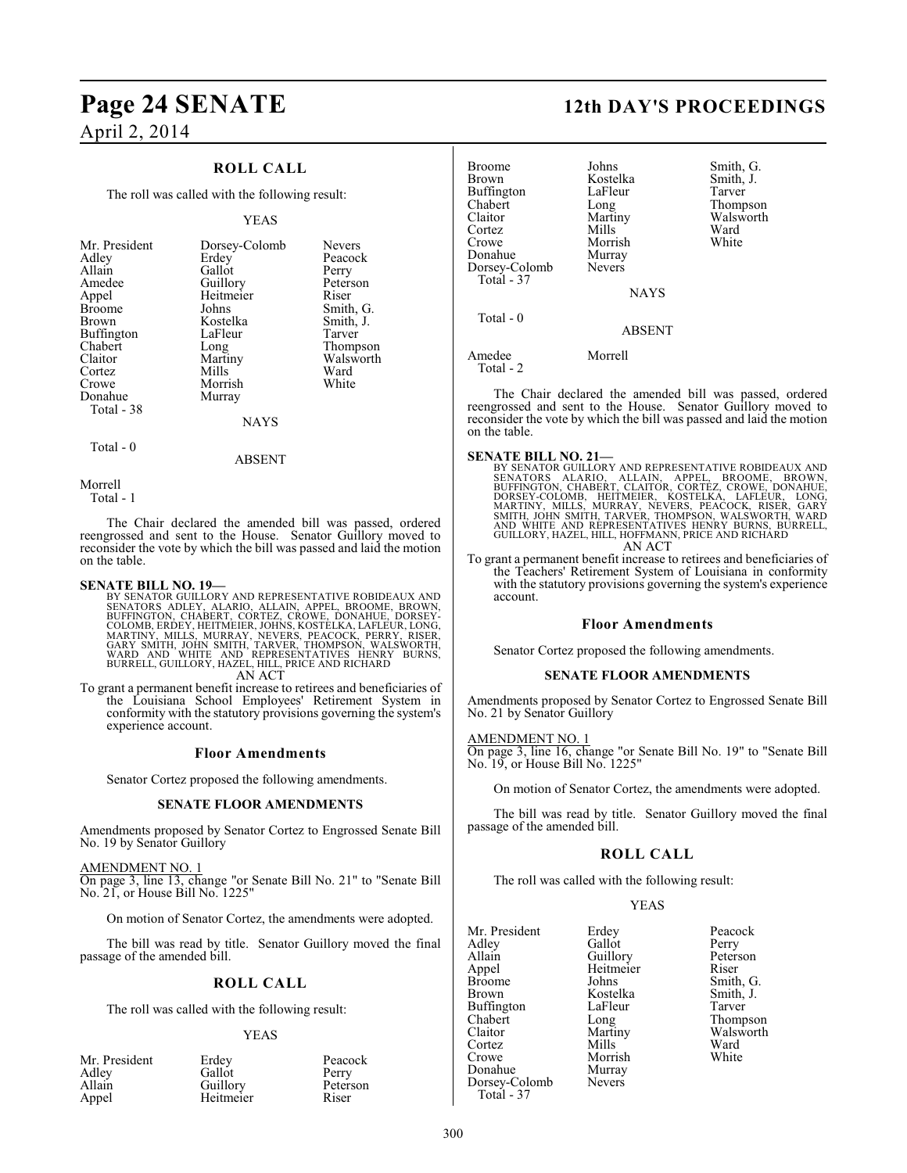## **ROLL CALL**

The roll was called with the following result:

#### YEAS

| Mr. President<br>Adley<br>Allain<br>Amedee<br>Appel<br>Broome<br>Brown<br>Buffington<br>Chabert<br>Claitor<br>Cortez<br>Crowe | Dorsey-Colomb<br>Erdey<br>Gallot<br>Guillory<br>Heitmeier<br>Johns<br>Kostelka<br>LaFleur<br>Long<br>Martiny<br>Mills<br>Morrish | <b>Nevers</b><br>Peacock<br>Perry<br>Peterson<br>Riser<br>Smith, G.<br>Smith, J.<br>Tarver<br>Thompson<br>Walsworth<br>Ward<br>White |
|-------------------------------------------------------------------------------------------------------------------------------|----------------------------------------------------------------------------------------------------------------------------------|--------------------------------------------------------------------------------------------------------------------------------------|
| Donahue                                                                                                                       | Murray                                                                                                                           |                                                                                                                                      |
| Total - 38                                                                                                                    |                                                                                                                                  |                                                                                                                                      |
|                                                                                                                               | <b>NAYS</b>                                                                                                                      |                                                                                                                                      |
|                                                                                                                               |                                                                                                                                  |                                                                                                                                      |

Total - 0

ABSENT

Morrell

Total - 1

The Chair declared the amended bill was passed, ordered reengrossed and sent to the House. Senator Guillory moved to reconsider the vote by which the bill was passed and laid the motion on the table.

#### **SENATE BILL NO. 19—**

BY SENATOR GUILLORY AND REPRESENTATIVE ROBIDEAUX AND<br>SENATORS ADLEY, ALARIO, ALLAIN, APPEL, BROOME, BROWN,<br>BUFFINGTON, CHABERT, CORTEZ, CROWE, DONAHUE, DORSEY-COLOMB, ERDEY, HEITMEIER, JOHNS, KOSTELKA, LAFLEUR, LONG<br>MARTIN AN ACT

To grant a permanent benefit increase to retirees and beneficiaries of the Louisiana School Employees' Retirement System in conformity with the statutory provisions governing the system's experience account.

#### **Floor Amendments**

Senator Cortez proposed the following amendments.

#### **SENATE FLOOR AMENDMENTS**

Amendments proposed by Senator Cortez to Engrossed Senate Bill No. 19 by Senator Guillory

#### AMENDMENT NO. 1

On page 3, line 13, change "or Senate Bill No. 21" to "Senate Bill No. 21, or House Bill No. 1225"

On motion of Senator Cortez, the amendments were adopted.

The bill was read by title. Senator Guillory moved the final passage of the amended bill.

#### **ROLL CALL**

The roll was called with the following result:

#### YEAS

| Mr. President | Erdey     | Peacock  |
|---------------|-----------|----------|
| Adley         | Gallot    | Perry    |
| Allain        | Guillory  | Peterson |
| Appel         | Heitmeier | Riser    |

# **Page 24 SENATE 12th DAY'S PROCEEDINGS**

| <b>Broome</b><br><b>Brown</b><br><b>Buffington</b><br>Chabert<br>Claitor<br>Cortez<br>Crowe<br>Donahue<br>Dorsey-Colomb<br>Total - 37 | Johns<br>Kostelka<br>LaFleur<br>Long<br>Martiny<br>Mills<br>Morrish<br>Murray<br><b>Nevers</b><br><b>NAYS</b> | Smith, G.<br>Smith, J.<br>Tarver<br>Thompson<br>Walsworth<br>Ward<br>White |
|---------------------------------------------------------------------------------------------------------------------------------------|---------------------------------------------------------------------------------------------------------------|----------------------------------------------------------------------------|
| Total - 0                                                                                                                             | <b>ABSENT</b>                                                                                                 |                                                                            |
| Amedee<br>Total - 2                                                                                                                   | Morrell                                                                                                       |                                                                            |

The Chair declared the amended bill was passed, ordered reengrossed and sent to the House. Senator Guillory moved to reconsider the vote by which the bill was passed and laid the motion on the table.

#### **SENATE BILL NO. 21—**

BY SENATOR GUILLORY AND REPRESENTATIVE ROBIDEAUX AND<br>SENATORS - ALARIO, - ALLAIN, - APPEL, - BROOME, - BROWN,<br>BUFFINGTON, CHABERT, CLAITOR, CORTEZ, CROWE, DONAHUE,<br>DORSEY-COLOMB, -HEITMEIER, - KOSTELKA, -LAFLEUR, -LONG,<br>MA GUILLORY, HAZEL, HILL, HOFFMANN, PRICE AND RICHARD AN ACT

To grant a permanent benefit increase to retirees and beneficiaries of the Teachers' Retirement System of Louisiana in conformity with the statutory provisions governing the system's experience account.

#### **Floor Amendments**

Senator Cortez proposed the following amendments.

#### **SENATE FLOOR AMENDMENTS**

Amendments proposed by Senator Cortez to Engrossed Senate Bill No. 21 by Senator Guillory

#### AMENDMENT NO. 1

On page 3, line 16, change "or Senate Bill No. 19" to "Senate Bill No. 19, or House Bill No. 1225"

On motion of Senator Cortez, the amendments were adopted.

The bill was read by title. Senator Guillory moved the final passage of the amended bill.

## **ROLL CALL**

The roll was called with the following result:

Heitmeier<br>Johns

LaFleur<br>Long

Morrish Murray Nevers

YEAS

| Mr. President |  |
|---------------|--|
| Adley         |  |
| Allain        |  |
| Appel         |  |
| Broome        |  |
| Brown         |  |
| Buffington    |  |
| Chabert       |  |
| Claitor       |  |
| Cortez        |  |
| Crowe         |  |
| Donahue       |  |
| Dorsey-Colomb |  |
| Total - 37    |  |

Erdey Peacock<br>Gallot Perry Gallot Perry<br>Guillory Peterson Guillory Peters<br>
Heitmeier Riser Smith, G.<br>Smith, J. Kostelka Smith,<br>LaFleur Tarver Long Thompson<br>Martiny Walsworth Walsworth<br>Ward Mills Ward<br>
Morrish White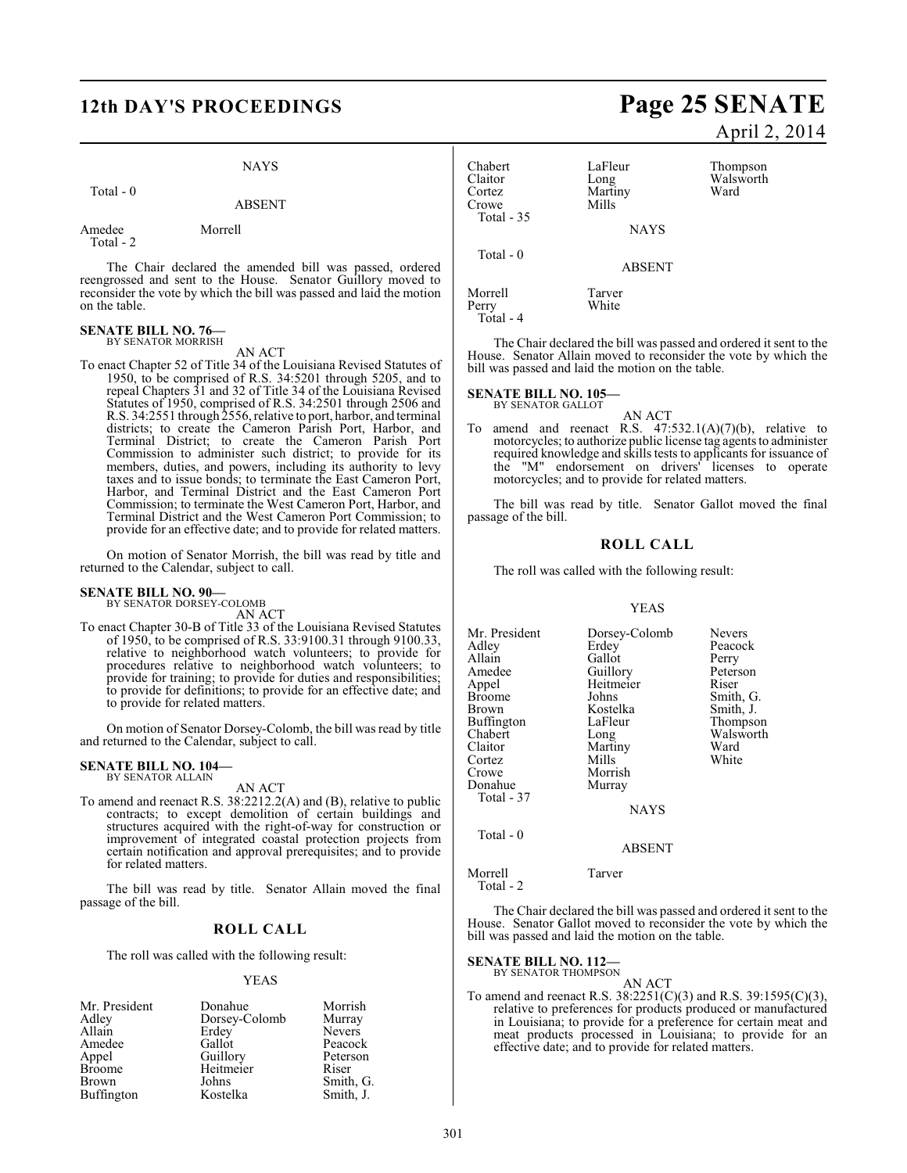# **12th DAY'S PROCEEDINGS Page 25 SENATE**

#### NAYS

#### Total - 0

## ABSENT

Amedee Morrell Total - 2

The Chair declared the amended bill was passed, ordered reengrossed and sent to the House. Senator Guillory moved to reconsider the vote by which the bill was passed and laid the motion on the table.

#### **SENATE BILL NO. 76—** BY SENATOR MORRISH

AN ACT

To enact Chapter 52 of Title 34 of the Louisiana Revised Statutes of 1950, to be comprised of R.S. 34:5201 through 5205, and to repeal Chapters 31 and 32 of Title 34 of the Louisiana Revised Statutes of 1950, comprised of R.S. 34:2501 through 2506 and R.S. 34:2551 through 2556, relative to port, harbor, and terminal districts; to create the Cameron Parish Port, Harbor, and Terminal District; to create the Cameron Parish Port Commission to administer such district; to provide for its members, duties, and powers, including its authority to levy taxes and to issue bonds; to terminate the East Cameron Port, Harbor, and Terminal District and the East Cameron Port Commission; to terminate the West Cameron Port, Harbor, and Terminal District and the West Cameron Port Commission; to provide for an effective date; and to provide for related matters.

On motion of Senator Morrish, the bill was read by title and returned to the Calendar, subject to call.

#### **SENATE BILL NO. 90—**

BY SENATOR DORSEY-COLOMB AN ACT

To enact Chapter 30-B of Title 33 of the Louisiana Revised Statutes of 1950, to be comprised of R.S. 33:9100.31 through 9100.33, relative to neighborhood watch volunteers; to provide for procedures relative to neighborhood watch volunteers; to provide for training; to provide for duties and responsibilities; to provide for definitions; to provide for an effective date; and to provide for related matters.

On motion of Senator Dorsey-Colomb, the bill wasread by title and returned to the Calendar, subject to call.

#### **SENATE BILL NO. 104—** BY SENATOR ALLAIN

AN ACT

To amend and reenact R.S. 38:2212.2(A) and (B), relative to public contracts; to except demolition of certain buildings and structures acquired with the right-of-way for construction or improvement of integrated coastal protection projects from certain notification and approval prerequisites; and to provide for related matters.

The bill was read by title. Senator Allain moved the final passage of the bill.

## **ROLL CALL**

The roll was called with the following result:

## YEAS

| Mr. President     | Donahue       | Morrish       |
|-------------------|---------------|---------------|
| Adley             | Dorsey-Colomb | Murray        |
| Allain            | Erdey         | <b>Nevers</b> |
| Amedee            | Gallot        | Peacock       |
| Appel             | Guillory      | Peterson      |
| <b>Broome</b>     | Heitmeier     | Riser         |
| <b>Brown</b>      | Johns         | Smith, G.     |
| <b>Buffington</b> | Kostelka      | Smith, J.     |

# April 2, 2014

| Chabert<br>Claitor<br>Cortez<br>Crowe | LaFleur<br>Long<br>Martiny<br>Mills | Thompson<br>Walsworth<br>Ward |
|---------------------------------------|-------------------------------------|-------------------------------|
| Total - 35                            | <b>NAYS</b>                         |                               |
| Total $-0$                            | <b>ABSENT</b>                       |                               |

White

Morrell Tarver<br>Perry White Total - 4

The Chair declared the bill was passed and ordered it sent to the House. Senator Allain moved to reconsider the vote by which the bill was passed and laid the motion on the table.

**SENATE BILL NO. 105—**

BY SENATOR GALLOT

AN ACT To amend and reenact R.S.  $47:532.1(A)(7)(b)$ , relative to motorcycles; to authorize public license tag agents to administer required knowledge and skills tests to applicants for issuance of the "M" endorsement on drivers' licenses to operate motorcycles; and to provide for related matters.

The bill was read by title. Senator Gallot moved the final passage of the bill.

#### **ROLL CALL**

The roll was called with the following result:

#### YEAS

| Mr. President | Dorsey-Colomb | <b>Nevers</b> |
|---------------|---------------|---------------|
| Adlev         | Erdey         | Peacock       |
| Allain        | Gallot        | Perry         |
| Amedee        | Guillory      | Peterson      |
| Appel         | Heitmeier     | Riser         |
| Broome        | Johns         | Smith, G.     |
| Brown         | Kostelka      | Smith, J.     |
| Buffington    | LaFleur       | Thompson      |
| Chabert       | Long          | Walsworth     |
| Claitor       | Martiny       | Ward          |
| Cortez        | Mills         | White         |
| Crowe         | Morrish       |               |
| Donahue       | Murray        |               |
| Total - 37    |               |               |
|               | <b>NAYS</b>   |               |
| Total - 0     |               |               |

Morrell Tarver Total - 2

The Chair declared the bill was passed and ordered it sent to the House. Senator Gallot moved to reconsider the vote by which the bill was passed and laid the motion on the table.

ABSENT

**SENATE BILL NO. 112—** BY SENATOR THOMPSON

- AN ACT
- To amend and reenact R.S. 38:2251(C)(3) and R.S. 39:1595(C)(3), relative to preferences for products produced or manufactured in Louisiana; to provide for a preference for certain meat and meat products processed in Louisiana; to provide for an effective date; and to provide for related matters.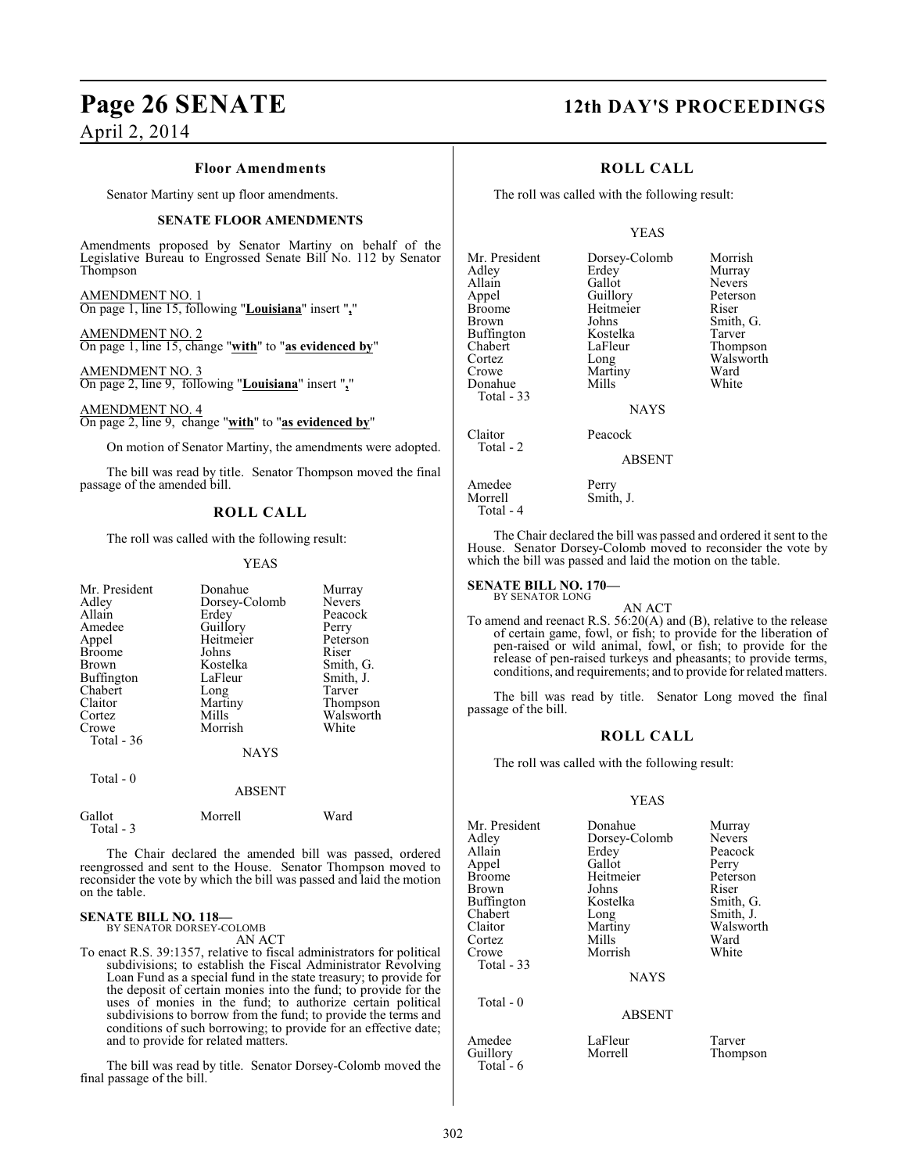#### **Floor Amendments**

Senator Martiny sent up floor amendments.

#### **SENATE FLOOR AMENDMENTS**

Amendments proposed by Senator Martiny on behalf of the Legislative Bureau to Engrossed Senate Bill No. 112 by Senator Thompson

AMENDMENT NO. 1 On page 1, line 15, following "**Louisiana**" insert "**,**"

AMENDMENT NO. 2 On page 1, line 15, change "**with**" to "**as evidenced by**"

AMENDMENT NO. 3 On page 2, line 9, following "**Louisiana**" insert "**,**"

AMENDMENT NO. 4 On page 2, line 9, change "**with**" to "**as evidenced by**"

On motion of Senator Martiny, the amendments were adopted.

The bill was read by title. Senator Thompson moved the final passage of the amended bill.

### **ROLL CALL**

The roll was called with the following result:

#### YEAS

| Erdey<br>Guillory<br>Heitmeier<br>Johns<br>Kostelka<br>LaFleur<br>Long<br>Martiny<br>Mills<br>Morrish | <b>Nevers</b><br>Peacock<br>Perry<br>Peterson<br>Riser<br>Smith, G.<br>Smith, J.<br>Tarver<br>Thompson<br>Walsworth<br>White |
|-------------------------------------------------------------------------------------------------------|------------------------------------------------------------------------------------------------------------------------------|
|                                                                                                       |                                                                                                                              |
|                                                                                                       | Ward                                                                                                                         |
|                                                                                                       | Dorsey-Colomb<br><b>NAYS</b><br><b>ABSENT</b><br>Morrell                                                                     |

The Chair declared the amended bill was passed, ordered reengrossed and sent to the House. Senator Thompson moved to reconsider the vote by which the bill was passed and laid the motion on the table.

#### **SENATE BILL NO. 118—** BY SENATOR DORSEY-COLOMB

Total - 3

AN ACT

To enact R.S. 39:1357, relative to fiscal administrators for political subdivisions; to establish the Fiscal Administrator Revolving Loan Fund as a special fund in the state treasury; to provide for the deposit of certain monies into the fund; to provide for the uses of monies in the fund; to authorize certain political subdivisions to borrow from the fund; to provide the terms and conditions of such borrowing; to provide for an effective date; and to provide for related matters.

The bill was read by title. Senator Dorsey-Colomb moved the final passage of the bill.

# **Page 26 SENATE 12th DAY'S PROCEEDINGS**

#### **ROLL CALL**

The roll was called with the following result:

#### YEAS

| Mr. President        | Dorsey-Colomb | Morrish       |
|----------------------|---------------|---------------|
| Adley                | Erdey         | Murray        |
| Allain               | Gallot        | <b>Nevers</b> |
| Appel                | Guillory      | Peterson      |
| <b>Broome</b>        | Heitmeier     | Riser         |
| Brown                | Johns         | Smith, G.     |
| Buffington           | Kostelka      | Tarver        |
| Chabert              | LaFleur       | Thompso:      |
| Cortez               | Long          | Walswort      |
| Crowe                | Martiny       | Ward          |
| Donahue              | Mills         | White         |
| Total - 33           |               |               |
|                      | <b>NAYS</b>   |               |
| Claitor<br>Total - 2 | Peacock       |               |

**Murray** Nevers Peterson<br>Riser Tarver Thompson Walsworth<br>Ward

#### ABSENT

Amedee Perry<br>Morrell Smith Smith, J.

The Chair declared the bill was passed and ordered it sent to the House. Senator Dorsey-Colomb moved to reconsider the vote by which the bill was passed and laid the motion on the table.

#### **SENATE BILL NO. 170—** BY SENATOR LONG

Total - 4

AN ACT

To amend and reenact R.S. 56:20(A) and (B), relative to the release of certain game, fowl, or fish; to provide for the liberation of pen-raised or wild animal, fowl, or fish; to provide for the release of pen-raised turkeys and pheasants; to provide terms, conditions, and requirements; and to provide for related matters.

The bill was read by title. Senator Long moved the final passage of the bill.

#### **ROLL CALL**

The roll was called with the following result:

#### YEAS

| Mr. President<br>Adley<br>Allain<br>Appel<br>Broome<br>Brown<br>Buffington<br>Chabert | Donahue<br>Dorsey-Colomb<br>Erdey<br>Gallot<br>Heitmeier<br>Johns<br>Kostelka<br>Long<br>Martiny | Murray<br><b>Nevers</b><br>Peacock<br>Perry<br>Peterson<br>Riser<br>Smith, G.<br>Smith, J.<br>Walsworth |
|---------------------------------------------------------------------------------------|--------------------------------------------------------------------------------------------------|---------------------------------------------------------------------------------------------------------|
| Claitor<br>Cortez                                                                     | Mills                                                                                            | Ward                                                                                                    |
| Crowe<br>Total - 33                                                                   | Morrish                                                                                          | White                                                                                                   |
|                                                                                       | <b>NAYS</b>                                                                                      |                                                                                                         |
| Total $-0$                                                                            | <b>ABSENT</b>                                                                                    |                                                                                                         |
| Amedee<br>Guillory                                                                    | LaFleur<br>Morrell                                                                               | Tarver<br>Thompson                                                                                      |

Total - 6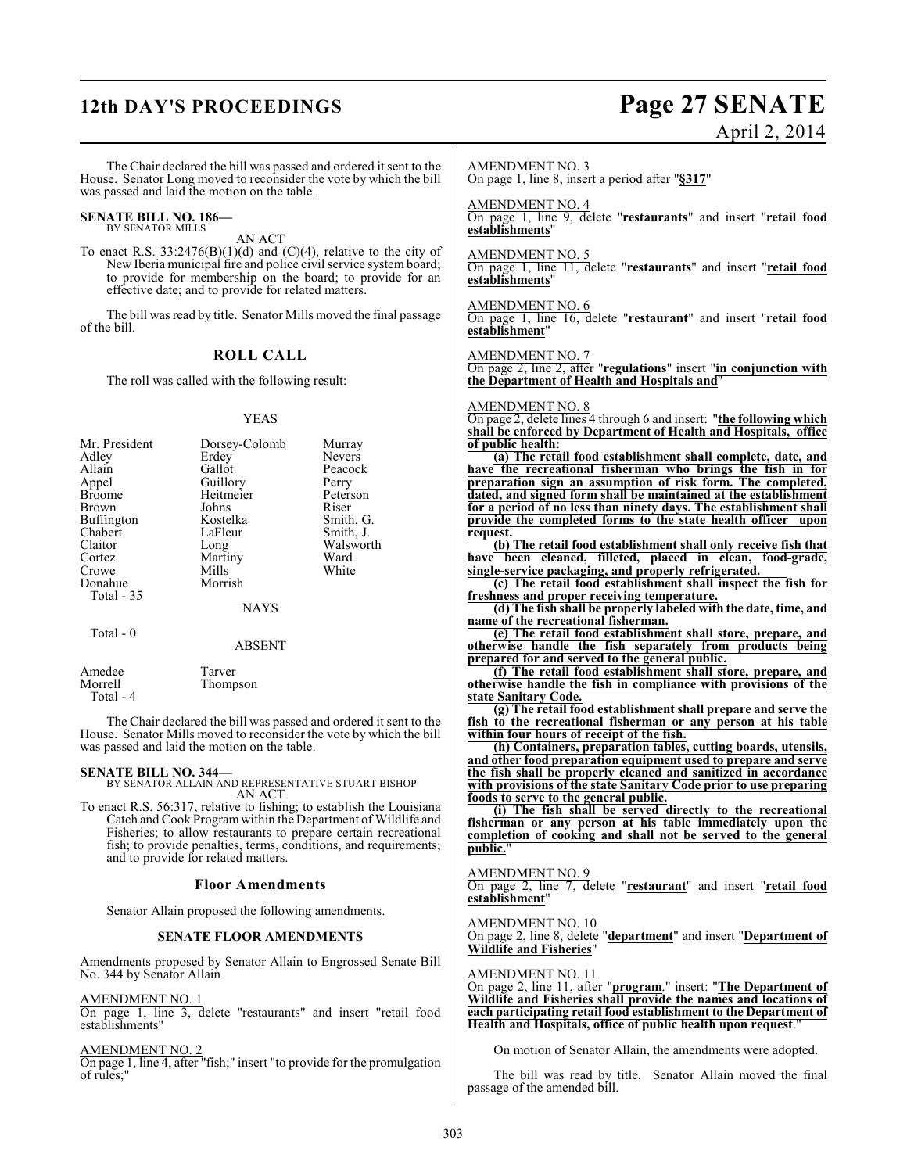# **12th DAY'S PROCEEDINGS Page 27 SENATE**

# April 2, 2014

The Chair declared the bill was passed and ordered it sent to the House. Senator Long moved to reconsider the vote by which the bill was passed and laid the motion on the table.

#### **SENATE BILL NO. 186—** BY SENATOR MILLS

AN ACT

To enact R.S.  $33:2476(B)(1)(d)$  and (C)(4), relative to the city of New Iberia municipal fire and police civil service system board; to provide for membership on the board; to provide for an effective date; and to provide for related matters.

The bill was read by title. Senator Mills moved the final passage of the bill.

#### **ROLL CALL**

The roll was called with the following result:

#### YEAS

| Mr. President     | Dorsey-Colomb | Murray    |
|-------------------|---------------|-----------|
| Adley             | Erdey         | Nevers    |
| Allain            | Gallot        | Peacock   |
| Appel             | Guillory      | Perry     |
| <b>Broome</b>     | Heitmeier     | Peterson  |
| Brown             | Johns         | Riser     |
| <b>Buffington</b> | Kostelka      | Smith, G. |
| Chabert           | LaFleur       | Smith, J. |
| Claitor           | Long          | Walsworth |
| Cortez            | Martiny       | Ward      |
| Crowe             | Mills         | White     |
| Donahue           | Morrish       |           |
| Total - 35        |               |           |
|                   | <b>NAYS</b>   |           |
| Total $-0$        |               |           |
|                   | ABSENT        |           |

 Total - 4 The Chair declared the bill was passed and ordered it sent to the House. Senator Mills moved to reconsider the vote by which the bill was passed and laid the motion on the table.

Thompson

Amedee Tarver<br>Morrell Thomp

**SENATE BILL NO. 344—** BY SENATOR ALLAIN AND REPRESENTATIVE STUART BISHOP AN ACT

To enact R.S. 56:317, relative to fishing; to establish the Louisiana Catch and Cook Program within the Department of Wildlife and Fisheries; to allow restaurants to prepare certain recreational fish; to provide penalties, terms, conditions, and requirements; and to provide for related matters.

#### **Floor Amendments**

Senator Allain proposed the following amendments.

#### **SENATE FLOOR AMENDMENTS**

Amendments proposed by Senator Allain to Engrossed Senate Bill No. 344 by Senator Allain

AMENDMENT NO. 1

On page 1, line 3, delete "restaurants" and insert "retail food establishments"

AMENDMENT NO. 2

On page 1, line 4, after "fish;" insert "to provide for the promulgation of rules;"

#### AMENDMENT NO. 3

On page 1, line 8, insert a period after "**§317**"

AMENDMENT NO. 4

On page 1, line 9, delete "**restaurants**" and insert "**retail food establishments**"

#### AMENDMENT NO. 5

On page 1, line 11, delete "**restaurants**" and insert "**retail food establishments**"

## AMENDMENT NO. 6

On page 1, line 16, delete "**restaurant**" and insert "**retail food establishment**"

#### AMENDMENT NO. 7

On page 2, line 2, after "**regulations**" insert "**in conjunction with the Department of Health and Hospitals and**"

#### AMENDMENT NO. 8

On page 2, delete lines 4 through 6 and insert: "**the following which shall be enforced by Department of Health and Hospitals, office of public health:**

**(a) The retail food establishment shall complete, date, and have the recreational fisherman who brings the fish in for preparation sign an assumption of risk form. The completed, dated, and signed form shall be maintained at the establishment for a period of no less than ninety days. The establishment shall provide the completed forms to the state health officer upon request.**

**(b) The retail food establishment shall only receive fish that have been cleaned, filleted, placed in clean, food-grade, single-service packaging, and properly refrigerated.**

**(c) The retail food establishment shall inspect the fish for freshness and proper receiving temperature.**

**(d) The fish shall be properly labeled with the date, time, and name of the recreational fisherman.**

**(e) The retail food establishment shall store, prepare, and otherwise handle the fish separately from products being prepared for and served to the general public.**

**(f) The retail food establishment shall store, prepare, and otherwise handle the fish in compliance with provisions of the state Sanitary Code.**

**(g) The retail food establishment shall prepare and serve the fish to the recreational fisherman or any person at his table within four hours of receipt of the fish.**

**(h) Containers, preparation tables, cutting boards, utensils, and other food preparation equipment used to prepare and serve the fish shall be properly cleaned and sanitized in accordance with provisions of the state Sanitary Code prior to use preparing foods to serve to the general public.**

**(i) The fish shall be served directly to the recreational fisherman or any person at his table immediately upon the completion of cooking and shall not be served to the general public.**"

#### AMENDMENT NO. 9

On page 2, line 7, delete "**restaurant**" and insert "**retail food establishment**"

AMENDMENT NO. 10

On page 2, line 8, delete "**department**" and insert "**Department of Wildlife and Fisheries**"

#### AMENDMENT NO. 11

On page 2, line 11, after "**program**." insert: "**The Department of Wildlife and Fisheries shall provide the names and locations of each participating retail food establishment to the Department of Health and Hospitals, office of public health upon request**."

On motion of Senator Allain, the amendments were adopted.

The bill was read by title. Senator Allain moved the final passage of the amended bill.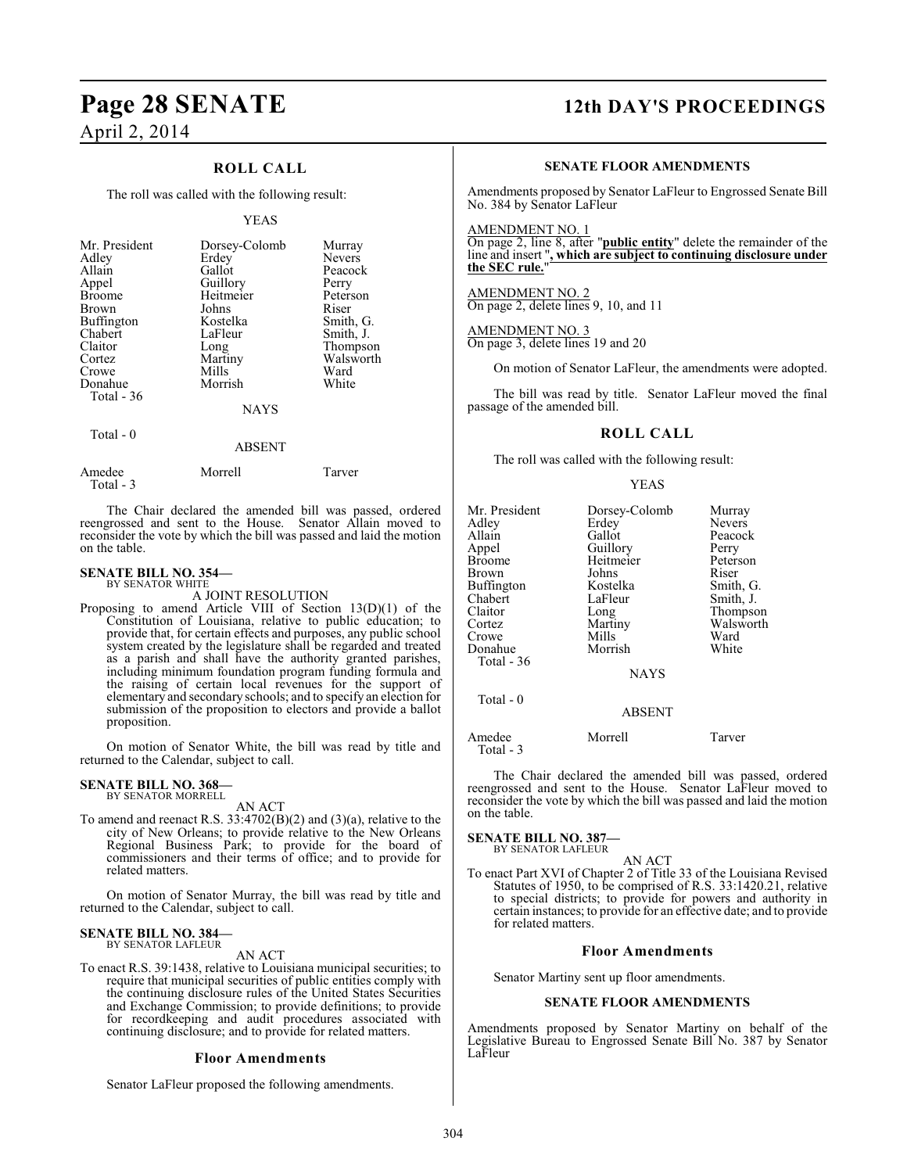## **ROLL CALL**

The roll was called with the following result:

#### YEAS

| Mr. President     | Dorsey-Colomb | Murray        |
|-------------------|---------------|---------------|
| Adley             | Erdey         | <b>Nevers</b> |
| Allain            | Gallot        | Peacock       |
| Appel             | Guillory      | Perry         |
| <b>Broome</b>     | Heitmeier     | Peterson      |
| <b>Brown</b>      | Johns         | Riser         |
| <b>Buffington</b> | Kostelka      | Smith, G.     |
| Chabert           | LaFleur       | Smith, J.     |
| Claitor           | Long          | Thompson      |
| Cortez            | Martiny       | Walsworth     |
| Crowe             | Mills         | Ward          |
| Donahue           | Morrish       | White         |
| Total - 36        |               |               |
|                   | <b>NAYS</b>   |               |

Total - 0

#### ABSENT

| Morrell | Tarver |
|---------|--------|
|         |        |

The Chair declared the amended bill was passed, ordered reengrossed and sent to the House. Senator Allain moved to reconsider the vote by which the bill was passed and laid the motion on the table.

#### **SENATE BILL NO. 354—** BY SENATOR WHITE

A JOINT RESOLUTION

Proposing to amend Article VIII of Section 13(D)(1) of the Constitution of Louisiana, relative to public education; to provide that, for certain effects and purposes, any public school system created by the legislature shall be regarded and treated as a parish and shall have the authority granted parishes, including minimum foundation program funding formula and the raising of certain local revenues for the support of elementary and secondary schools; and to specify an election for submission of the proposition to electors and provide a ballot proposition.

On motion of Senator White, the bill was read by title and returned to the Calendar, subject to call.

#### **SENATE BILL NO. 368—** BY SENATOR MORRELL

AN ACT

To amend and reenact R.S. 33:4702(B)(2) and (3)(a), relative to the city of New Orleans; to provide relative to the New Orleans Regional Business Park; to provide for the board of commissioners and their terms of office; and to provide for related matters.

On motion of Senator Murray, the bill was read by title and returned to the Calendar, subject to call.

#### **SENATE BILL NO. 384—** BY SENATOR LAFLEUR

AN ACT

To enact R.S. 39:1438, relative to Louisiana municipal securities; to require that municipal securities of public entities comply with the continuing disclosure rules of the United States Securities and Exchange Commission; to provide definitions; to provide for recordkeeping and audit procedures associated with continuing disclosure; and to provide for related matters.

#### **Floor Amendments**

Senator LaFleur proposed the following amendments.

# **Page 28 SENATE 12th DAY'S PROCEEDINGS**

#### **SENATE FLOOR AMENDMENTS**

Amendments proposed by Senator LaFleur to Engrossed Senate Bill No. 384 by Senator LaFleur

AMENDMENT NO. 1

On page 2, line 8, after "**public entity**" delete the remainder of the line and insert "**, which are subject to continuing disclosure under the SEC rule.**"

AMENDMENT NO. 2 On page 2, delete lines 9, 10, and 11

AMENDMENT NO. 3 On page 3, delete lines 19 and 20

On motion of Senator LaFleur, the amendments were adopted.

The bill was read by title. Senator LaFleur moved the final passage of the amended bill.

#### **ROLL CALL**

The roll was called with the following result:

YEAS

| Mr. President<br>Adley<br>Allain<br>Appel<br>Broome<br>Brown<br>Buffington<br>Chabert<br>Claitor<br>Cortez<br>Crowe<br>Donahue<br>Total - 36 | Dorsey-Colomb<br>Erdey<br>Gallot<br>Guillory<br>Heitmeier<br>Johns<br>Kostelka<br>LaFleur<br>Long<br>Martiny<br>Mills<br>Morrish<br><b>NAYS</b> | Murray<br><b>Nevers</b><br>Peacock<br>Perry<br>Peterson<br>Riser<br>Smith, G.<br>Smith, J.<br>Thompson<br>Walsworth<br>Ward<br>White |
|----------------------------------------------------------------------------------------------------------------------------------------------|-------------------------------------------------------------------------------------------------------------------------------------------------|--------------------------------------------------------------------------------------------------------------------------------------|
| Total $-0$                                                                                                                                   | <b>ABSENT</b>                                                                                                                                   |                                                                                                                                      |

Amedee Morrell Tarver Total - 3

The Chair declared the amended bill was passed, ordered reengrossed and sent to the House. Senator LaFleur moved to reconsider the vote by which the bill was passed and laid the motion on the table.

**SENATE BILL NO. 387—** BY SENATOR LAFLEUR

AN ACT

To enact Part XVI of Chapter 2 of Title 33 of the Louisiana Revised Statutes of 1950, to be comprised of R.S. 33:1420.21, relative to special districts; to provide for powers and authority in certain instances; to provide for an effective date; and to provide for related matters.

#### **Floor Amendments**

Senator Martiny sent up floor amendments.

#### **SENATE FLOOR AMENDMENTS**

Amendments proposed by Senator Martiny on behalf of the Legislative Bureau to Engrossed Senate Bill No. 387 by Senator LaFleur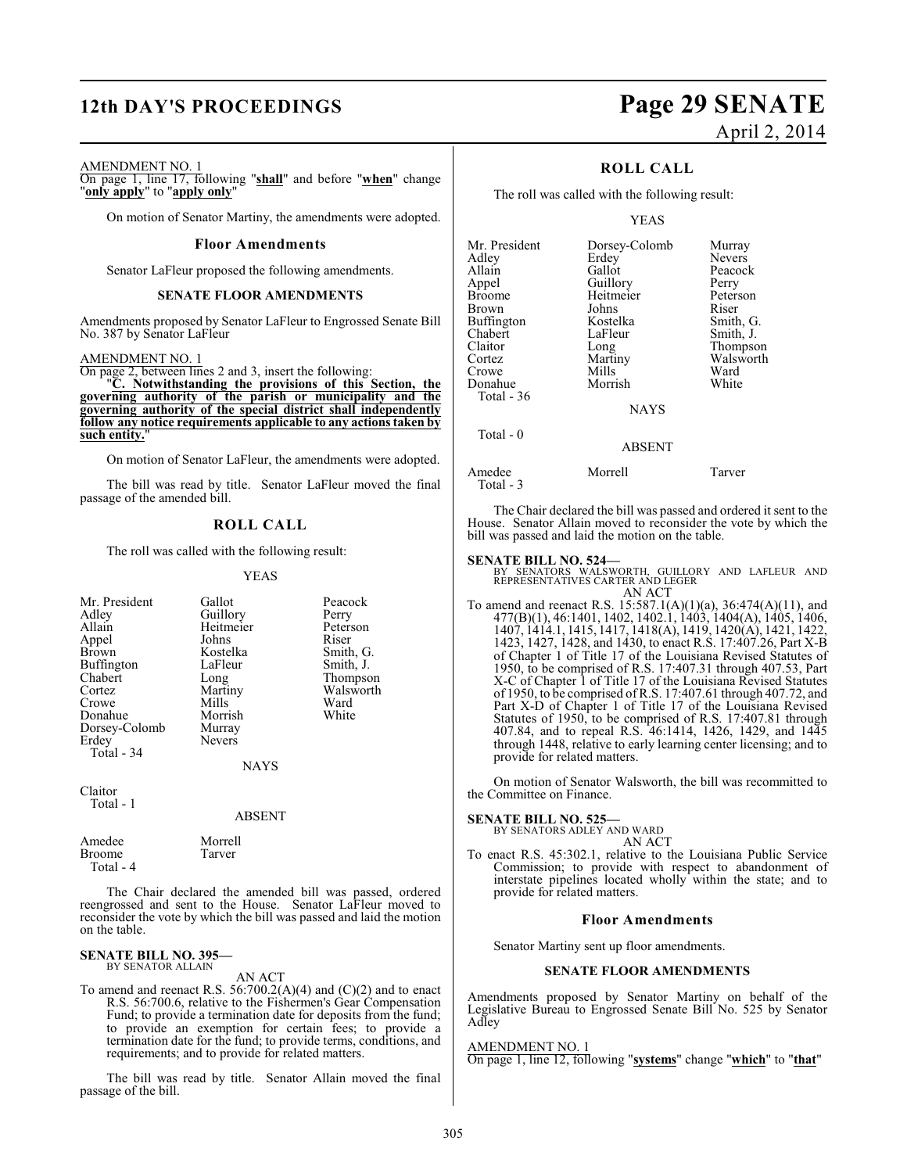# **12th DAY'S PROCEEDINGS Page 29 SENATE**

# April 2, 2014

#### AMENDMENT NO. 1

On page 1, line 17, following "**shall**" and before "**when**" change "**only apply**" to "**apply only**"

On motion of Senator Martiny, the amendments were adopted.

#### **Floor Amendments**

Senator LaFleur proposed the following amendments.

#### **SENATE FLOOR AMENDMENTS**

Amendments proposed by Senator LaFleur to Engrossed Senate Bill No. 387 by Senator LaFleur

#### AMENDMENT NO. 1

On page 2, between lines 2 and 3, insert the following:

"**C. Notwithstanding the provisions of this Section, the governing authority of the parish or municipality and the governing authority of the special district shall independently follow any notice requirements applicable to any actions taken by such entity.**"

On motion of Senator LaFleur, the amendments were adopted.

The bill was read by title. Senator LaFleur moved the final passage of the amended bill.

### **ROLL CALL**

The roll was called with the following result:

#### YEAS

| Mr. President<br>Adley<br>Allain<br>Appel<br><b>Brown</b><br><b>Buffington</b><br>Chabert<br>Cortez<br>Crowe<br>Donahue<br>Dorsey-Colomb<br>Erdey<br>Total - 34 | Gallot<br>Guillory<br>Heitmeier<br>Johns<br>Kostelka<br>LaFleur<br>Long<br>Martiny<br>Mills<br>Morrish<br>Murray<br><b>Nevers</b><br><b>NAYS</b> | Peacock<br>Perry<br>Peterson<br>Riser<br>Smith, G.<br>Smith, J.<br>Thompson<br>Walsworth<br>Ward<br>White |
|-----------------------------------------------------------------------------------------------------------------------------------------------------------------|--------------------------------------------------------------------------------------------------------------------------------------------------|-----------------------------------------------------------------------------------------------------------|
|                                                                                                                                                                 |                                                                                                                                                  |                                                                                                           |
| Claitor<br>Total - 1                                                                                                                                            | ABSENT                                                                                                                                           |                                                                                                           |

| Amedee        | Morrell |
|---------------|---------|
| <b>Broome</b> | Tarver  |
| Total - 4     |         |

The Chair declared the amended bill was passed, ordered reengrossed and sent to the House. Senator LaFleur moved to reconsider the vote by which the bill was passed and laid the motion on the table.

#### **SENATE BILL NO. 395—** BY SENATOR ALLAIN

AN ACT

To amend and reenact R.S.  $56:700.2(A)(4)$  and  $(C)(2)$  and to enact R.S. 56:700.6, relative to the Fishermen's Gear Compensation Fund; to provide a termination date for deposits from the fund; to provide an exemption for certain fees; to provide a termination date for the fund; to provide terms, conditions, and requirements; and to provide for related matters.

The bill was read by title. Senator Allain moved the final passage of the bill.

### **ROLL CALL**

The roll was called with the following result:

#### YEAS

|             | Murray                    |
|-------------|---------------------------|
| Erdey       | Nevers                    |
| Gallot      | Peacock                   |
|             | Perry                     |
| Heitmeier   | Peterson                  |
| Johns       | Riser                     |
| Kostelka    | Smith, G.                 |
| LaFleur     | Smith, J.                 |
| Long        | Thompson                  |
| Martiny     | Walsworth                 |
| Mills       | Ward                      |
| Morrish     | White                     |
|             |                           |
| <b>NAYS</b> |                           |
|             |                           |
|             | Dorsey-Colomb<br>Guillory |

ABSENT

#### Amedee Morrell Tarver Total - 3

The Chair declared the bill was passed and ordered it sent to the House. Senator Allain moved to reconsider the vote by which the bill was passed and laid the motion on the table.

**SENATE BILL NO. 524—**<br>
BY SENATORS WALSWORTH, GUILLORY AND LAFLEUR AND<br>
REPRESENTATIVES CARTER AND LEGER<br>
AN ACT

To amend and reenact R.S. 15:587.1(A)(1)(a), 36:474(A)(11), and 477(B)(1), 46:1401, 1402, 1402.1, 1403, 1404(A), 1405, 1406, 1407, 1414.1, 1415, 1417, 1418(A), 1419, 1420(A), 1421, 1422, 1423, 1427, 1428, and 1430, to enact R.S. 17:407.26, Part X-B of Chapter 1 of Title 17 of the Louisiana Revised Statutes of 1950, to be comprised of R.S. 17:407.31 through 407.53, Part X-C of Chapter 1 of Title 17 of the Louisiana Revised Statutes of 1950, to be comprised of R.S. 17:407.61 through 407.72, and Part X-D of Chapter 1 of Title 17 of the Louisiana Revised Statutes of 1950, to be comprised of R.S. 17:407.81 through 407.84, and to repeal R.S. 46:1414, 1426, 1429, and 1445 through 1448, relative to early learning center licensing; and to provide for related matters.

On motion of Senator Walsworth, the bill was recommitted to the Committee on Finance.

#### **SENATE BILL NO. 525—**

BY SENATORS ADLEY AND WARD AN ACT

To enact R.S. 45:302.1, relative to the Louisiana Public Service Commission; to provide with respect to abandonment of interstate pipelines located wholly within the state; and to provide for related matters.

#### **Floor Amendments**

Senator Martiny sent up floor amendments.

### **SENATE FLOOR AMENDMENTS**

Amendments proposed by Senator Martiny on behalf of the Legislative Bureau to Engrossed Senate Bill No. 525 by Senator Adley

AMENDMENT NO. 1

On page 1, line 12, following "**systems**" change "**which**" to "**that**"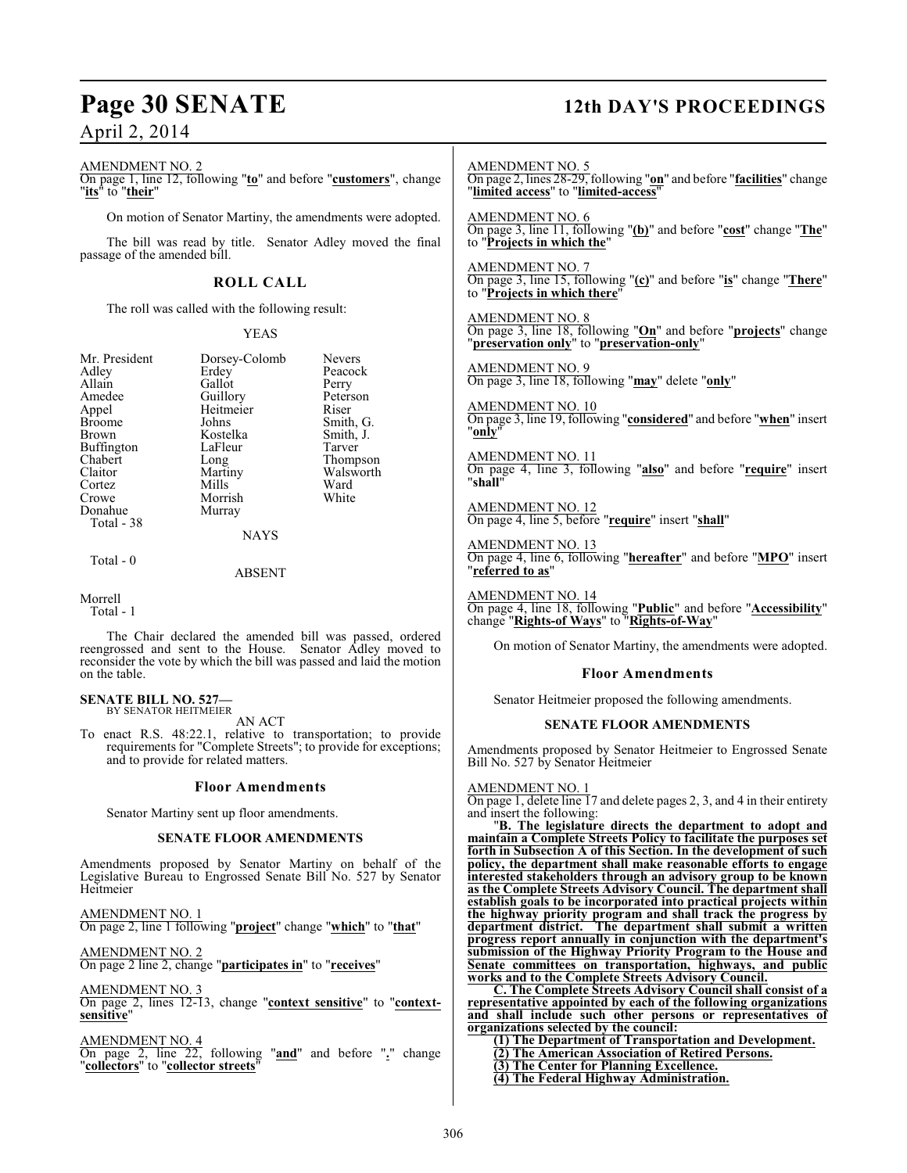#### AMENDMENT NO. 2

On page 1, line 12, following "**to**" and before "**customers**", change "**its**" to "**their**"

On motion of Senator Martiny, the amendments were adopted.

The bill was read by title. Senator Adley moved the final passage of the amended bill.

## **ROLL CALL**

The roll was called with the following result:

#### YEAS

Peacock<br>Perry

Smith, G.<br>Smith, J.

Walsworth<br>Ward

| Mr. President     |
|-------------------|
| Adley             |
| Allain            |
| Amedee            |
| Appel             |
| <b>Broome</b>     |
| <b>Brown</b>      |
| <b>Buffington</b> |
| Chabert           |
| Claitor           |
| Cortez            |
| Crowe             |
| Donahue           |
| Total - 38        |
|                   |

Dorsey-Colomb Nevers<br>Erdey Peacocl Gallot Perry<br>Guillory Peterson Guillory Peters<br>
Heitmeier Riser Heitmeier<br>Johns Kostelka Smith,<br>LaFleur Tarver LaFleur<br>Long Long Thompson<br>Martiny Walsworth Mills Ward<br>
Morrish White Morrish

NAYS

Murray

Total - 0

ABSENT

#### Morrell

Total - 1

The Chair declared the amended bill was passed, ordered reengrossed and sent to the House. Senator Adley moved to reconsider the vote by which the bill was passed and laid the motion on the table.

#### **SENATE BILL NO. 527—** BY SENATOR HEITMEIER

AN ACT

To enact R.S. 48:22.1, relative to transportation; to provide requirements for "Complete Streets"; to provide for exceptions; and to provide for related matters.

#### **Floor Amendments**

Senator Martiny sent up floor amendments.

#### **SENATE FLOOR AMENDMENTS**

Amendments proposed by Senator Martiny on behalf of the Legislative Bureau to Engrossed Senate Bill No. 527 by Senator Heitmeier

AMENDMENT NO. 1 On page 2, line 1 following "**project**" change "**which**" to "**that**"

AMENDMENT NO. 2 On page 2 line 2, change "**participates in**" to "**receives**"

AMENDMENT NO. 3

On page 2, lines 12-13, change "**context sensitive**" to "**contextsensitive**"

AMENDMENT NO. 4

On page 2, line 22, following "**and**" and before "**.**" change "**collectors**" to "**collector streets**"

# **Page 30 SENATE 12th DAY'S PROCEEDINGS**

AMENDMENT NO. 5 On page 2, lines 28-29, following "**on**" and before "**facilities**" change "**limited access**" to "**limited-access**" AMENDMENT NO. 6 On page 3, line 11, following "**(b)**" and before "**cost**" change "**The**" to "**Projects in which the**" AMENDMENT NO. 7 On page 3, line 15, following "**(c)**" and before "**is**" change "**There**" to "**Projects in which there**" AMENDMENT NO. 8 On page 3, line 18, following "**On**" and before "**projects**" change "**preservation only**" to "**preservation-only**" AMENDMENT NO. 9 On page 3, line 18, following "**may**" delete "**only**" AMENDMENT NO. 10 On page 3, line 19, following "**considered**" and before "**when**" insert "**only**" AMENDMENT NO. 11 On page 4, line 3, following "**also**" and before "**require**" insert "**shall**" AMENDMENT NO. 12 On page 4, line 5, before "**require**" insert "**shall**" AMENDMENT NO. 13 On page 4, line 6, following "**hereafter**" and before "**MPO**" insert "**referred to as**" AMENDMENT NO. 14 On page 4, line 18, following "**Public**" and before "**Accessibility**" change "**Rights-of Ways**" to "**Rights-of-Way**" On motion of Senator Martiny, the amendments were adopted.

#### **Floor Amendments**

Senator Heitmeier proposed the following amendments.

#### **SENATE FLOOR AMENDMENTS**

Amendments proposed by Senator Heitmeier to Engrossed Senate Bill No. 527 by Senator Heitmeier

#### AMENDMENT NO. 1

On page 1, delete line 17 and delete pages 2, 3, and 4 in their entirety and insert the following:

"**B. The legislature directs the department to adopt and maintain a Complete Streets Policy to facilitate the purposes set forth in Subsection A of this Section. In the development of such policy, the department shall make reasonable efforts to engage interested stakeholders through an advisory group to be known as the Complete Streets Advisory Council. The department shall establish goals to be incorporated into practical projects within the highway priority program and shall track the progress by department district. The department shall submit a written progress report annually in conjunction with the department's submission of the Highway Priority Program to the House and Senate committees on transportation, highways, and public works and to the Complete Streets Advisory Council.**

**C. The Complete Streets Advisory Council shall consist of a representative appointed by each of the following organizations and shall include such other persons or representatives of organizations selected by the council:**

**(1) The Department of Transportation and Development. (2) The American Association of Retired Persons. (3) The Center for Planning Excellence. (4) The Federal Highway Administration.**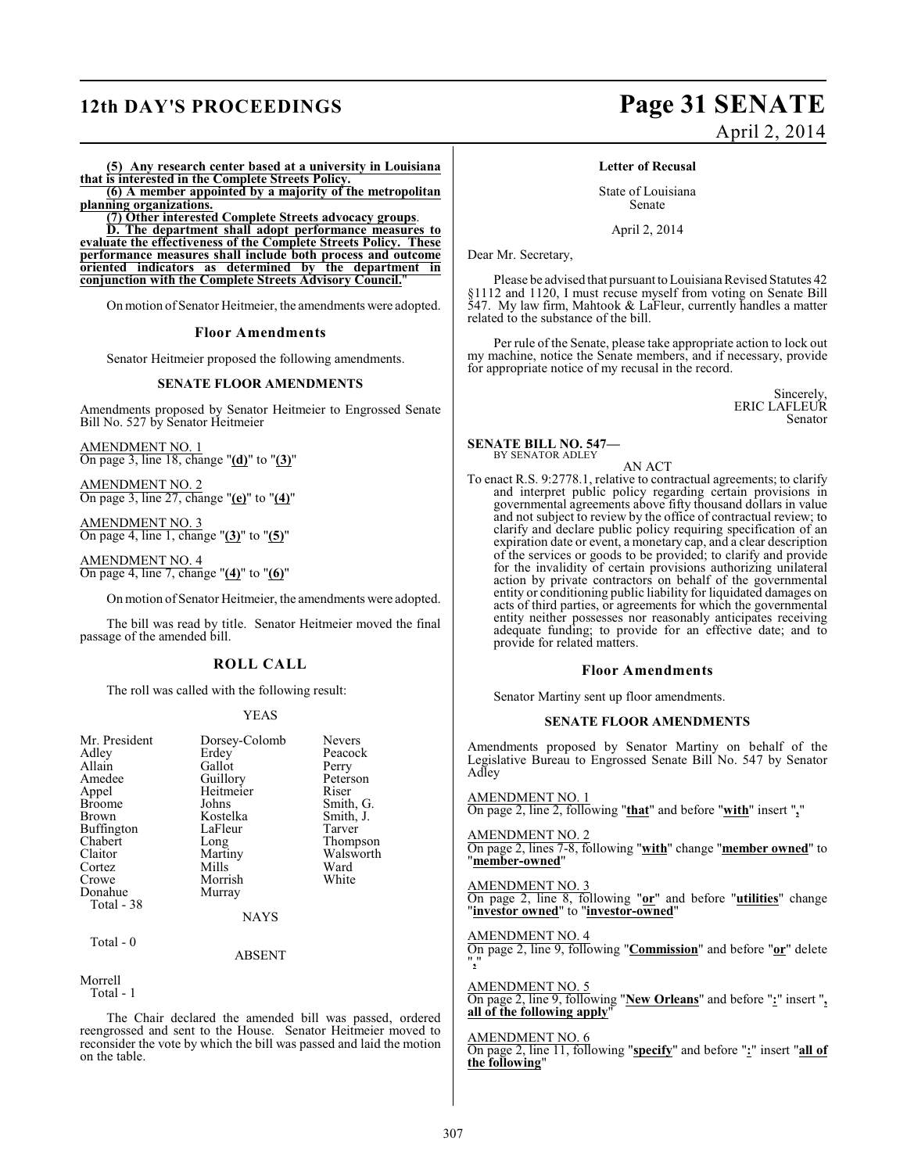**(5) Any research center based at a university in Louisiana that is interested in the Complete Streets Policy. (6) A member appointed by a majority of the metropolitan**

**planning organizations.**

**(7) Other interested Complete Streets advocacy groups**.

**D. The department shall adopt performance measures to evaluate the effectiveness of the Complete Streets Policy. These performance measures shall include both process and outcome oriented indicators as determined by the department in conjunction with the Complete Streets Advisory Council.**"

On motion of Senator Heitmeier, the amendments were adopted.

#### **Floor Amendments**

Senator Heitmeier proposed the following amendments.

#### **SENATE FLOOR AMENDMENTS**

Amendments proposed by Senator Heitmeier to Engrossed Senate Bill No. 527 by Senator Heitmeier

AMENDMENT NO. 1 On page 3, line 18, change "**(d)**" to "**(3)**"

AMENDMENT NO. 2 On page 3, line 27, change "**(e)**" to "**(4)**"

AMENDMENT NO. 3 On page 4, line 1, change "**(3)**" to "**(5)**"

AMENDMENT NO. 4 On page 4, line 7, change "**(4)**" to "**(6)**"

On motion of Senator Heitmeier, the amendments were adopted.

The bill was read by title. Senator Heitmeier moved the final passage of the amended bill.

#### **ROLL CALL**

The roll was called with the following result:

#### YEAS

| Mr. President<br>Adley<br>Allain<br>Amedee<br>Appel<br><b>Broome</b><br><b>Brown</b><br><b>Buffington</b><br>Chabert<br>Claitor<br>Cortez<br>Crowe<br>Donahue<br>Total - 38 | Dorsey-Colomb<br>Erdey<br>Gallot<br>Guillory<br>Heitmeier<br>Johns<br>Kostelka<br>LaFleur<br>Long<br>Martiny<br>Mills<br>Morrish<br>Murray | <b>Nevers</b><br>Peacock<br>Perry<br>Peterson<br>Riser<br>Smith, G.<br>Smith, J.<br>Tarver<br>Thompson<br>Walsworth<br>Ward<br>White |
|-----------------------------------------------------------------------------------------------------------------------------------------------------------------------------|--------------------------------------------------------------------------------------------------------------------------------------------|--------------------------------------------------------------------------------------------------------------------------------------|
|                                                                                                                                                                             | <b>NAYS</b>                                                                                                                                |                                                                                                                                      |
| Total - 0                                                                                                                                                                   |                                                                                                                                            |                                                                                                                                      |

#### ABSENT

Morrell Total - 1

The Chair declared the amended bill was passed, ordered reengrossed and sent to the House. Senator Heitmeier moved to reconsider the vote by which the bill was passed and laid the motion on the table.

# **12th DAY'S PROCEEDINGS Page 31 SENATE** April 2, 2014

#### **Letter of Recusal**

State of Louisiana Senate

April 2, 2014

Dear Mr. Secretary,

Please be advised that pursuant to Louisiana Revised Statutes 42 §1112 and 1120, I must recuse myself from voting on Senate Bill 547. My law firm, Mahtook & LaFleur, currently handles a matter related to the substance of the bill.

Per rule of the Senate, please take appropriate action to lock out my machine, notice the Senate members, and if necessary, provide for appropriate notice of my recusal in the record.

> Sincerely, ERIC LAFLEUR Senator

#### **SENATE BILL NO. 547—** BY SENATOR ADLEY

AN ACT

To enact R.S. 9:2778.1, relative to contractual agreements; to clarify and interpret public policy regarding certain provisions in governmental agreements above fifty thousand dollars in value and not subject to review by the office of contractual review; to clarify and declare public policy requiring specification of an expiration date or event, a monetary cap, and a clear description of the services or goods to be provided; to clarify and provide for the invalidity of certain provisions authorizing unilateral action by private contractors on behalf of the governmental entity or conditioning public liability for liquidated damages on acts of third parties, or agreements for which the governmental entity neither possesses nor reasonably anticipates receiving adequate funding; to provide for an effective date; and to provide for related matters.

#### **Floor Amendments**

Senator Martiny sent up floor amendments.

#### **SENATE FLOOR AMENDMENTS**

Amendments proposed by Senator Martiny on behalf of the Legislative Bureau to Engrossed Senate Bill No. 547 by Senator Adley

AMENDMENT NO. 1

On page 2, line 2, following "**that**" and before "**with**" insert "**,**"

#### AMENDMENT NO. 2

On page 2, lines 7-8, following "**with**" change "**member owned**" to "**member-owned**"

#### AMENDMENT NO. 3

On page 2, line 8, following "**or**" and before "**utilities**" change "**investor owned**" to "**investor-owned**"

#### AMENDMENT NO. 4

On page 2, line 9, following "**Commission**" and before "**or**" delete "**,**"

## AMENDMENT NO. 5

On page 2, line 9, following "**New Orleans**" and before "**:**" insert "**, all of the following apply**"

## AMENDMENT NO. 6

On page 2, line 11, following "**specify**" and before "**:**" insert "**all of the following**"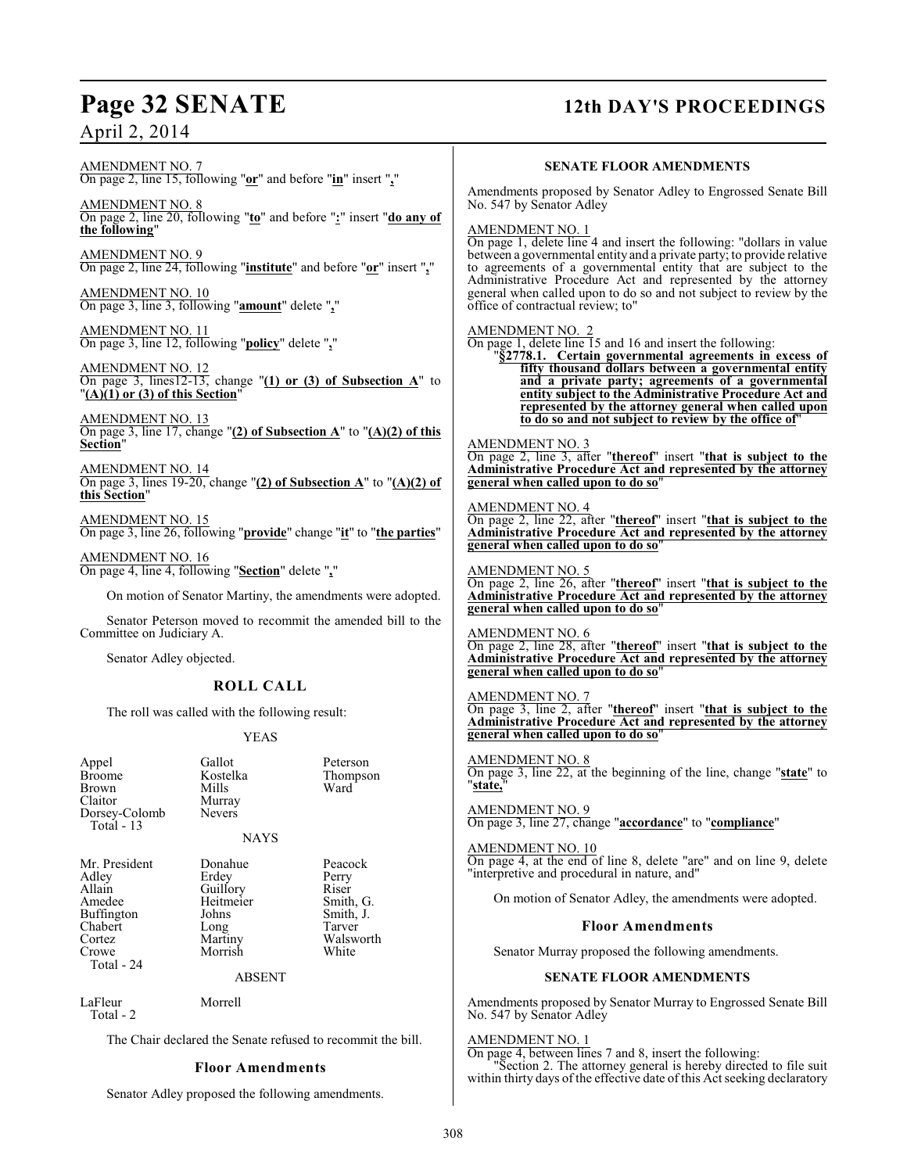# **Page 32 SENATE 12th DAY'S PROCEEDINGS**

AMENDMENT NO. 7 On page 2, line 15, following "**or**" and before "**in**" insert "**,**"

AMENDMENT NO. 8 On page 2, line 20, following "**to**" and before "**:**" insert "**do any of the following**"

AMENDMENT NO. 9 On page 2, line 24, following "**institute**" and before "**or**" insert "**,**"

AMENDMENT NO. 10 On page 3, line 3, following "**amount**" delete "**,**"

AMENDMENT NO. 11 On page 3, line 12, following "**policy**" delete "**,**"

AMENDMENT NO. 12 On page 3, lines12-13, change "**(1) or (3) of Subsection A**" to "**(A)(1) or (3) of this Section**"

AMENDMENT NO. 13 On page 3, line 17, change " $(2)$  of Subsection  $\mathbf{A}$ " to " $(\mathbf{A})(2)$  of this **Section**"

AMENDMENT NO. 14 On page 3, lines 19-20, change "**(2) of Subsection A**" to "**(A)(2) of this Section**"

AMENDMENT NO. 15 On page 3, line 26, following "**provide**" change "**it**" to "**the parties**"

AMENDMENT NO. 16 On page 4, line 4, following "**Section**" delete "**,**"

On motion of Senator Martiny, the amendments were adopted.

Senator Peterson moved to recommit the amended bill to the Committee on Judiciary A.

Senator Adley objected.

#### **ROLL CALL**

The roll was called with the following result:

YEAS

NAYS

Appel Gallot Peterson<br>Broome Kostelka Thompsc Broome Kostelka Thompson<br>Brown Mills Ward Brown Mills Ward Claitor Murray<br>Dorsey-Colomb Nevers Dorsey-Colomb Total - 13

Mr. President Donahue Peacock<br>Adley Erdey Perry Adley Erdey Perry<br>Allain Guillory Riser Allain Guillory Riser<br>Amedee Heitmeier Smith, G. Buffington Johns Smith,<br>
Chabert Long Tarver Chabert Long<br>Cortez Martiny Cortez Martiny Walsworth<br>
Crowe Morrish White Total - 24

Heitmeier Smith, G.<br>Johns Smith, J. Morrish

ABSENT

LaFleur Morrell Total - 2

The Chair declared the Senate refused to recommit the bill.

## **Floor Amendments**

Senator Adley proposed the following amendments.

## **SENATE FLOOR AMENDMENTS**

Amendments proposed by Senator Adley to Engrossed Senate Bill No. 547 by Senator Adley

AMENDMENT NO. 1

On page 1, delete line 4 and insert the following: "dollars in value between a governmental entity and a private party; to provide relative to agreements of a governmental entity that are subject to the Administrative Procedure Act and represented by the attorney general when called upon to do so and not subject to review by the office of contractual review; to"

#### AMENDMENT NO. 2

On page 1, delete line 15 and 16 and insert the following:

"**§2778.1. Certain governmental agreements in excess of fifty thousand dollars between a governmental entity and a private party; agreements of a governmental entity subject to the Administrative Procedure Act and represented by the attorney general when called upon to do so and not subject to review by the office of**"

#### AMENDMENT NO. 3

On page 2, line 3, after "**thereof**" insert "**that is subject to the Administrative Procedure Act and represented by the attorney general when called upon to do so**"

AMENDMENT NO. 4 On page 2, line 22, after "**thereof**" insert "**that is subject to the Administrative Procedure Act and represented by the attorney general when called upon to do so**"

#### AMENDMENT NO. 5

On page 2, line 26, after "**thereof**" insert "**that is subject to the Administrative Procedure Act and represented by the attorney general when called upon to do so**"

AMENDMENT NO. 6 On page 2, line 28, after "**thereof**" insert "**that is subject to the Administrative Procedure Act and represented by the attorney general when called upon to do so**"

AMENDMENT NO. 7 On page 3, line 2, after "**thereof**" insert "**that is subject to the Administrative Procedure Act and represented by the attorney general when called upon to do so**"

AMENDMENT NO. 8 On page 3, line 22, at the beginning of the line, change "**state**" to "**state,**"

AMENDMENT NO. 9 On page 3, line 27, change "**accordance**" to "**compliance**"

AMENDMENT NO. 10 On page 4, at the end of line 8, delete "are" and on line 9, delete "interpretive and procedural in nature, and"

On motion of Senator Adley, the amendments were adopted.

#### **Floor Amendments**

Senator Murray proposed the following amendments.

### **SENATE FLOOR AMENDMENTS**

Amendments proposed by Senator Murray to Engrossed Senate Bill No. 547 by Senator Adley

#### AMENDMENT NO. 1

On page 4, between lines 7 and 8, insert the following: "Section 2. The attorney general is hereby directed to file suit within thirty days of the effective date of this Act seeking declaratory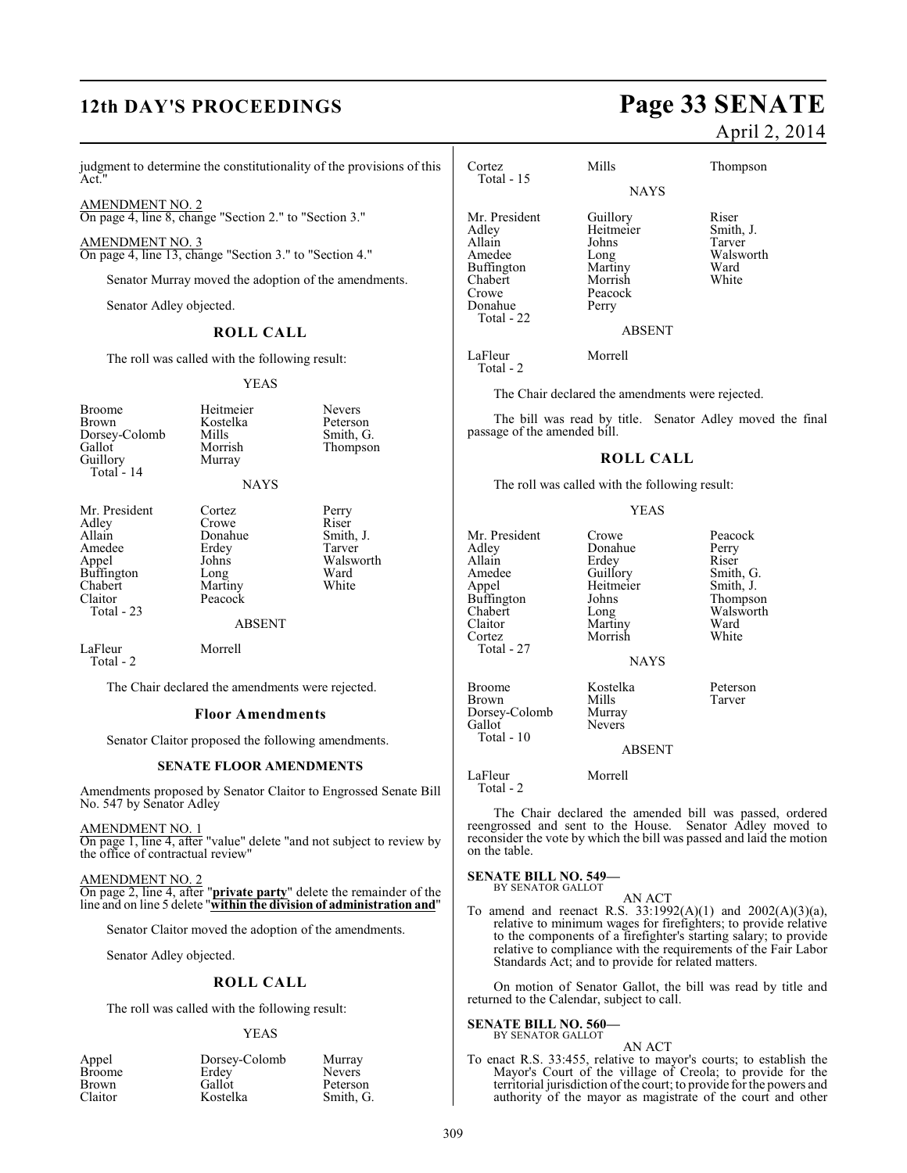# **12th DAY'S PROCEEDINGS Page 33 SENATE**

judgment to determine the constitutionality of the provisions of this Act.

AMENDMENT NO. 2 On page 4, line 8, change "Section 2." to "Section 3."

AMENDMENT NO. 3 On page 4, line 13, change "Section 3." to "Section 4."

Senator Murray moved the adoption of the amendments.

Senator Adley objected.

### **ROLL CALL**

The roll was called with the following result:

YEAS

| Broome        | Heitmeier | <b>Nevers</b> |
|---------------|-----------|---------------|
| Brown         | Kostelka  | Peterson      |
| Dorsey-Colomb | Mills     | Smith, G.     |
| Gallot        | Morrish   | Thompson      |
| Guillory      | Murray    |               |
| Total - 14    |           |               |

#### NAYS

| Mr. President<br>Adley<br>Allain<br>Amedee<br>Appel<br>Buffington<br>Chabert<br>Claitor<br>Total - 23 | Cortez<br>Crowe<br>Donahue<br>Erdey<br>Johns<br>Long<br>Martiny<br>Peacock | Perry<br>Riser<br>Smith, J.<br>Tarver<br>Walsworth<br>Ward<br>White |
|-------------------------------------------------------------------------------------------------------|----------------------------------------------------------------------------|---------------------------------------------------------------------|
|                                                                                                       | <b>ABSENT</b>                                                              |                                                                     |
| LaFleur<br>Total - 2                                                                                  | Morrell                                                                    |                                                                     |

The Chair declared the amendments were rejected.

#### **Floor Amendments**

Senator Claitor proposed the following amendments.

#### **SENATE FLOOR AMENDMENTS**

Amendments proposed by Senator Claitor to Engrossed Senate Bill No. 547 by Senator Adley

AMENDMENT NO. 1

On page 1, line 4, after "value" delete "and not subject to review by the office of contractual review"

AMENDMENT NO. 2 On page 2, line 4, after "**private party**" delete the remainder of the line and on line 5 delete "**within the division of administration and**"

Senator Claitor moved the adoption of the amendments.

Senator Adley objected.

#### **ROLL CALL**

The roll was called with the following result:

#### YEAS

| Appel         | Dorsey-Colomb | Murray        |
|---------------|---------------|---------------|
| <b>Broome</b> | Erdey         | <b>Nevers</b> |
| <b>Brown</b>  | Gallot        | Peterson      |
| Claitor       | Kostelka      | Smith, G.     |

# April 2, 2014

| Cortez<br>Total $-15$                                                                                 | Mills                                                                            | Thompson                                                   |
|-------------------------------------------------------------------------------------------------------|----------------------------------------------------------------------------------|------------------------------------------------------------|
|                                                                                                       | <b>NAYS</b>                                                                      |                                                            |
| Mr. President<br>Adley<br>Allain<br>Amedee<br>Buffington<br>Chabert<br>Crowe<br>Donahue<br>Total - 22 | Guillory<br>Heitmeier<br>Johns<br>Long<br>Martiny<br>Morrish<br>Peacock<br>Perry | Riser<br>Smith, J.<br>Tarver<br>Walsworth<br>Ward<br>White |
|                                                                                                       | <b>ABSENT</b>                                                                    |                                                            |
| LaFleur<br>Total - 2                                                                                  | Morrell                                                                          |                                                            |

The Chair declared the amendments were rejected.

The bill was read by title. Senator Adley moved the final passage of the amended bill.

#### **ROLL CALL**

The roll was called with the following result:

#### YEAS

Mr. President Crowe Peacock<br>Adley Donahue Perry Adley Donahue Perry<br>Allain Erdey Riser Allain Erdey<br>Amedee Guillory Amedee Guillory Smith, G.<br>Appel Heitmeier Smith, J. Buffington<br>Chabert Chabert Long Walsworth<br>Claitor Martiny Ward Claitor Martiny Ward<br>Cortez Morrish White Total - 27

Heitmeier Smith, J.<br>Johns Thompson Morrish

Broome Kostelka Peterson<br>Brown Mills Tarver Brown Mills<br>Dorsey-Colomb Murray Dorsey-Colomb<br>Gallot Nevers

#### ABSENT

**NAYS** 

LaFleur Morrell

Total - 2

Total - 10

The Chair declared the amended bill was passed, ordered reengrossed and sent to the House. Senator Adley moved to reconsider the vote by which the bill was passed and laid the motion on the table.

#### **SENATE BILL NO. 549—**

BY SENATOR GALLOT AN ACT

To amend and reenact R.S. 33:1992(A)(1) and 2002(A)(3)(a), relative to minimum wages for firefighters; to provide relative to the components of a firefighter's starting salary; to provide relative to compliance with the requirements of the Fair Labor Standards Act; and to provide for related matters.

On motion of Senator Gallot, the bill was read by title and returned to the Calendar, subject to call.

#### **SENATE BILL NO. 560—**

BY SENATOR GALLOT

AN ACT To enact R.S. 33:455, relative to mayor's courts; to establish the Mayor's Court of the village of Creola; to provide for the territorial jurisdiction of the court; to provide for the powers and authority of the mayor as magistrate of the court and other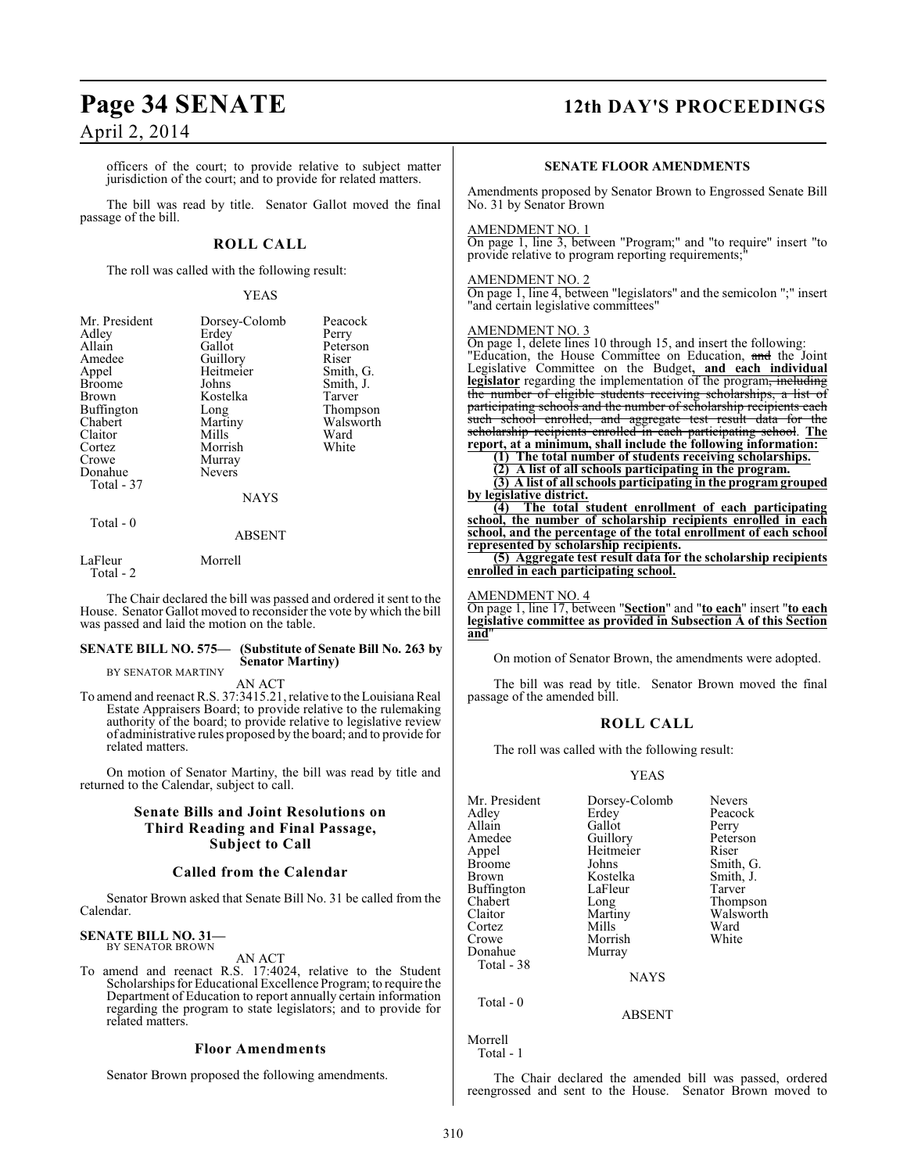officers of the court; to provide relative to subject matter jurisdiction of the court; and to provide for related matters.

The bill was read by title. Senator Gallot moved the final passage of the bill.

### **ROLL CALL**

The roll was called with the following result:

#### YEAS

| Mr. President<br>Adley | Dorsey-Colomb<br>Erdey | Peacock<br>Perry |
|------------------------|------------------------|------------------|
| Allain                 | Gallot                 | Peterson         |
| Amedee                 | Guillory               | Riser            |
| Appel                  | Heitmeier              | Smith, G.        |
| <b>Broome</b>          | Johns                  | Smith, J.        |
| Brown                  | Kostelka               | Tarver           |
| Buffington             | Long                   | Thompson         |
| Chabert                | Martiny                | Walsworth        |
| Claitor                | Mills                  | Ward             |
| Cortez                 | Morrish                | White            |
| Crowe                  | Murray                 |                  |
| Donahue                | <b>Nevers</b>          |                  |
| Total - 37             |                        |                  |
|                        | <b>NAYS</b>            |                  |
| Total - 0              | <b>ABSENT</b>          |                  |
|                        |                        |                  |

LaFleur Morrell Total - 2

The Chair declared the bill was passed and ordered it sent to the House. Senator Gallot moved to reconsider the vote by which the bill was passed and laid the motion on the table.

#### **SENATE BILL NO. 575— (Substitute of Senate Bill No. 263 by Senator Martiny)**

BY SENATOR MARTINY

AN ACT To amend and reenact R.S. 37:3415.21, relative to the Louisiana Real Estate Appraisers Board; to provide relative to the rulemaking authority of the board; to provide relative to legislative review of administrative rules proposed by the board; and to provide for related matters.

On motion of Senator Martiny, the bill was read by title and returned to the Calendar, subject to call.

### **Senate Bills and Joint Resolutions on Third Reading and Final Passage, Subject to Call**

#### **Called from the Calendar**

Senator Brown asked that Senate Bill No. 31 be called from the Calendar.

#### **SENATE BILL NO. 31—** BY SENATOR BROWN

AN ACT

To amend and reenact R.S. 17:4024, relative to the Student Scholarships for Educational Excellence Program; to require the Department of Education to report annually certain information regarding the program to state legislators; and to provide for related matters.

#### **Floor Amendments**

Senator Brown proposed the following amendments.

# **Page 34 SENATE 12th DAY'S PROCEEDINGS**

#### **SENATE FLOOR AMENDMENTS**

Amendments proposed by Senator Brown to Engrossed Senate Bill No. 31 by Senator Brown

#### AMENDMENT NO. 1

On page 1, line 3, between "Program;" and "to require" insert "to provide relative to program reporting requirements;

#### AMENDMENT NO. 2

On page 1, line 4, between "legislators" and the semicolon ";" insert "and certain legislative committees"

#### AMENDMENT NO. 3

On page 1, delete lines 10 through 15, and insert the following: "Education, the House Committee on Education, and the Joint Legislative Committee on the Budget**, and each individual <u>legislator</u>** regarding the implementation of the program<del>, including the number of eligible students receiving scholarships, a list of</del> the number of eligible students receiving participating schools and the number of scholarship recipients each such school enrolled, and aggregate test result data for the aggregate test result data for scholarship recipients enrolled in each participating school. **The report, at a minimum, shall include the following information:**

**(1) The total number of students receiving scholarships.**

**(2) A list of all schools participating in the program.**

**(3) A list of all schools participating in the program grouped by legislative district.**

**(4) The total student enrollment of each participating school, the number of scholarship recipients enrolled in each school, and the percentage of the total enrollment of each school represented by scholarship recipients.**

**(5) Aggregate test result data for the scholarship recipients enrolled in each participating school.**

#### AMENDMENT NO. 4

On page 1, line 17, between "**Section**" and "**to each**" insert "**to each legislative committee as provided in Subsection A of this Section and**"

On motion of Senator Brown, the amendments were adopted.

The bill was read by title. Senator Brown moved the final passage of the amended bill.

#### **ROLL CALL**

The roll was called with the following result:

#### YEAS

| Mr. President<br>Adley<br>Allain<br>Amedee<br>Appel<br>Broome<br>Brown | Dorsey-Colomb<br>Erdey<br>Gallot<br>Guillory<br>Heitmeier<br>Johns<br>Kostelka | <b>Nevers</b><br>Peacock<br>Perry<br>Peterson<br>Riser<br>Smith, G.<br>Smith, J. |
|------------------------------------------------------------------------|--------------------------------------------------------------------------------|----------------------------------------------------------------------------------|
| Buffington<br>Chabert<br>Claitor                                       | LaFleur<br>Long<br>Martiny                                                     | Tarver<br>Thompson<br>Walsworth                                                  |
| Cortez                                                                 | Mills                                                                          | Ward                                                                             |
| Crowe                                                                  | Morrish                                                                        | White                                                                            |
| Donahue<br>Total - 38                                                  | Murray                                                                         |                                                                                  |
|                                                                        | <b>NAYS</b>                                                                    |                                                                                  |

Total - 0

Morrell Total - 1

The Chair declared the amended bill was passed, ordered reengrossed and sent to the House. Senator Brown moved to

ABSENT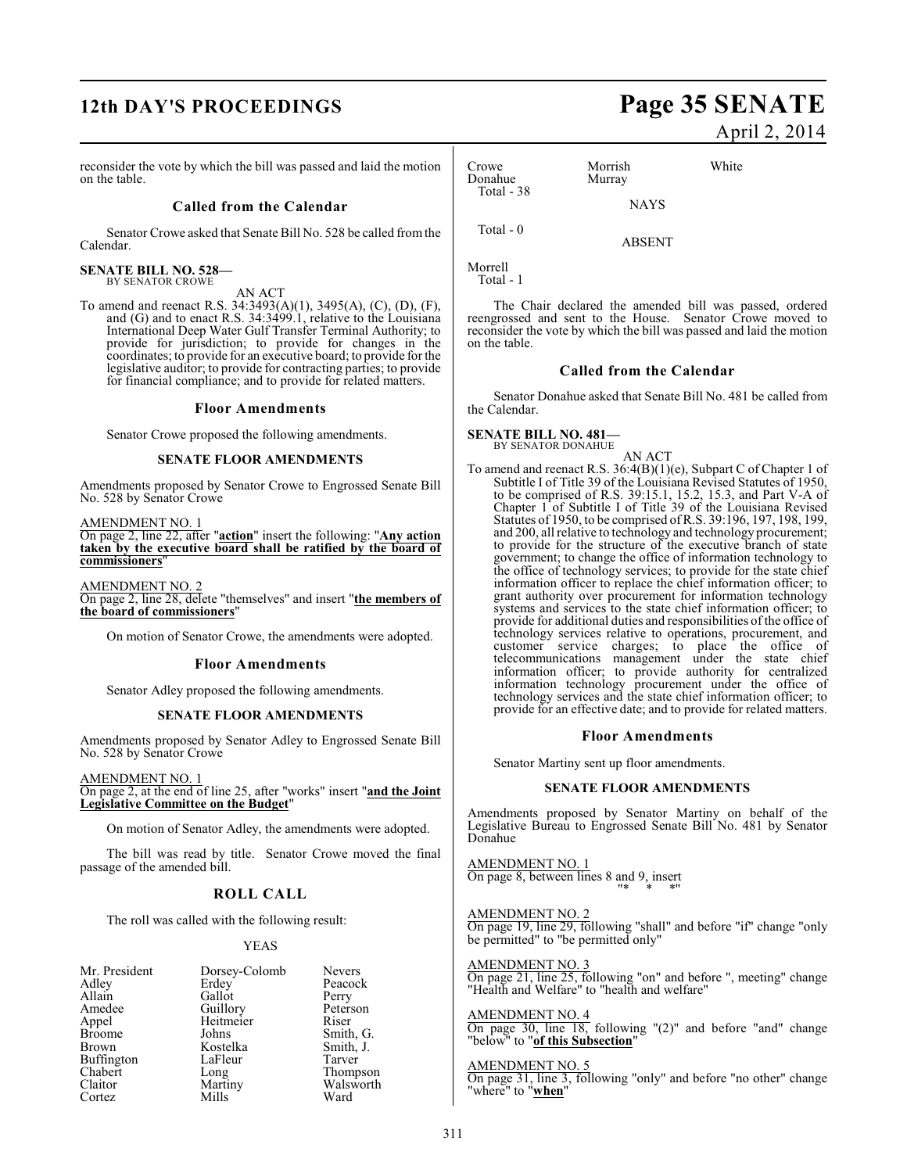# **12th DAY'S PROCEEDINGS Page 35 SENATE**

reconsider the vote by which the bill was passed and laid the motion on the table.

#### **Called from the Calendar**

Senator Crowe asked that Senate Bill No. 528 be called from the Calendar.

#### **SENATE BILL NO. 528—** BY SENATOR CROWE

#### AN ACT

To amend and reenact R.S. 34:3493(A)(1), 3495(A), (C), (D), (F), and (G) and to enact R.S. 34:3499.1, relative to the Louisiana International Deep Water Gulf Transfer Terminal Authority; to provide for jurisdiction; to provide for changes in the coordinates; to provide for an executive board; to provide for the legislative auditor; to provide for contracting parties; to provide for financial compliance; and to provide for related matters.

#### **Floor Amendments**

Senator Crowe proposed the following amendments.

#### **SENATE FLOOR AMENDMENTS**

Amendments proposed by Senator Crowe to Engrossed Senate Bill No. 528 by Senator Crowe

AMENDMENT NO. 1

On page 2, line 22, after "**action**" insert the following: "**Any action taken by the executive board shall be ratified by the board of commissioners**"

AMENDMENT NO. 2 On page 2, line 28, delete "themselves" and insert "**the members of the board of commissioners**"

On motion of Senator Crowe, the amendments were adopted.

#### **Floor Amendments**

Senator Adley proposed the following amendments.

#### **SENATE FLOOR AMENDMENTS**

Amendments proposed by Senator Adley to Engrossed Senate Bill No. 528 by Senator Crowe

AMENDMENT NO. 1

On page 2, at the end of line 25, after "works" insert "**and the Joint Legislative Committee on the Budget**"

On motion of Senator Adley, the amendments were adopted.

The bill was read by title. Senator Crowe moved the final passage of the amended bill.

## **ROLL CALL**

The roll was called with the following result:

#### YEAS

| Mr. President<br>Dorsey-Colomb  | <b>Nevers</b> |
|---------------------------------|---------------|
| Adley<br>Erdey                  | Peacock       |
| Allain<br>Gallot<br>Perry       |               |
| Guillory<br>Amedee              | Peterson      |
| Heitmeier<br>Appel<br>Riser     |               |
| <b>Broome</b><br>Johns          | Smith, G.     |
| Kostelka<br>Brown               | Smith, J.     |
| Buffington<br>LaFleur<br>Tarver |               |
| Chabert<br>Long                 | Thompson      |
| Claitor<br>Martiny              | Walsworth     |
| Mills<br>Ward<br>Cortez         |               |

# April 2, 2014

| Crowe<br>Donahue | Morrish<br>Murray | White |
|------------------|-------------------|-------|
| Total $-38$      | <b>NAYS</b>       |       |
| Total - 0        | ARSENT            |       |

Morrell Total - 1

on the table.

The Chair declared the amended bill was passed, ordered reengrossed and sent to the House. Senator Crowe moved to reconsider the vote by which the bill was passed and laid the motion

#### **Called from the Calendar**

Senator Donahue asked that Senate Bill No. 481 be called from the Calendar.

#### **SENATE BILL NO. 481—** BY SENATOR DONAHUE

AN ACT

To amend and reenact R.S. 36:4(B)(1)(e), Subpart C of Chapter 1 of Subtitle I of Title 39 of the Louisiana Revised Statutes of 1950, to be comprised of R.S. 39:15.1, 15.2, 15.3, and Part V-A of Chapter 1 of Subtitle I of Title 39 of the Louisiana Revised Statutes of 1950, to be comprised of R.S. 39:196, 197, 198, 199, and 200, all relative to technology and technology procurement; to provide for the structure of the executive branch of state government; to change the office of information technology to the office of technology services; to provide for the state chief information officer to replace the chief information officer; to grant authority over procurement for information technology systems and services to the state chief information officer; to provide for additional duties and responsibilities of the office of technology services relative to operations, procurement, and customer service charges; to place the office of telecommunications management under the state chief information officer; to provide authority for centralized information technology procurement under the office of technology services and the state chief information officer; to provide for an effective date; and to provide for related matters.

#### **Floor Amendments**

Senator Martiny sent up floor amendments.

#### **SENATE FLOOR AMENDMENTS**

Amendments proposed by Senator Martiny on behalf of the Legislative Bureau to Engrossed Senate Bill No. 481 by Senator Donahue

AMENDMENT NO. 1 On page 8, between lines 8 and 9, insert "\* \* \*"

AMENDMENT NO. 2 On page 19, line 29, following "shall" and before "if" change "only be permitted" to "be permitted only"

AMENDMENT NO. 3 On page 21, line 25, following "on" and before ", meeting" change "Health and Welfare" to "health and welfare"

AMENDMENT NO. 4 On page 30, line 18, following "(2)" and before "and" change "below" to "**of this Subsection**"

#### AMENDMENT NO. 5

On page 31, line 3, following "only" and before "no other" change "where" to "**when**"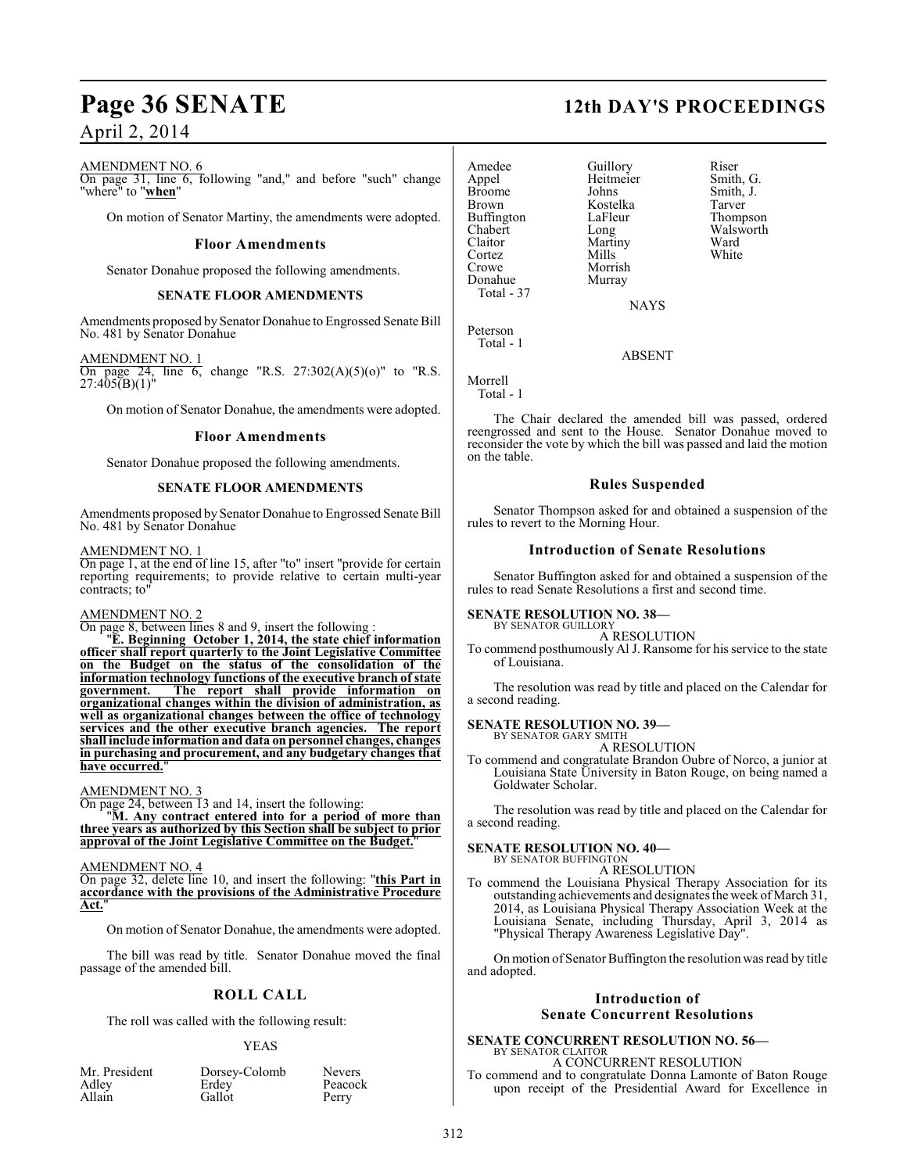#### AMENDMENT NO. 6

On page 31, line 6, following "and," and before "such" change "where" to "**when**"

On motion of Senator Martiny, the amendments were adopted.

#### **Floor Amendments**

Senator Donahue proposed the following amendments.

#### **SENATE FLOOR AMENDMENTS**

Amendments proposed by Senator Donahue to Engrossed Senate Bill No. 481 by Senator Donahue

#### AMENDMENT NO. 1

On page 24, line 6, change "R.S.  $27:302(A)(5)(0)$ " to "R.S.  $27:405(B)(1)$ "

On motion of Senator Donahue, the amendments were adopted.

#### **Floor Amendments**

Senator Donahue proposed the following amendments.

### **SENATE FLOOR AMENDMENTS**

Amendments proposed by Senator Donahue to Engrossed Senate Bill No. 481 by Senator Donahue

#### AMENDMENT NO. 1

On page 1, at the end of line 15, after "to" insert "provide for certain reporting requirements; to provide relative to certain multi-year contracts; to'

#### AMENDMENT NO. 2

On page 8, between lines 8 and 9, insert the following :

"**E. Beginning October 1, 2014, the state chief information officer shall report quarterly to the Joint Legislative Committee on the Budget on the status of the consolidation of the information technology functions of the executive branch of state government. The report shall provide information on organizational changes within the division of administration, as well as organizational changes between the office of technology services and the other executive branch agencies. The report shall include information and data on personnel changes, changes in purchasing and procurement, and any budgetary changes that have occurred.**"

#### AMENDMENT NO. 3

On page 24, between 13 and 14, insert the following:

"**M. Any contract entered into for a period of more than three years as authorized by this Section shall be subject to prior approval of the Joint Legislative Committee on the Budget.**"

#### AMENDMENT NO. 4

On page 32, delete line 10, and insert the following: "**this Part in accordance with the provisions of the Administrative Procedure Act.**"

On motion of Senator Donahue, the amendments were adopted.

The bill was read by title. Senator Donahue moved the final passage of the amended bill.

#### **ROLL CALL**

The roll was called with the following result:

#### YEAS

Peacock<br>Perry

| Mr. Presiden |  |  |
|--------------|--|--|
| Adley        |  |  |
| Allain       |  |  |

nt Dorsey-Colomb Nevers<br>Erdey Peacoc Gallot

**Page 36 SENATE 12th DAY'S PROCEEDINGS**

Amedee Guillory Riser<br>
Appel Heitmeier Smith, G. Appel Heitmeier<br>Broome Johns Broome Johns Smith, J.<br>Brown Kostelka Tarver Buffington LaFle<br>Chabert Long Chabert Long Walsworth<br>Claitor Martiny Ward Cortez<br>Crowe Donahue Total - 37

Martiny Ward<br>
Mills White Morrish<br>Murray

Kostelka Tarver<br>LaFleur Thompson

**NAYS** 

ABSENT

Peterson Total - 1

Morrell

Total - 1

The Chair declared the amended bill was passed, ordered reengrossed and sent to the House. Senator Donahue moved to reconsider the vote by which the bill was passed and laid the motion on the table.

#### **Rules Suspended**

Senator Thompson asked for and obtained a suspension of the rules to revert to the Morning Hour.

#### **Introduction of Senate Resolutions**

Senator Buffington asked for and obtained a suspension of the rules to read Senate Resolutions a first and second time.

#### **SENATE RESOLUTION NO. 38—** BY SENATOR GUILLORY

A RESOLUTION

To commend posthumously Al J. Ransome for his service to the state of Louisiana.

The resolution was read by title and placed on the Calendar for a second reading.

# **SENATE RESOLUTION NO. 39—** BY SENATOR GARY SMITH

A RESOLUTION

To commend and congratulate Brandon Oubre of Norco, a junior at Louisiana State University in Baton Rouge, on being named a Goldwater Scholar.

The resolution was read by title and placed on the Calendar for a second reading.

#### **SENATE RESOLUTION NO. 40—**

BY SENATOR BUFFINGTON A RESOLUTION

To commend the Louisiana Physical Therapy Association for its outstanding achievements and designates the week of March 31, 2014, as Louisiana Physical Therapy Association Week at the Louisiana Senate, including Thursday, April 3, 2014 as "Physical Therapy Awareness Legislative Day".

On motion of Senator Buffington the resolution was read by title and adopted.

### **Introduction of Senate Concurrent Resolutions**

#### **SENATE CONCURRENT RESOLUTION NO. 56—** BY SENATOR CLAITOR

A CONCURRENT RESOLUTION To commend and to congratulate Donna Lamonte of Baton Rouge upon receipt of the Presidential Award for Excellence in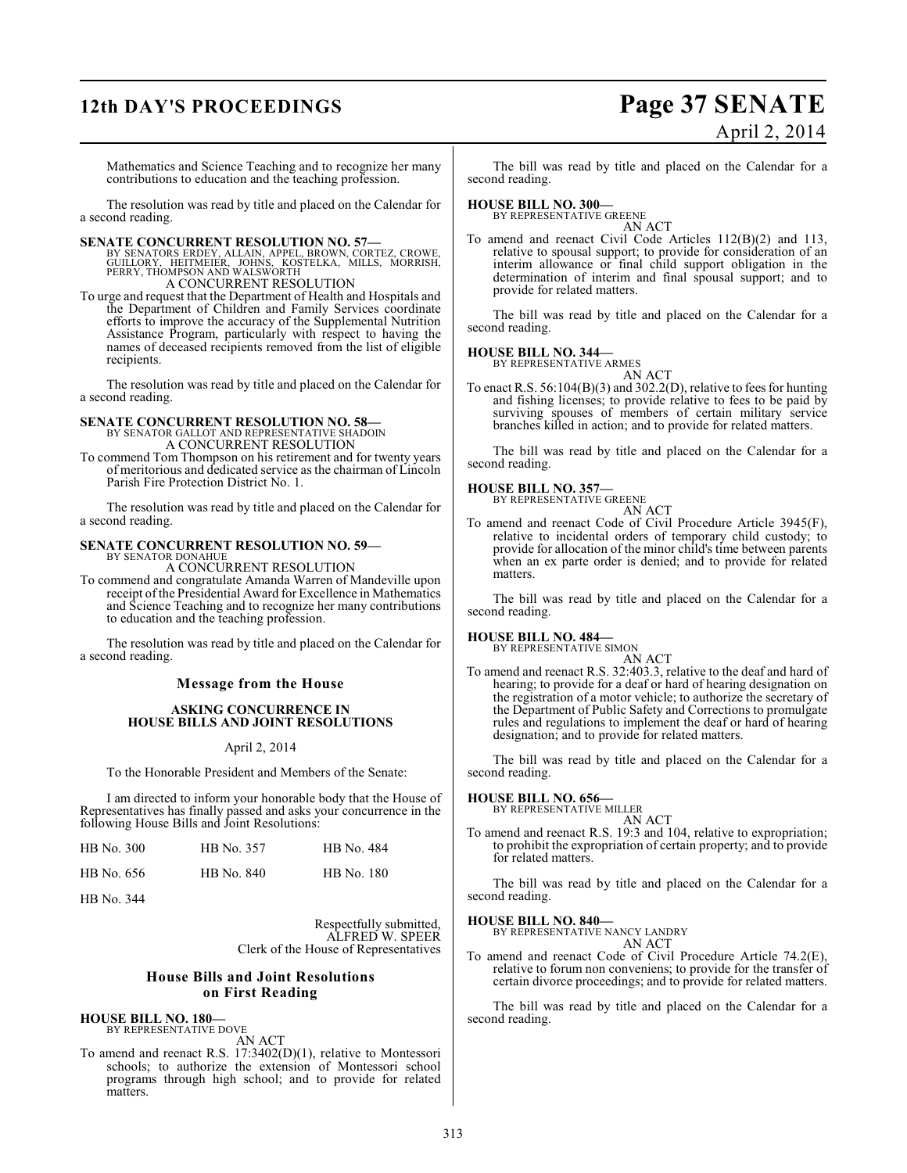# **12th DAY'S PROCEEDINGS Page 37 SENATE**

# April 2, 2014

Mathematics and Science Teaching and to recognize her many contributions to education and the teaching profession.

The resolution was read by title and placed on the Calendar for a second reading.

**SENATE CONCURRENT RESOLUTION NO. 57—**<br>
BY SENATORS ERDEY, ALLAIN, APPEL, BROWN, CORTEZ, CROWE,<br>
GUILLORY, HEITMEIER, JOHNS, KOSTELKA, MILLS, MORRISH,<br>
PERRY, THOMPSON AND WALSWORTH<br>
A CONCURRENT RESOLUTION

To urge and request that the Department of Health and Hospitals and the Department of Children and Family Services coordinate efforts to improve the accuracy of the Supplemental Nutrition Assistance Program, particularly with respect to having the names of deceased recipients removed from the list of eligible recipients.

The resolution was read by title and placed on the Calendar for a second reading.

## **SENATE CONCURRENT RESOLUTION NO. 58—** BY SENATOR GALLOT AND REPRESENTATIVE SHADOIN A CONCURRENT RESOLUTION

To commend Tom Thompson on his retirement and for twenty years of meritorious and dedicated service as the chairman of Lincoln Parish Fire Protection District No. 1.

The resolution was read by title and placed on the Calendar for a second reading.

#### **SENATE CONCURRENT RESOLUTION NO. 59—** BY SENATOR DONAHUE

A CONCURRENT RESOLUTION

To commend and congratulate Amanda Warren of Mandeville upon receipt of the Presidential Award for Excellence in Mathematics and Science Teaching and to recognize her many contributions to education and the teaching profession.

The resolution was read by title and placed on the Calendar for a second reading.

#### **Message from the House**

#### **ASKING CONCURRENCE IN HOUSE BILLS AND JOINT RESOLUTIONS**

#### April 2, 2014

To the Honorable President and Members of the Senate:

I am directed to inform your honorable body that the House of Representatives has finally passed and asks your concurrence in the following House Bills and Joint Resolutions:

| HB No. 300 | HB No. 357 | HB No. 484        |
|------------|------------|-------------------|
| HB No. 656 | HB No. 840 | <b>HB</b> No. 180 |

HB No. 344

Respectfully submitted, ALFRED W. SPEER Clerk of the House of Representatives

#### **House Bills and Joint Resolutions on First Reading**

# **HOUSE BILL NO. 180—** BY REPRESENTATIVE DOVE

AN ACT

To amend and reenact R.S. 17:3402(D)(1), relative to Montessori schools; to authorize the extension of Montessori school programs through high school; and to provide for related matters.

The bill was read by title and placed on the Calendar for a second reading.

# **HOUSE BILL NO. 300—** BY REPRESENTATIVE GREENE

AN ACT To amend and reenact Civil Code Articles 112(B)(2) and 113, relative to spousal support; to provide for consideration of an interim allowance or final child support obligation in the determination of interim and final spousal support; and to provide for related matters.

The bill was read by title and placed on the Calendar for a second reading.

# **HOUSE BILL NO. 344—** BY REPRESENTATIVE ARMES

AN ACT

To enact R.S. 56:104(B)(3) and 302.2(D), relative to fees for hunting and fishing licenses; to provide relative to fees to be paid by surviving spouses of members of certain military service branches killed in action; and to provide for related matters.

The bill was read by title and placed on the Calendar for a second reading.

#### **HOUSE BILL NO. 357—**

BY REPRESENTATIVE GREENE AN ACT

To amend and reenact Code of Civil Procedure Article 3945(F), relative to incidental orders of temporary child custody; to provide for allocation of the minor child's time between parents when an ex parte order is denied; and to provide for related matters.

The bill was read by title and placed on the Calendar for a second reading.

#### **HOUSE BILL NO. 484—**

BY REPRESENTATIVE SIMON AN ACT

To amend and reenact R.S. 32:403.3, relative to the deaf and hard of hearing; to provide for a deaf or hard of hearing designation on the registration of a motor vehicle; to authorize the secretary of the Department of Public Safety and Corrections to promulgate rules and regulations to implement the deaf or hard of hearing designation; and to provide for related matters.

The bill was read by title and placed on the Calendar for a second reading.

#### **HOUSE BILL NO. 656—**

BY REPRESENTATIVE MILLER AN ACT

To amend and reenact R.S. 19:3 and 104, relative to expropriation; to prohibit the expropriation of certain property; and to provide for related matters.

The bill was read by title and placed on the Calendar for a second reading.

#### **HOUSE BILL NO. 840—**

BY REPRESENTATIVE NANCY LANDRY AN ACT

To amend and reenact Code of Civil Procedure Article 74.2(E), relative to forum non conveniens; to provide for the transfer of certain divorce proceedings; and to provide for related matters.

The bill was read by title and placed on the Calendar for a second reading.